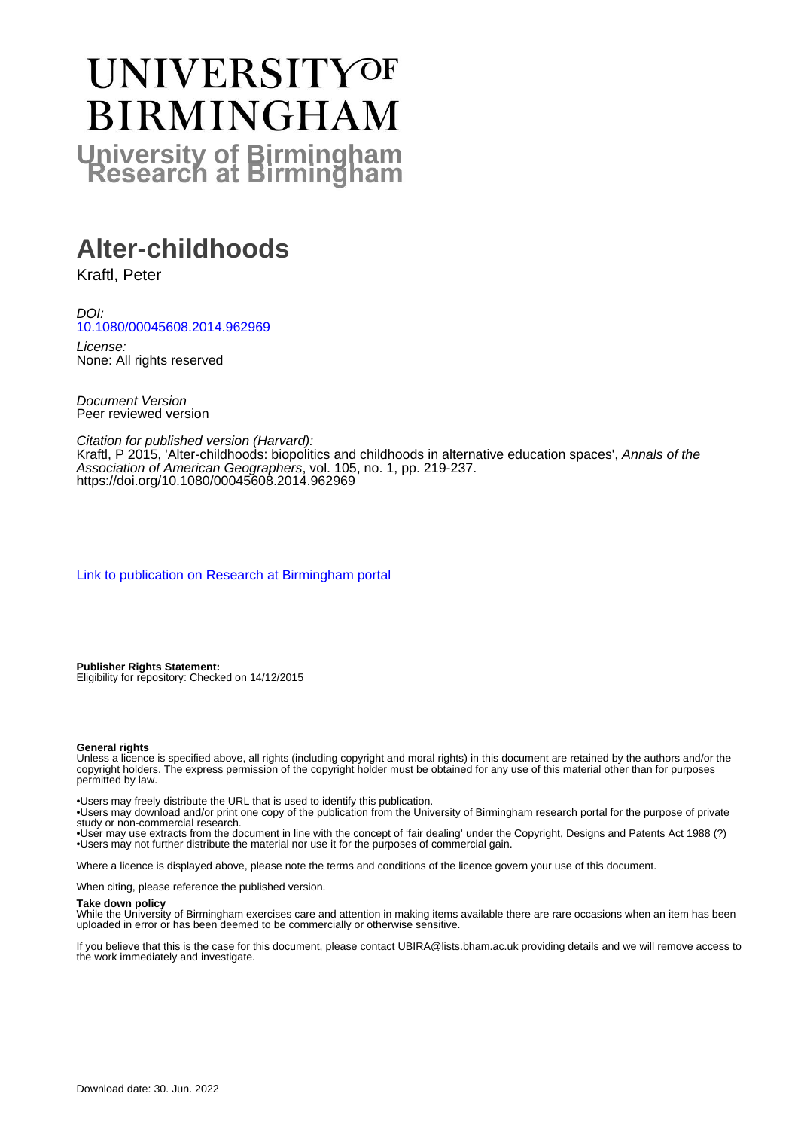# **UNIVERSITYOF BIRMINGHAM University of Birmingham**

# **Alter-childhoods**

Kraftl, Peter

DOI: [10.1080/00045608.2014.962969](https://doi.org/10.1080/00045608.2014.962969)

License: None: All rights reserved

Document Version Peer reviewed version

Citation for published version (Harvard): Kraftl, P 2015, 'Alter-childhoods: biopolitics and childhoods in alternative education spaces', Annals of the Association of American Geographers, vol. 105, no. 1, pp. 219-237. <https://doi.org/10.1080/00045608.2014.962969>

[Link to publication on Research at Birmingham portal](https://birmingham.elsevierpure.com/en/publications/b08a8a21-777f-48ce-8816-57b21fb12ae4)

**Publisher Rights Statement:** Eligibility for repository: Checked on 14/12/2015

#### **General rights**

Unless a licence is specified above, all rights (including copyright and moral rights) in this document are retained by the authors and/or the copyright holders. The express permission of the copyright holder must be obtained for any use of this material other than for purposes permitted by law.

• Users may freely distribute the URL that is used to identify this publication.

• Users may download and/or print one copy of the publication from the University of Birmingham research portal for the purpose of private study or non-commercial research.

• User may use extracts from the document in line with the concept of 'fair dealing' under the Copyright, Designs and Patents Act 1988 (?) • Users may not further distribute the material nor use it for the purposes of commercial gain.

Where a licence is displayed above, please note the terms and conditions of the licence govern your use of this document.

When citing, please reference the published version.

#### **Take down policy**

While the University of Birmingham exercises care and attention in making items available there are rare occasions when an item has been uploaded in error or has been deemed to be commercially or otherwise sensitive.

If you believe that this is the case for this document, please contact UBIRA@lists.bham.ac.uk providing details and we will remove access to the work immediately and investigate.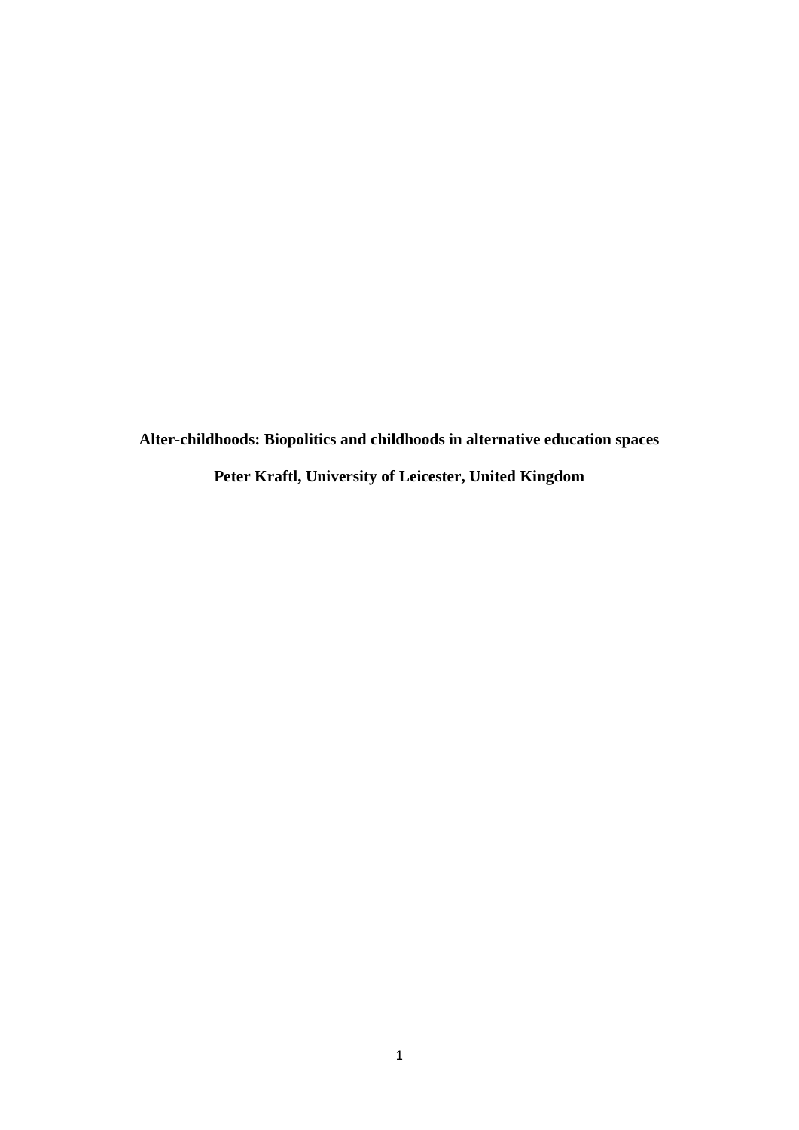**Alter-childhoods: Biopolitics and childhoods in alternative education spaces**

**Peter Kraftl, University of Leicester, United Kingdom**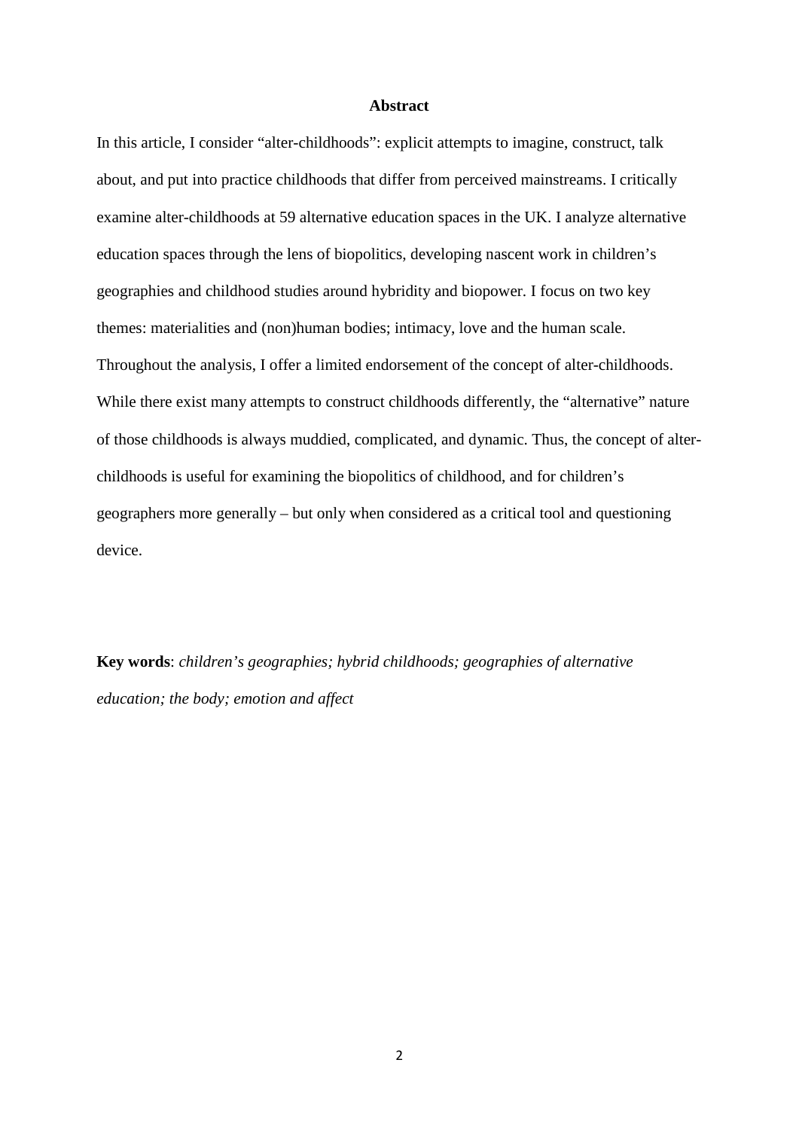#### **Abstract**

In this article, I consider "alter-childhoods": explicit attempts to imagine, construct, talk about, and put into practice childhoods that differ from perceived mainstreams. I critically examine alter-childhoods at 59 alternative education spaces in the UK. I analyze alternative education spaces through the lens of biopolitics, developing nascent work in children's geographies and childhood studies around hybridity and biopower. I focus on two key themes: materialities and (non)human bodies; intimacy, love and the human scale. Throughout the analysis, I offer a limited endorsement of the concept of alter-childhoods. While there exist many attempts to construct childhoods differently, the "alternative" nature of those childhoods is always muddied, complicated, and dynamic. Thus, the concept of alterchildhoods is useful for examining the biopolitics of childhood, and for children's geographers more generally – but only when considered as a critical tool and questioning device.

**Key words**: *children's geographies; hybrid childhoods; geographies of alternative education; the body; emotion and affect*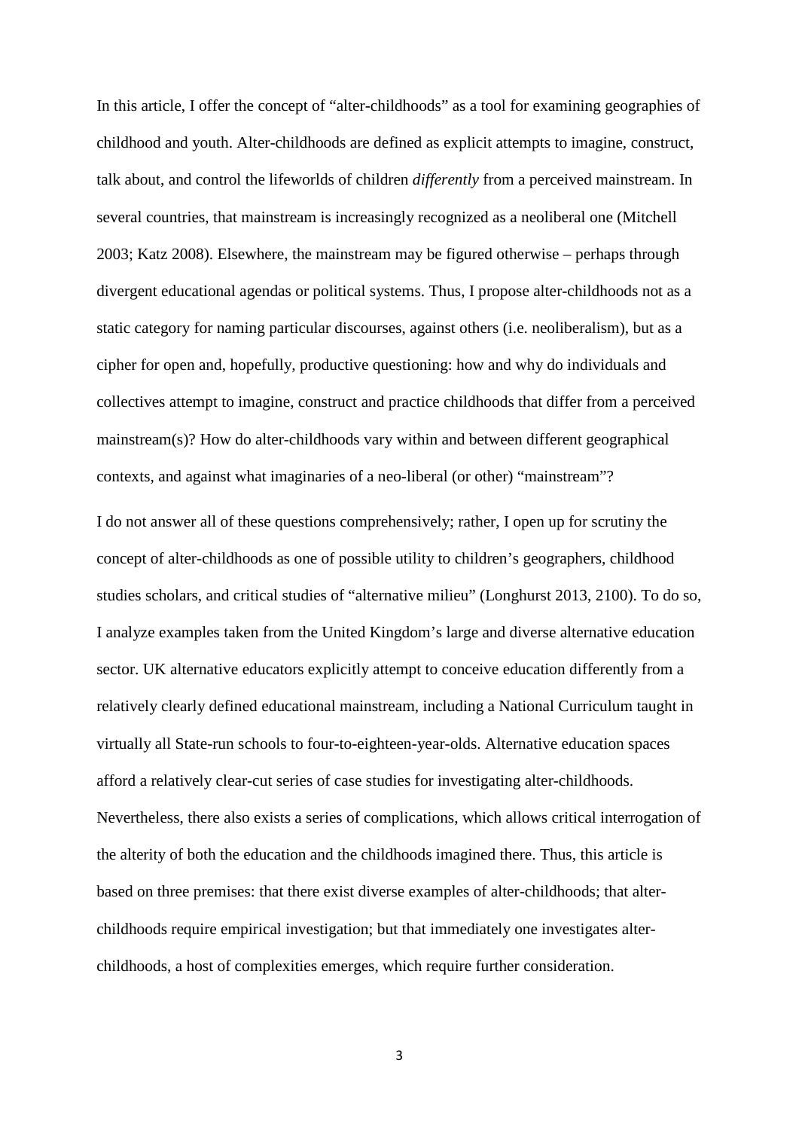In this article, I offer the concept of "alter-childhoods" as a tool for examining geographies of childhood and youth. Alter-childhoods are defined as explicit attempts to imagine, construct, talk about, and control the lifeworlds of children *differently* from a perceived mainstream. In several countries, that mainstream is increasingly recognized as a neoliberal one (Mitchell 2003; Katz 2008). Elsewhere, the mainstream may be figured otherwise – perhaps through divergent educational agendas or political systems. Thus, I propose alter-childhoods not as a static category for naming particular discourses, against others (i.e. neoliberalism), but as a cipher for open and, hopefully, productive questioning: how and why do individuals and collectives attempt to imagine, construct and practice childhoods that differ from a perceived mainstream(s)? How do alter-childhoods vary within and between different geographical contexts, and against what imaginaries of a neo-liberal (or other) "mainstream"?

I do not answer all of these questions comprehensively; rather, I open up for scrutiny the concept of alter-childhoods as one of possible utility to children's geographers, childhood studies scholars, and critical studies of "alternative milieu" (Longhurst 2013, 2100). To do so, I analyze examples taken from the United Kingdom's large and diverse alternative education sector. UK alternative educators explicitly attempt to conceive education differently from a relatively clearly defined educational mainstream, including a National Curriculum taught in virtually all State-run schools to four-to-eighteen-year-olds. Alternative education spaces afford a relatively clear-cut series of case studies for investigating alter-childhoods. Nevertheless, there also exists a series of complications, which allows critical interrogation of the alterity of both the education and the childhoods imagined there. Thus, this article is based on three premises: that there exist diverse examples of alter-childhoods; that alterchildhoods require empirical investigation; but that immediately one investigates alterchildhoods, a host of complexities emerges, which require further consideration.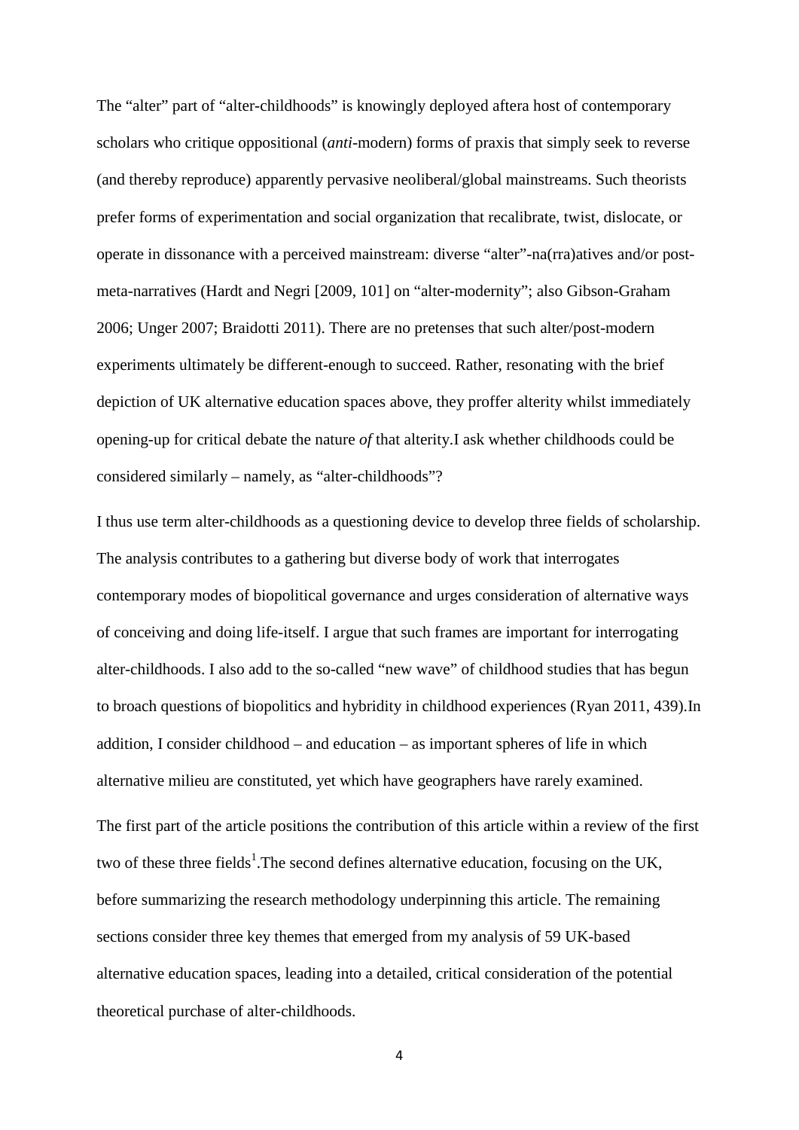The "alter" part of "alter-childhoods" is knowingly deployed aftera host of contemporary scholars who critique oppositional (*anti*-modern) forms of praxis that simply seek to reverse (and thereby reproduce) apparently pervasive neoliberal/global mainstreams. Such theorists prefer forms of experimentation and social organization that recalibrate, twist, dislocate, or operate in dissonance with a perceived mainstream: diverse "alter"-na(rra)atives and/or postmeta-narratives (Hardt and Negri [2009, 101] on "alter-modernity"; also Gibson-Graham 2006; Unger 2007; Braidotti 2011). There are no pretenses that such alter/post-modern experiments ultimately be different-enough to succeed. Rather, resonating with the brief depiction of UK alternative education spaces above, they proffer alterity whilst immediately opening-up for critical debate the nature *of* that alterity.I ask whether childhoods could be considered similarly – namely, as "alter-childhoods"?

I thus use term alter-childhoods as a questioning device to develop three fields of scholarship. The analysis contributes to a gathering but diverse body of work that interrogates contemporary modes of biopolitical governance and urges consideration of alternative ways of conceiving and doing life-itself. I argue that such frames are important for interrogating alter-childhoods. I also add to the so-called "new wave" of childhood studies that has begun to broach questions of biopolitics and hybridity in childhood experiences (Ryan 2011, 439).In addition, I consider childhood – and education – as important spheres of life in which alternative milieu are constituted, yet which have geographers have rarely examined.

The first part of the article positions the contribution of this article within a review of the first two of these three fields<sup>1</sup>. The second defines alternative education, focusing on the UK, before summarizing the research methodology underpinning this article. The remaining sections consider three key themes that emerged from my analysis of 59 UK-based alternative education spaces, leading into a detailed, critical consideration of the potential theoretical purchase of alter-childhoods.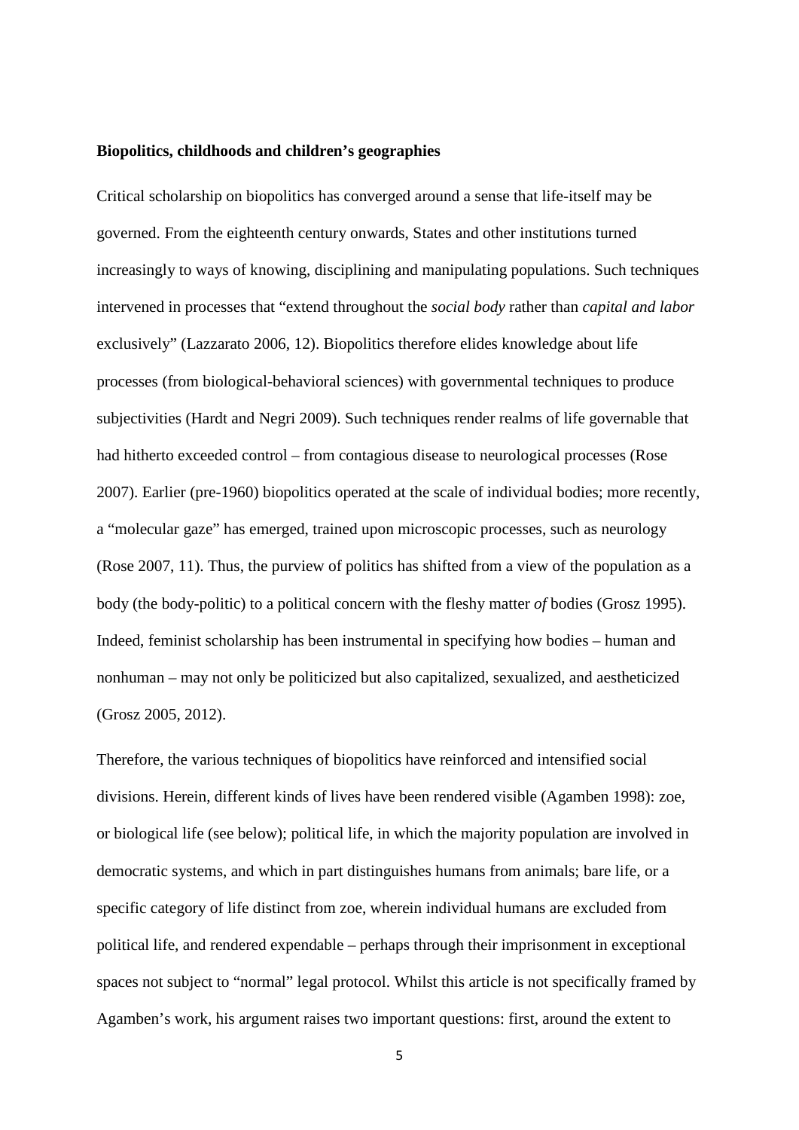#### **Biopolitics, childhoods and children's geographies**

Critical scholarship on biopolitics has converged around a sense that life-itself may be governed. From the eighteenth century onwards, States and other institutions turned increasingly to ways of knowing, disciplining and manipulating populations. Such techniques intervened in processes that "extend throughout the *social body* rather than *capital and labor* exclusively" (Lazzarato 2006, 12). Biopolitics therefore elides knowledge about life processes (from biological-behavioral sciences) with governmental techniques to produce subjectivities (Hardt and Negri 2009). Such techniques render realms of life governable that had hitherto exceeded control – from contagious disease to neurological processes (Rose 2007). Earlier (pre-1960) biopolitics operated at the scale of individual bodies; more recently, a "molecular gaze" has emerged, trained upon microscopic processes, such as neurology (Rose 2007, 11). Thus, the purview of politics has shifted from a view of the population as a body (the body-politic) to a political concern with the fleshy matter *of* bodies (Grosz 1995). Indeed, feminist scholarship has been instrumental in specifying how bodies – human and nonhuman – may not only be politicized but also capitalized, sexualized, and aestheticized (Grosz 2005, 2012).

Therefore, the various techniques of biopolitics have reinforced and intensified social divisions. Herein, different kinds of lives have been rendered visible (Agamben 1998): zoe, or biological life (see below); political life, in which the majority population are involved in democratic systems, and which in part distinguishes humans from animals; bare life, or a specific category of life distinct from zoe, wherein individual humans are excluded from political life, and rendered expendable – perhaps through their imprisonment in exceptional spaces not subject to "normal" legal protocol. Whilst this article is not specifically framed by Agamben's work, his argument raises two important questions: first, around the extent to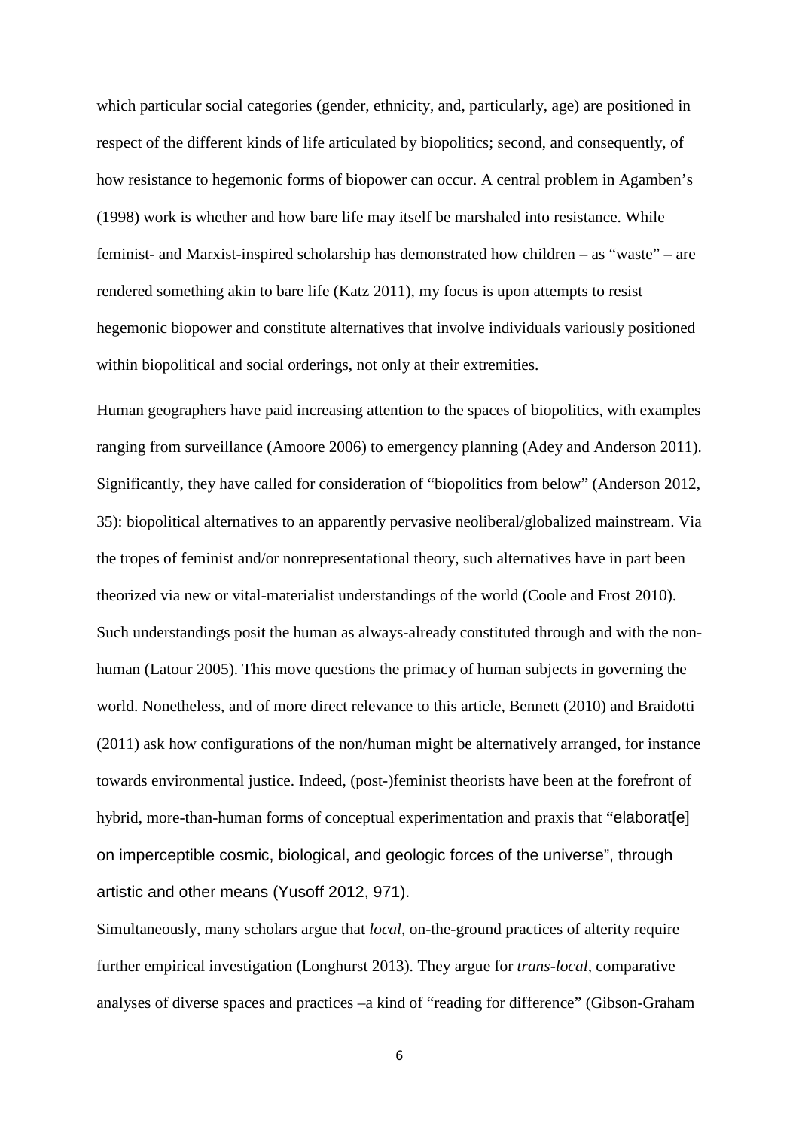which particular social categories (gender, ethnicity, and, particularly, age) are positioned in respect of the different kinds of life articulated by biopolitics; second, and consequently, of how resistance to hegemonic forms of biopower can occur. A central problem in Agamben's (1998) work is whether and how bare life may itself be marshaled into resistance. While feminist- and Marxist-inspired scholarship has demonstrated how children – as "waste" – are rendered something akin to bare life (Katz 2011), my focus is upon attempts to resist hegemonic biopower and constitute alternatives that involve individuals variously positioned within biopolitical and social orderings, not only at their extremities.

Human geographers have paid increasing attention to the spaces of biopolitics, with examples ranging from surveillance (Amoore 2006) to emergency planning (Adey and Anderson 2011). Significantly, they have called for consideration of "biopolitics from below" (Anderson 2012, 35): biopolitical alternatives to an apparently pervasive neoliberal/globalized mainstream. Via the tropes of feminist and/or nonrepresentational theory, such alternatives have in part been theorized via new or vital-materialist understandings of the world (Coole and Frost 2010). Such understandings posit the human as always-already constituted through and with the nonhuman (Latour 2005). This move questions the primacy of human subjects in governing the world. Nonetheless, and of more direct relevance to this article, Bennett (2010) and Braidotti (2011) ask how configurations of the non/human might be alternatively arranged, for instance towards environmental justice. Indeed, (post-)feminist theorists have been at the forefront of hybrid, more-than-human forms of conceptual experimentation and praxis that "elaborated" on imperceptible cosmic, biological, and geologic forces of the universe", through artistic and other means (Yusoff 2012, 971).

Simultaneously, many scholars argue that *local*, on-the-ground practices of alterity require further empirical investigation (Longhurst 2013). They argue for *trans-local*, comparative analyses of diverse spaces and practices –a kind of "reading for difference" (Gibson-Graham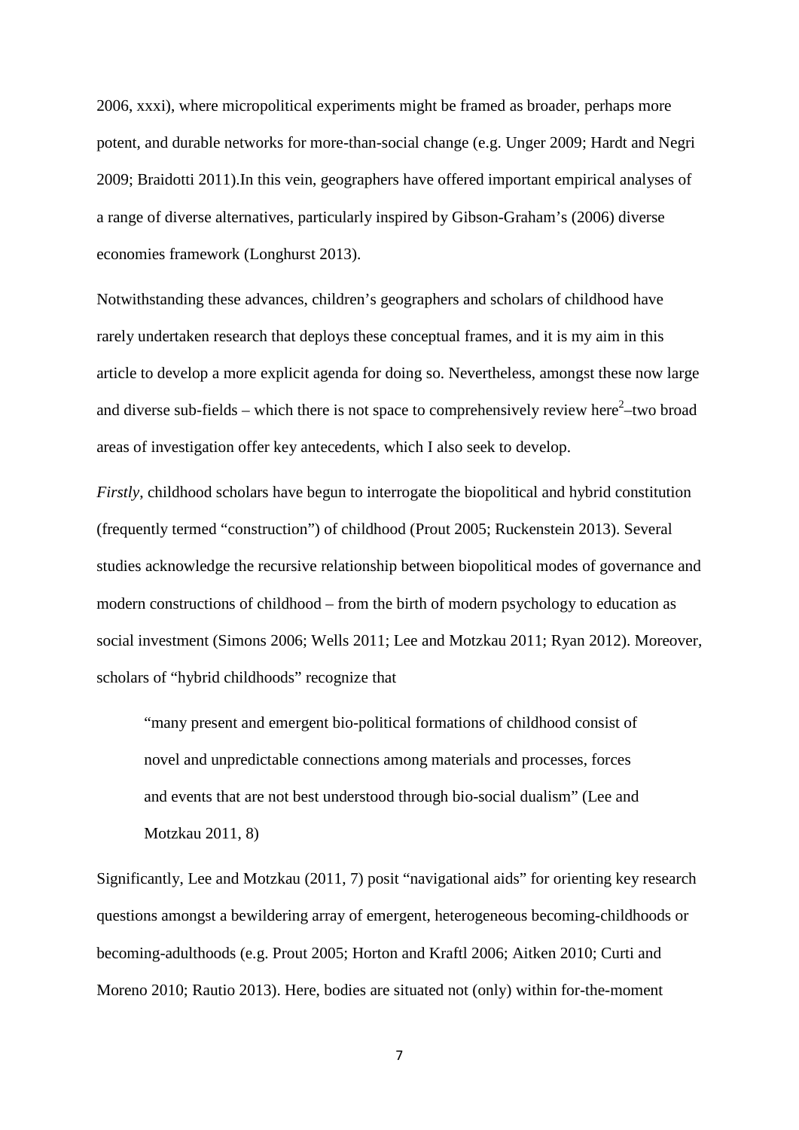2006, xxxi), where micropolitical experiments might be framed as broader, perhaps more potent, and durable networks for more-than-social change (e.g. Unger 2009; Hardt and Negri 2009; Braidotti 2011).In this vein, geographers have offered important empirical analyses of a range of diverse alternatives, particularly inspired by Gibson-Graham's (2006) diverse economies framework (Longhurst 2013).

Notwithstanding these advances, children's geographers and scholars of childhood have rarely undertaken research that deploys these conceptual frames, and it is my aim in this article to develop a more explicit agenda for doing so. Nevertheless, amongst these now large and diverse sub-fields – which there is not space to comprehensively review here $2$ –two broad areas of investigation offer key antecedents, which I also seek to develop.

*Firstly*, childhood scholars have begun to interrogate the biopolitical and hybrid constitution (frequently termed "construction") of childhood (Prout 2005; Ruckenstein 2013). Several studies acknowledge the recursive relationship between biopolitical modes of governance and modern constructions of childhood – from the birth of modern psychology to education as social investment (Simons 2006; Wells 2011; Lee and Motzkau 2011; Ryan 2012). Moreover, scholars of "hybrid childhoods" recognize that

"many present and emergent bio-political formations of childhood consist of novel and unpredictable connections among materials and processes, forces and events that are not best understood through bio-social dualism" (Lee and Motzkau 2011, 8)

Significantly, Lee and Motzkau (2011, 7) posit "navigational aids" for orienting key research questions amongst a bewildering array of emergent, heterogeneous becoming-childhoods or becoming-adulthoods (e.g. Prout 2005; Horton and Kraftl 2006; Aitken 2010; Curti and Moreno 2010; Rautio 2013). Here, bodies are situated not (only) within for-the-moment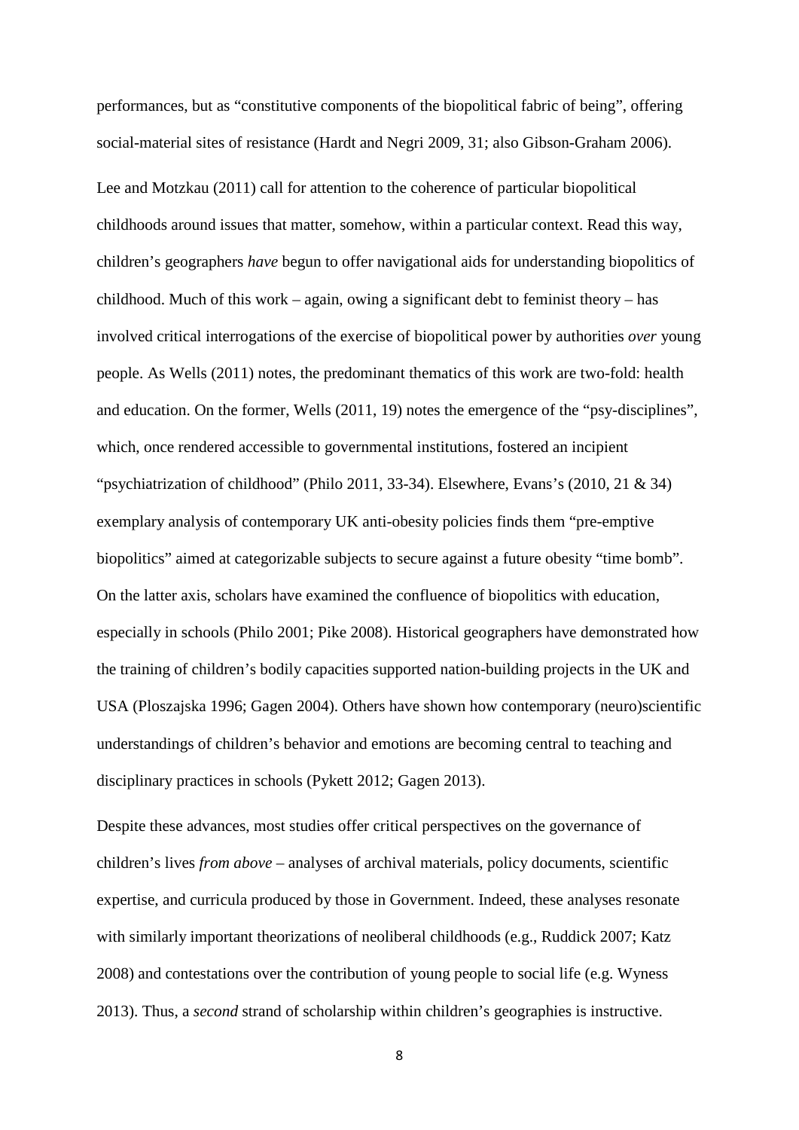performances, but as "constitutive components of the biopolitical fabric of being", offering social-material sites of resistance (Hardt and Negri 2009, 31; also Gibson-Graham 2006). Lee and Motzkau (2011) call for attention to the coherence of particular biopolitical childhoods around issues that matter, somehow, within a particular context. Read this way, children's geographers *have* begun to offer navigational aids for understanding biopolitics of childhood. Much of this work – again, owing a significant debt to feminist theory – has involved critical interrogations of the exercise of biopolitical power by authorities *over* young people. As Wells (2011) notes, the predominant thematics of this work are two-fold: health and education. On the former, Wells (2011, 19) notes the emergence of the "psy-disciplines", which, once rendered accessible to governmental institutions, fostered an incipient "psychiatrization of childhood" (Philo 2011, 33-34). Elsewhere, Evans's (2010, 21 & 34) exemplary analysis of contemporary UK anti-obesity policies finds them "pre-emptive biopolitics" aimed at categorizable subjects to secure against a future obesity "time bomb". On the latter axis, scholars have examined the confluence of biopolitics with education, especially in schools (Philo 2001; Pike 2008). Historical geographers have demonstrated how the training of children's bodily capacities supported nation-building projects in the UK and USA (Ploszajska 1996; Gagen 2004). Others have shown how contemporary (neuro)scientific understandings of children's behavior and emotions are becoming central to teaching and disciplinary practices in schools (Pykett 2012; Gagen 2013).

Despite these advances, most studies offer critical perspectives on the governance of children's lives *from above* – analyses of archival materials, policy documents, scientific expertise, and curricula produced by those in Government. Indeed, these analyses resonate with similarly important theorizations of neoliberal childhoods (e.g., Ruddick 2007; Katz 2008) and contestations over the contribution of young people to social life (e.g. Wyness 2013). Thus, a *second* strand of scholarship within children's geographies is instructive.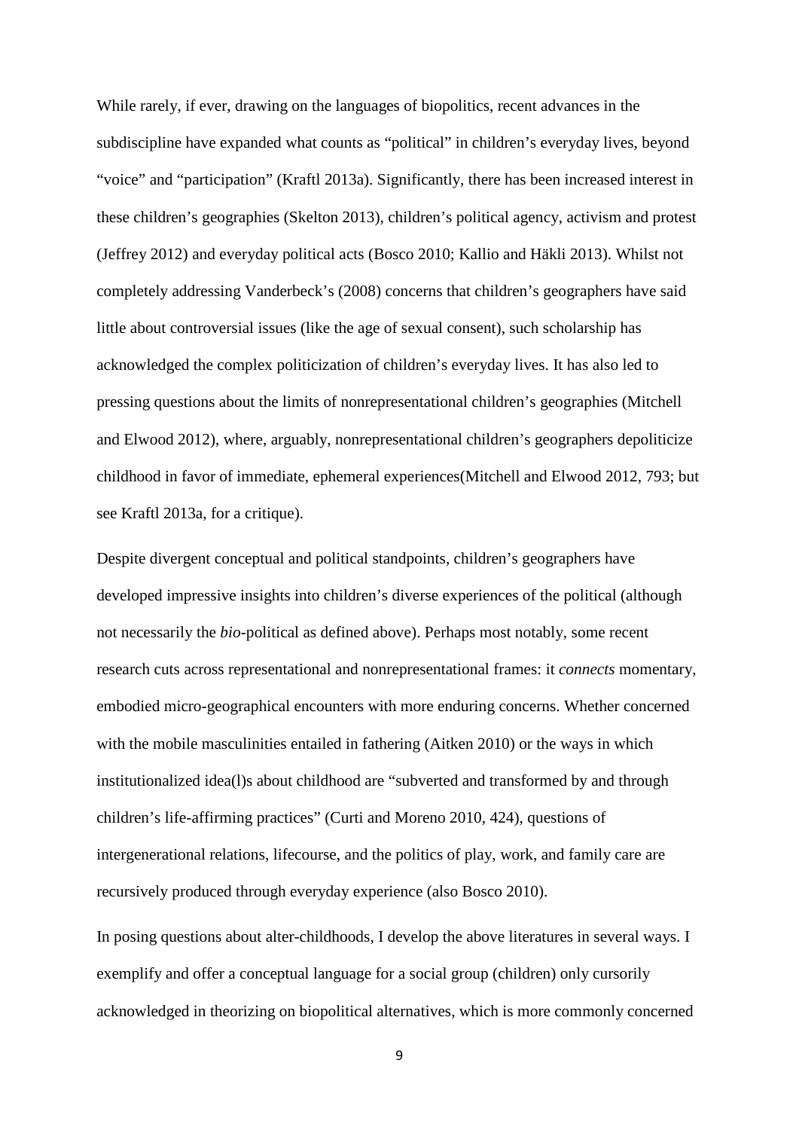While rarely, if ever, drawing on the languages of biopolitics, recent advances in the subdiscipline have expanded what counts as "political" in children's everyday lives, beyond "voice" and "participation" (Kraftl 2013a). Significantly, there has been increased interest in these children's geographies (Skelton 2013), children's political agency, activism and protest (Jeffrey 2012) and everyday political acts (Bosco 2010; Kallio and Häkli 2013). Whilst not completely addressing Vanderbeck's (2008) concerns that children's geographers have said little about controversial issues (like the age of sexual consent), such scholarship has acknowledged the complex politicization of children's everyday lives. It has also led to pressing questions about the limits of nonrepresentational children's geographies (Mitchell and Elwood 2012), where, arguably, nonrepresentational children's geographers depoliticize childhood in favor of immediate, ephemeral experiences(Mitchell and Elwood 2012, 793; but see Kraftl 2013a, for a critique).

Despite divergent conceptual and political standpoints, children's geographers have developed impressive insights into children's diverse experiences of the political (although not necessarily the *bio*-political as defined above). Perhaps most notably, some recent research cuts across representational and nonrepresentational frames: it *connects* momentary, embodied micro-geographical encounters with more enduring concerns. Whether concerned with the mobile masculinities entailed in fathering (Aitken 2010) or the ways in which institutionalized idea(l)s about childhood are "subverted and transformed by and through children's life-affirming practices" (Curti and Moreno 2010, 424), questions of intergenerational relations, lifecourse, and the politics of play, work, and family care are recursively produced through everyday experience (also Bosco 2010).

In posing questions about alter-childhoods, I develop the above literatures in several ways. I exemplify and offer a conceptual language for a social group (children) only cursorily acknowledged in theorizing on biopolitical alternatives, which is more commonly concerned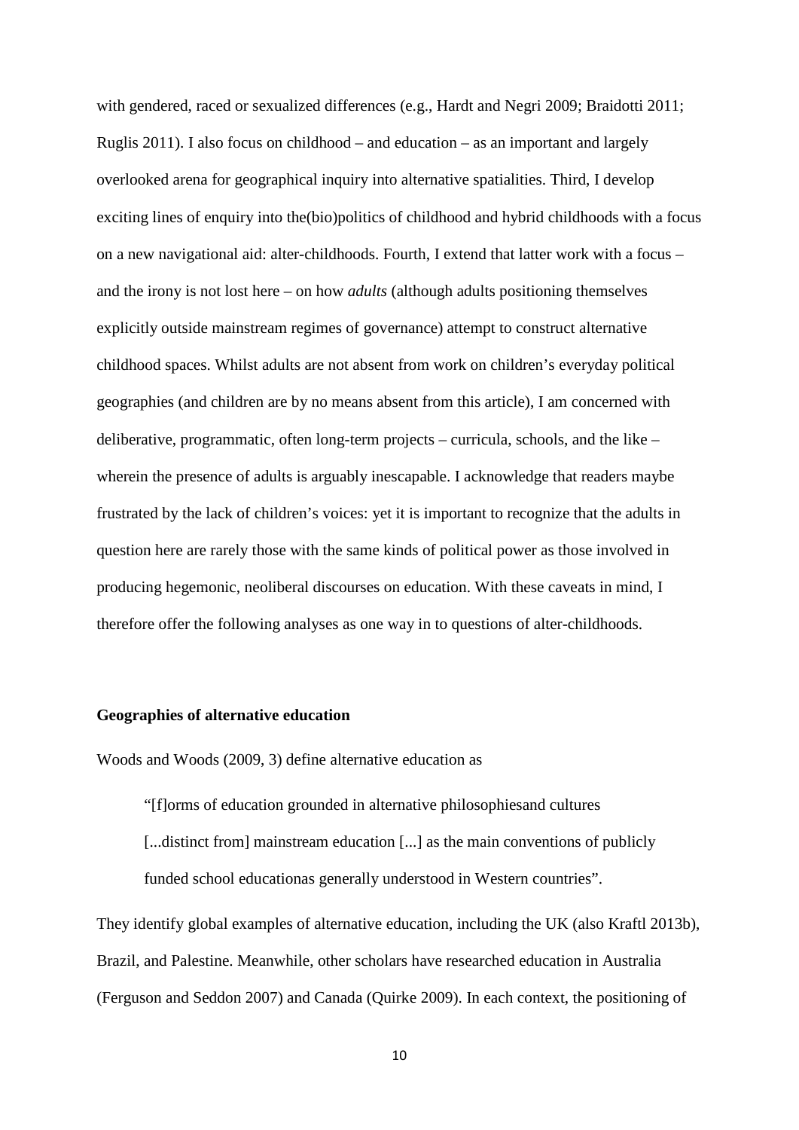with gendered, raced or sexualized differences (e.g., Hardt and Negri 2009; Braidotti 2011; Ruglis 2011). I also focus on childhood – and education – as an important and largely overlooked arena for geographical inquiry into alternative spatialities. Third, I develop exciting lines of enquiry into the(bio)politics of childhood and hybrid childhoods with a focus on a new navigational aid: alter-childhoods. Fourth, I extend that latter work with a focus – and the irony is not lost here – on how *adults* (although adults positioning themselves explicitly outside mainstream regimes of governance) attempt to construct alternative childhood spaces. Whilst adults are not absent from work on children's everyday political geographies (and children are by no means absent from this article), I am concerned with deliberative, programmatic, often long-term projects – curricula, schools, and the like – wherein the presence of adults is arguably inescapable. I acknowledge that readers maybe frustrated by the lack of children's voices: yet it is important to recognize that the adults in question here are rarely those with the same kinds of political power as those involved in producing hegemonic, neoliberal discourses on education. With these caveats in mind, I therefore offer the following analyses as one way in to questions of alter-childhoods.

#### **Geographies of alternative education**

Woods and Woods (2009, 3) define alternative education as

"[f]orms of education grounded in alternative philosophiesand cultures [...distinct from] mainstream education [...] as the main conventions of publicly funded school educationas generally understood in Western countries".

They identify global examples of alternative education, including the UK (also Kraftl 2013b), Brazil, and Palestine. Meanwhile, other scholars have researched education in Australia (Ferguson and Seddon 2007) and Canada (Quirke 2009). In each context, the positioning of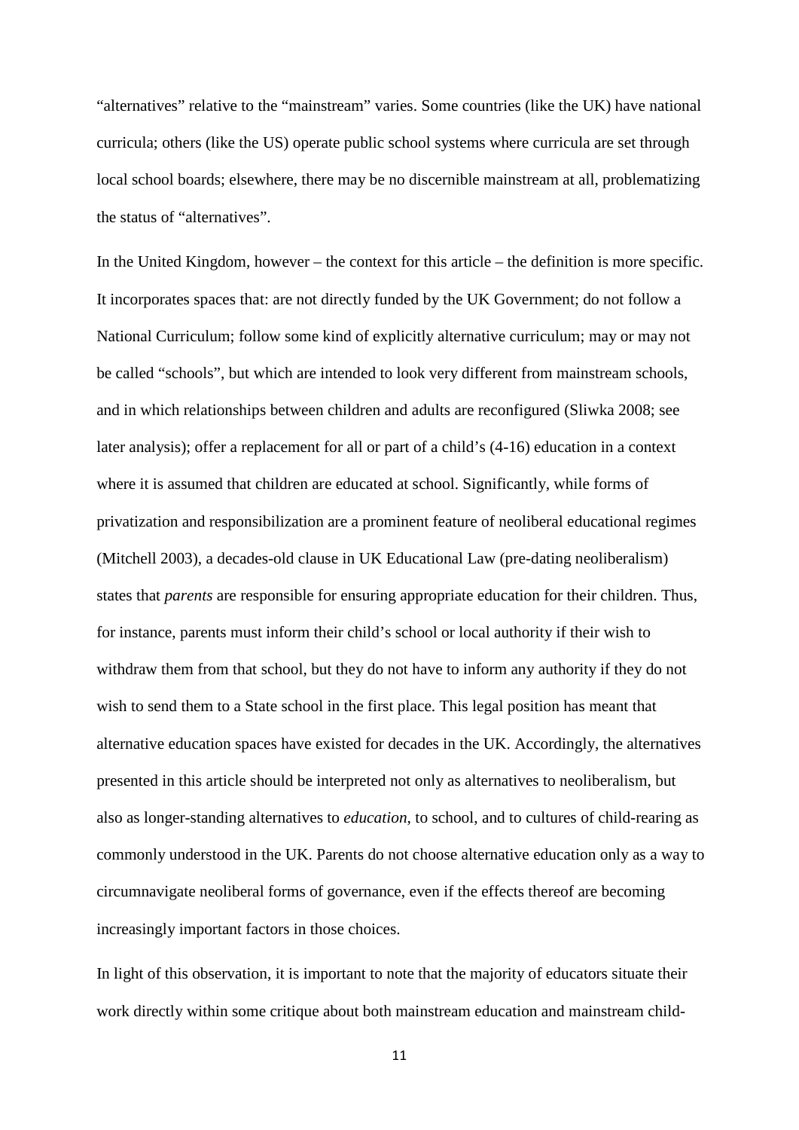"alternatives" relative to the "mainstream" varies. Some countries (like the UK) have national curricula; others (like the US) operate public school systems where curricula are set through local school boards; elsewhere, there may be no discernible mainstream at all, problematizing the status of "alternatives".

In the United Kingdom, however – the context for this article – the definition is more specific. It incorporates spaces that: are not directly funded by the UK Government; do not follow a National Curriculum; follow some kind of explicitly alternative curriculum; may or may not be called "schools", but which are intended to look very different from mainstream schools, and in which relationships between children and adults are reconfigured (Sliwka 2008; see later analysis); offer a replacement for all or part of a child's (4-16) education in a context where it is assumed that children are educated at school. Significantly, while forms of privatization and responsibilization are a prominent feature of neoliberal educational regimes (Mitchell 2003), a decades-old clause in UK Educational Law (pre-dating neoliberalism) states that *parents* are responsible for ensuring appropriate education for their children. Thus, for instance, parents must inform their child's school or local authority if their wish to withdraw them from that school, but they do not have to inform any authority if they do not wish to send them to a State school in the first place. This legal position has meant that alternative education spaces have existed for decades in the UK. Accordingly, the alternatives presented in this article should be interpreted not only as alternatives to neoliberalism, but also as longer-standing alternatives to *education*, to school, and to cultures of child-rearing as commonly understood in the UK. Parents do not choose alternative education only as a way to circumnavigate neoliberal forms of governance, even if the effects thereof are becoming increasingly important factors in those choices.

In light of this observation, it is important to note that the majority of educators situate their work directly within some critique about both mainstream education and mainstream child-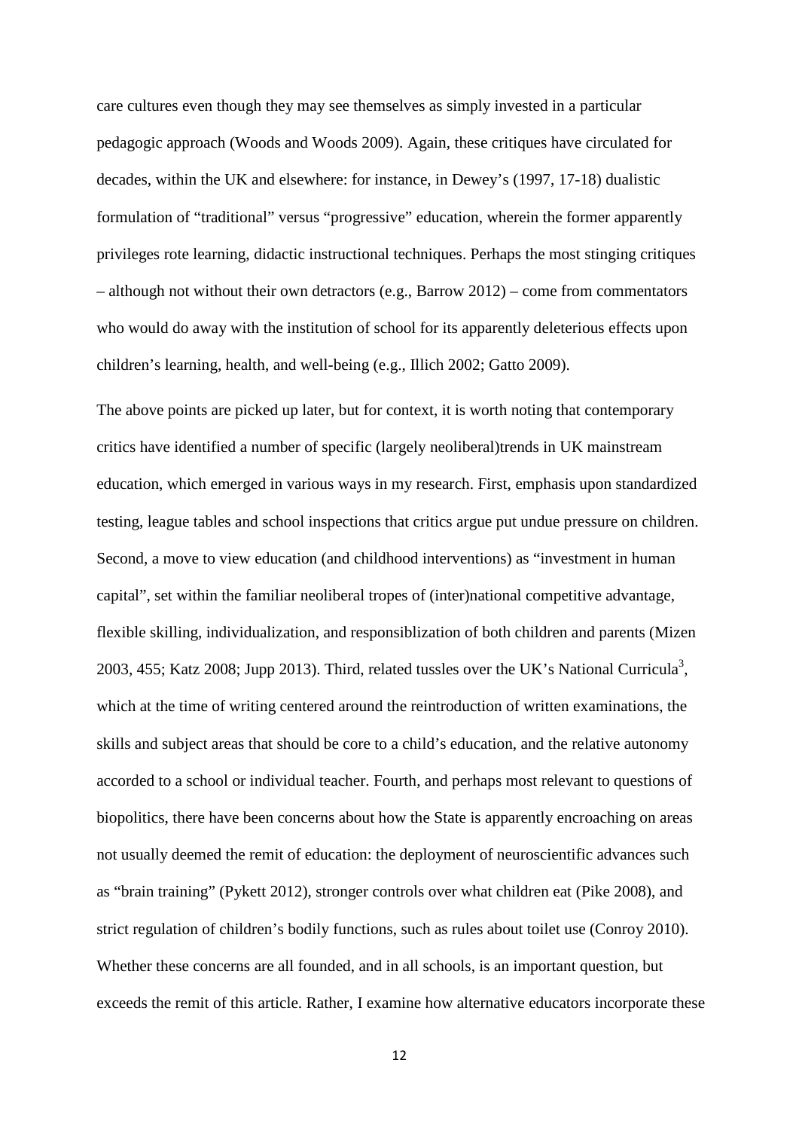care cultures even though they may see themselves as simply invested in a particular pedagogic approach (Woods and Woods 2009). Again, these critiques have circulated for decades, within the UK and elsewhere: for instance, in Dewey's (1997, 17-18) dualistic formulation of "traditional" versus "progressive" education, wherein the former apparently privileges rote learning, didactic instructional techniques. Perhaps the most stinging critiques – although not without their own detractors (e.g., Barrow 2012) – come from commentators who would do away with the institution of school for its apparently deleterious effects upon children's learning, health, and well-being (e.g., Illich 2002; Gatto 2009).

The above points are picked up later, but for context, it is worth noting that contemporary critics have identified a number of specific (largely neoliberal)trends in UK mainstream education, which emerged in various ways in my research. First, emphasis upon standardized testing, league tables and school inspections that critics argue put undue pressure on children. Second, a move to view education (and childhood interventions) as "investment in human capital", set within the familiar neoliberal tropes of (inter)national competitive advantage, flexible skilling, individualization, and responsiblization of both children and parents (Mizen 2003, 455; Katz 2008; Jupp 2013). Third, related tussles over the UK's National Curricula<sup>3</sup>, which at the time of writing centered around the reintroduction of written examinations, the skills and subject areas that should be core to a child's education, and the relative autonomy accorded to a school or individual teacher. Fourth, and perhaps most relevant to questions of biopolitics, there have been concerns about how the State is apparently encroaching on areas not usually deemed the remit of education: the deployment of neuroscientific advances such as "brain training" (Pykett 2012), stronger controls over what children eat (Pike 2008), and strict regulation of children's bodily functions, such as rules about toilet use (Conroy 2010). Whether these concerns are all founded, and in all schools, is an important question, but exceeds the remit of this article. Rather, I examine how alternative educators incorporate these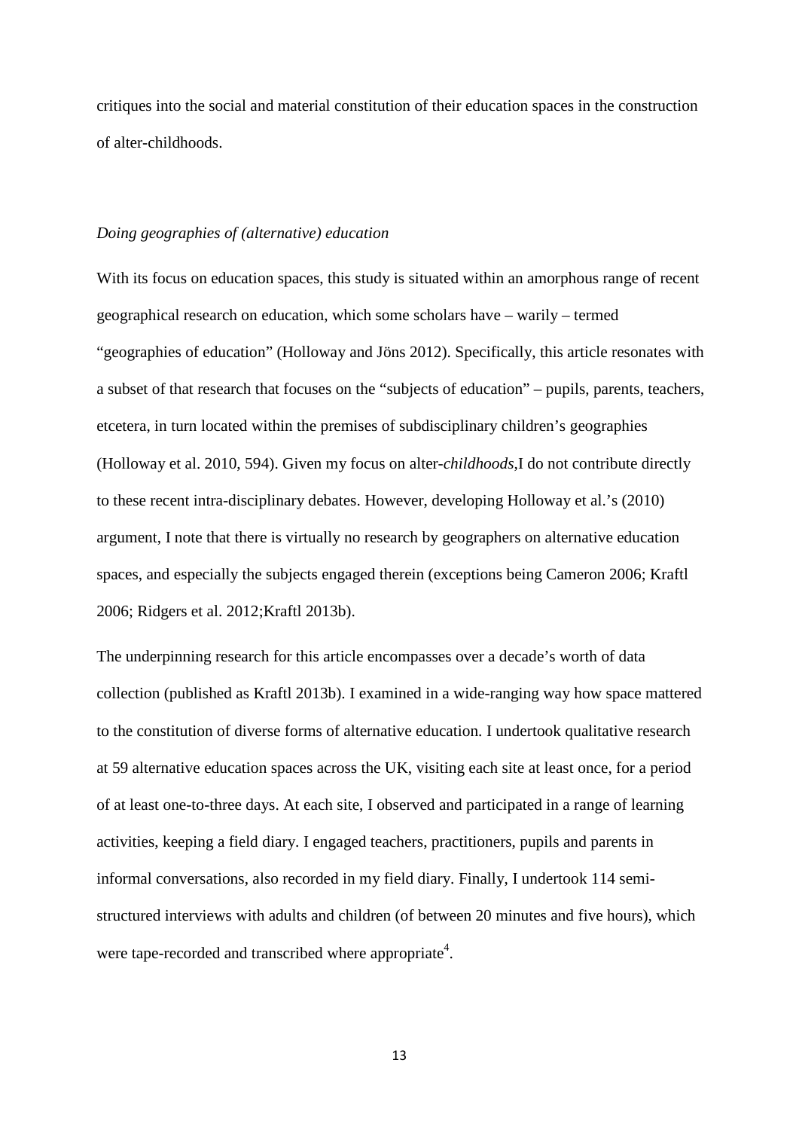critiques into the social and material constitution of their education spaces in the construction of alter-childhoods.

#### *Doing geographies of (alternative) education*

With its focus on education spaces, this study is situated within an amorphous range of recent geographical research on education, which some scholars have – warily – termed "geographies of education" (Holloway and Jöns 2012). Specifically, this article resonates with a subset of that research that focuses on the "subjects of education" – pupils, parents, teachers, etcetera, in turn located within the premises of subdisciplinary children's geographies (Holloway et al. 2010, 594). Given my focus on alter-*childhoods*,I do not contribute directly to these recent intra-disciplinary debates. However, developing Holloway et al.'s (2010) argument, I note that there is virtually no research by geographers on alternative education spaces, and especially the subjects engaged therein (exceptions being Cameron 2006; Kraftl 2006; Ridgers et al. 2012;Kraftl 2013b).

The underpinning research for this article encompasses over a decade's worth of data collection (published as Kraftl 2013b). I examined in a wide-ranging way how space mattered to the constitution of diverse forms of alternative education. I undertook qualitative research at 59 alternative education spaces across the UK, visiting each site at least once, for a period of at least one-to-three days. At each site, I observed and participated in a range of learning activities, keeping a field diary. I engaged teachers, practitioners, pupils and parents in informal conversations, also recorded in my field diary. Finally, I undertook 114 semistructured interviews with adults and children (of between 20 minutes and five hours), which were tape-recorded and transcribed where appropriate<sup>4</sup>.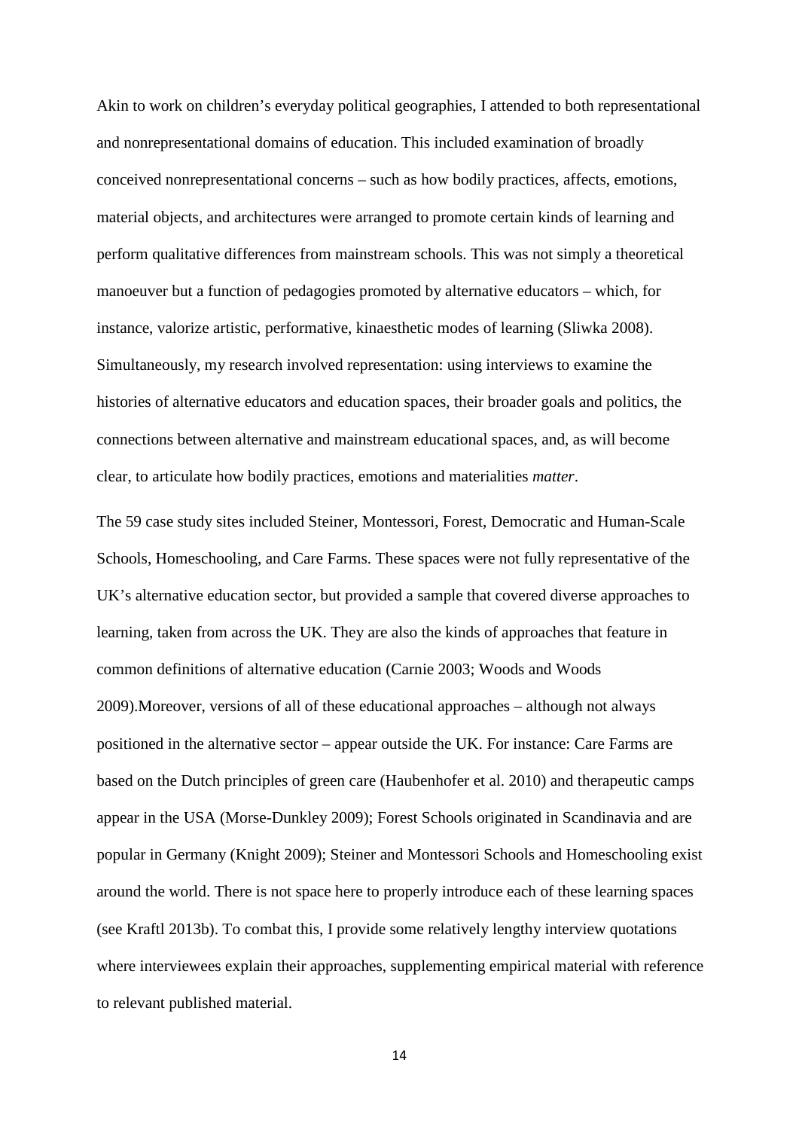Akin to work on children's everyday political geographies, I attended to both representational and nonrepresentational domains of education. This included examination of broadly conceived nonrepresentational concerns – such as how bodily practices, affects, emotions, material objects, and architectures were arranged to promote certain kinds of learning and perform qualitative differences from mainstream schools. This was not simply a theoretical manoeuver but a function of pedagogies promoted by alternative educators – which, for instance, valorize artistic, performative, kinaesthetic modes of learning (Sliwka 2008). Simultaneously, my research involved representation: using interviews to examine the histories of alternative educators and education spaces, their broader goals and politics, the connections between alternative and mainstream educational spaces, and, as will become clear, to articulate how bodily practices, emotions and materialities *matter*.

The 59 case study sites included Steiner, Montessori, Forest, Democratic and Human-Scale Schools, Homeschooling, and Care Farms. These spaces were not fully representative of the UK's alternative education sector, but provided a sample that covered diverse approaches to learning, taken from across the UK. They are also the kinds of approaches that feature in common definitions of alternative education (Carnie 2003; Woods and Woods 2009).Moreover, versions of all of these educational approaches – although not always positioned in the alternative sector – appear outside the UK. For instance: Care Farms are based on the Dutch principles of green care (Haubenhofer et al. 2010) and therapeutic camps appear in the USA (Morse-Dunkley 2009); Forest Schools originated in Scandinavia and are popular in Germany (Knight 2009); Steiner and Montessori Schools and Homeschooling exist around the world. There is not space here to properly introduce each of these learning spaces (see Kraftl 2013b). To combat this, I provide some relatively lengthy interview quotations where interviewees explain their approaches, supplementing empirical material with reference to relevant published material.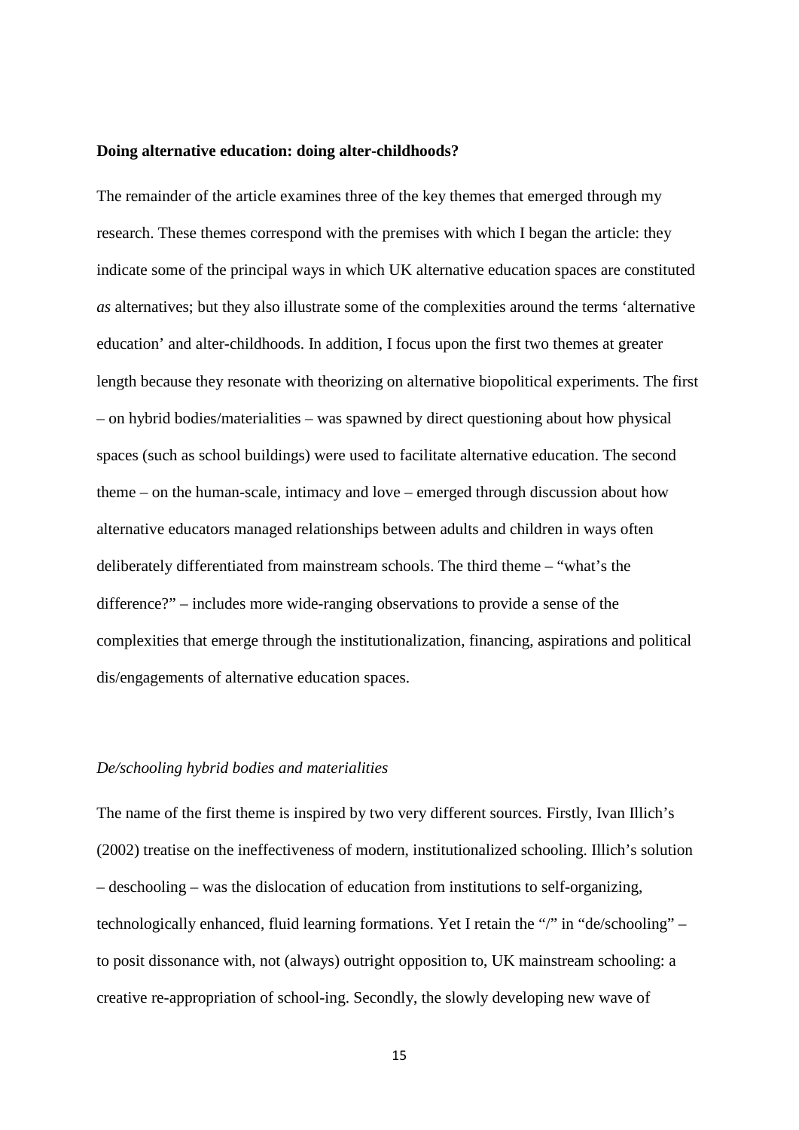#### **Doing alternative education: doing alter-childhoods?**

The remainder of the article examines three of the key themes that emerged through my research. These themes correspond with the premises with which I began the article: they indicate some of the principal ways in which UK alternative education spaces are constituted *as* alternatives; but they also illustrate some of the complexities around the terms 'alternative education' and alter-childhoods. In addition, I focus upon the first two themes at greater length because they resonate with theorizing on alternative biopolitical experiments. The first – on hybrid bodies/materialities – was spawned by direct questioning about how physical spaces (such as school buildings) were used to facilitate alternative education. The second theme – on the human-scale, intimacy and love – emerged through discussion about how alternative educators managed relationships between adults and children in ways often deliberately differentiated from mainstream schools. The third theme – "what's the difference?" – includes more wide-ranging observations to provide a sense of the complexities that emerge through the institutionalization, financing, aspirations and political dis/engagements of alternative education spaces.

#### *De/schooling hybrid bodies and materialities*

The name of the first theme is inspired by two very different sources. Firstly, Ivan Illich's (2002) treatise on the ineffectiveness of modern, institutionalized schooling. Illich's solution – deschooling – was the dislocation of education from institutions to self-organizing, technologically enhanced, fluid learning formations. Yet I retain the "/" in "de/schooling" – to posit dissonance with, not (always) outright opposition to, UK mainstream schooling: a creative re-appropriation of school-ing. Secondly, the slowly developing new wave of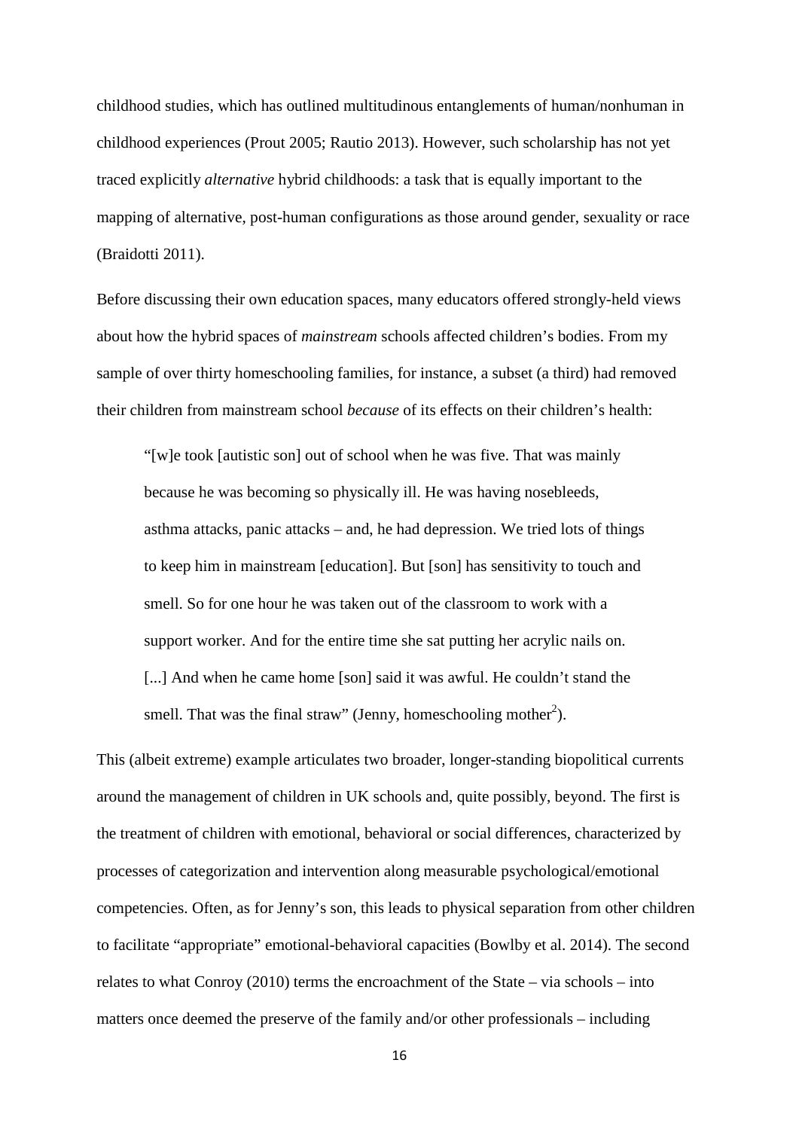childhood studies, which has outlined multitudinous entanglements of human/nonhuman in childhood experiences (Prout 2005; Rautio 2013). However, such scholarship has not yet traced explicitly *alternative* hybrid childhoods: a task that is equally important to the mapping of alternative, post-human configurations as those around gender, sexuality or race (Braidotti 2011).

Before discussing their own education spaces, many educators offered strongly-held views about how the hybrid spaces of *mainstream* schools affected children's bodies. From my sample of over thirty homeschooling families, for instance, a subset (a third) had removed their children from mainstream school *because* of its effects on their children's health:

"[w]e took [autistic son] out of school when he was five. That was mainly because he was becoming so physically ill. He was having nosebleeds, asthma attacks, panic attacks – and, he had depression. We tried lots of things to keep him in mainstream [education]. But [son] has sensitivity to touch and smell. So for one hour he was taken out of the classroom to work with a support worker. And for the entire time she sat putting her acrylic nails on. [...] And when he came home [son] said it was awful. He couldn't stand the smell. That was the final straw" (Jenny, homeschooling mother<sup>2</sup>).

This (albeit extreme) example articulates two broader, longer-standing biopolitical currents around the management of children in UK schools and, quite possibly, beyond. The first is the treatment of children with emotional, behavioral or social differences, characterized by processes of categorization and intervention along measurable psychological/emotional competencies. Often, as for Jenny's son, this leads to physical separation from other children to facilitate "appropriate" emotional-behavioral capacities (Bowlby et al. 2014). The second relates to what Conroy (2010) terms the encroachment of the State – via schools – into matters once deemed the preserve of the family and/or other professionals – including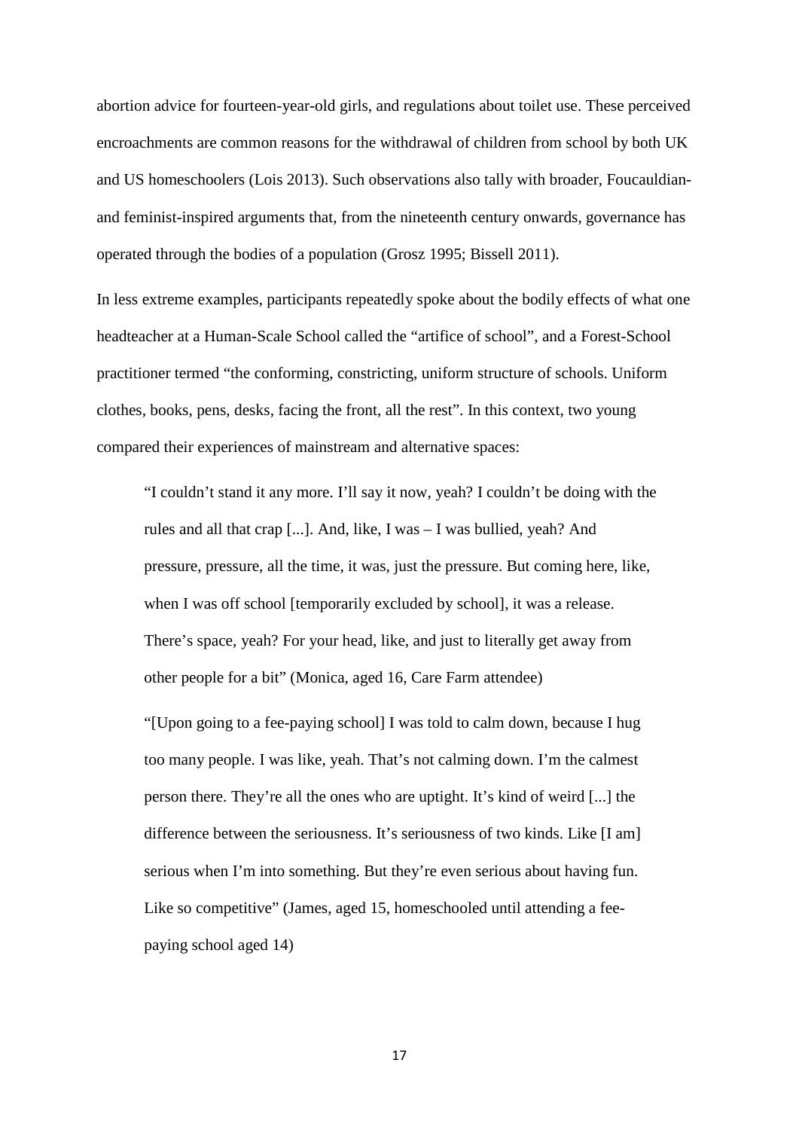abortion advice for fourteen-year-old girls, and regulations about toilet use. These perceived encroachments are common reasons for the withdrawal of children from school by both UK and US homeschoolers (Lois 2013). Such observations also tally with broader, Foucauldianand feminist-inspired arguments that, from the nineteenth century onwards, governance has operated through the bodies of a population (Grosz 1995; Bissell 2011).

In less extreme examples, participants repeatedly spoke about the bodily effects of what one headteacher at a Human-Scale School called the "artifice of school", and a Forest-School practitioner termed "the conforming, constricting, uniform structure of schools. Uniform clothes, books, pens, desks, facing the front, all the rest". In this context, two young compared their experiences of mainstream and alternative spaces:

"I couldn't stand it any more. I'll say it now, yeah? I couldn't be doing with the rules and all that crap [...]. And, like, I was – I was bullied, yeah? And pressure, pressure, all the time, it was, just the pressure. But coming here, like, when I was off school [temporarily excluded by school], it was a release. There's space, yeah? For your head, like, and just to literally get away from other people for a bit" (Monica, aged 16, Care Farm attendee)

"[Upon going to a fee-paying school] I was told to calm down, because I hug too many people. I was like, yeah. That's not calming down. I'm the calmest person there. They're all the ones who are uptight. It's kind of weird [...] the difference between the seriousness. It's seriousness of two kinds. Like [I am] serious when I'm into something. But they're even serious about having fun. Like so competitive" (James, aged 15, homeschooled until attending a feepaying school aged 14)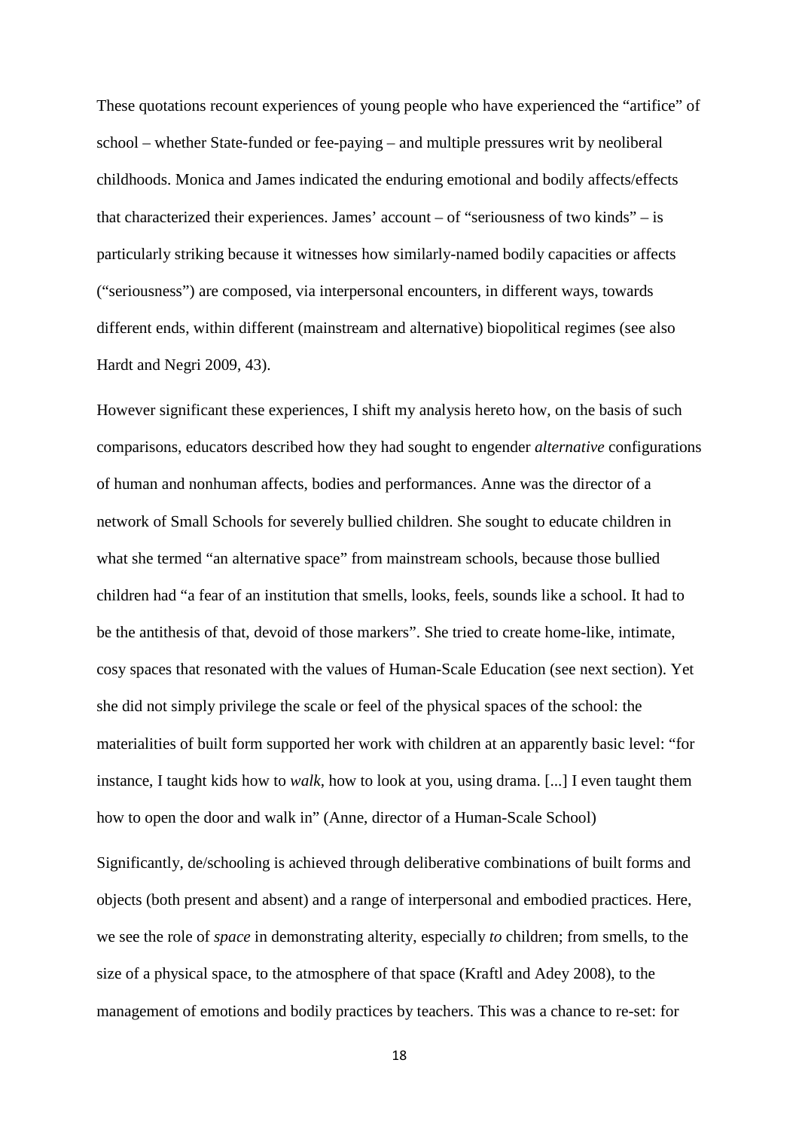These quotations recount experiences of young people who have experienced the "artifice" of school – whether State-funded or fee-paying – and multiple pressures writ by neoliberal childhoods. Monica and James indicated the enduring emotional and bodily affects/effects that characterized their experiences. James' account – of "seriousness of two kinds" – is particularly striking because it witnesses how similarly-named bodily capacities or affects ("seriousness") are composed, via interpersonal encounters, in different ways, towards different ends, within different (mainstream and alternative) biopolitical regimes (see also Hardt and Negri 2009, 43).

However significant these experiences, I shift my analysis hereto how, on the basis of such comparisons, educators described how they had sought to engender *alternative* configurations of human and nonhuman affects, bodies and performances. Anne was the director of a network of Small Schools for severely bullied children. She sought to educate children in what she termed "an alternative space" from mainstream schools, because those bullied children had "a fear of an institution that smells, looks, feels, sounds like a school. It had to be the antithesis of that, devoid of those markers". She tried to create home-like, intimate, cosy spaces that resonated with the values of Human-Scale Education (see next section). Yet she did not simply privilege the scale or feel of the physical spaces of the school: the materialities of built form supported her work with children at an apparently basic level: "for instance, I taught kids how to *walk*, how to look at you, using drama. [...] I even taught them how to open the door and walk in" (Anne, director of a Human-Scale School) Significantly, de/schooling is achieved through deliberative combinations of built forms and objects (both present and absent) and a range of interpersonal and embodied practices. Here, we see the role of *space* in demonstrating alterity, especially *to* children; from smells, to the size of a physical space, to the atmosphere of that space (Kraftl and Adey 2008), to the

management of emotions and bodily practices by teachers. This was a chance to re-set: for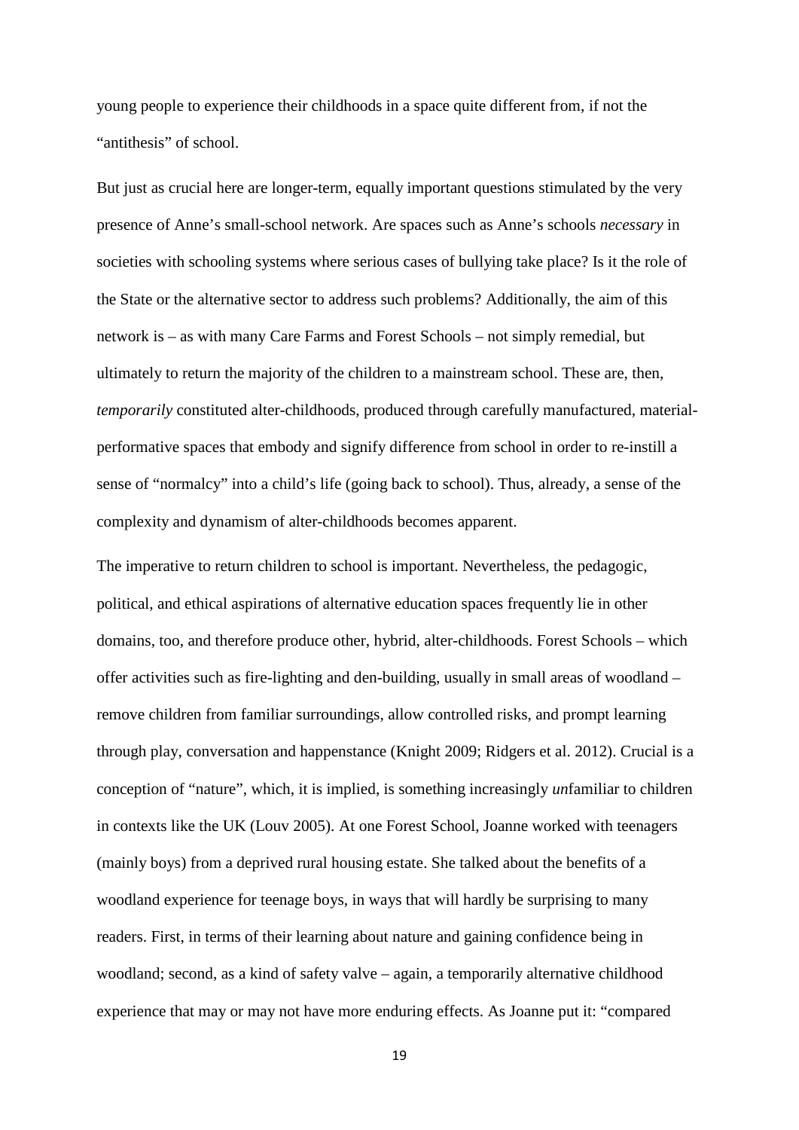young people to experience their childhoods in a space quite different from, if not the "antithesis" of school.

But just as crucial here are longer-term, equally important questions stimulated by the very presence of Anne's small-school network. Are spaces such as Anne's schools *necessary* in societies with schooling systems where serious cases of bullying take place? Is it the role of the State or the alternative sector to address such problems? Additionally, the aim of this network is – as with many Care Farms and Forest Schools – not simply remedial, but ultimately to return the majority of the children to a mainstream school. These are, then, *temporarily* constituted alter-childhoods, produced through carefully manufactured, materialperformative spaces that embody and signify difference from school in order to re-instill a sense of "normalcy" into a child's life (going back to school). Thus, already, a sense of the complexity and dynamism of alter-childhoods becomes apparent.

The imperative to return children to school is important. Nevertheless, the pedagogic, political, and ethical aspirations of alternative education spaces frequently lie in other domains, too, and therefore produce other, hybrid, alter-childhoods. Forest Schools – which offer activities such as fire-lighting and den-building, usually in small areas of woodland – remove children from familiar surroundings, allow controlled risks, and prompt learning through play, conversation and happenstance (Knight 2009; Ridgers et al. 2012). Crucial is a conception of "nature", which, it is implied, is something increasingly *un*familiar to children in contexts like the UK (Louv 2005). At one Forest School, Joanne worked with teenagers (mainly boys) from a deprived rural housing estate. She talked about the benefits of a woodland experience for teenage boys, in ways that will hardly be surprising to many readers. First, in terms of their learning about nature and gaining confidence being in woodland; second, as a kind of safety valve – again, a temporarily alternative childhood experience that may or may not have more enduring effects. As Joanne put it: "compared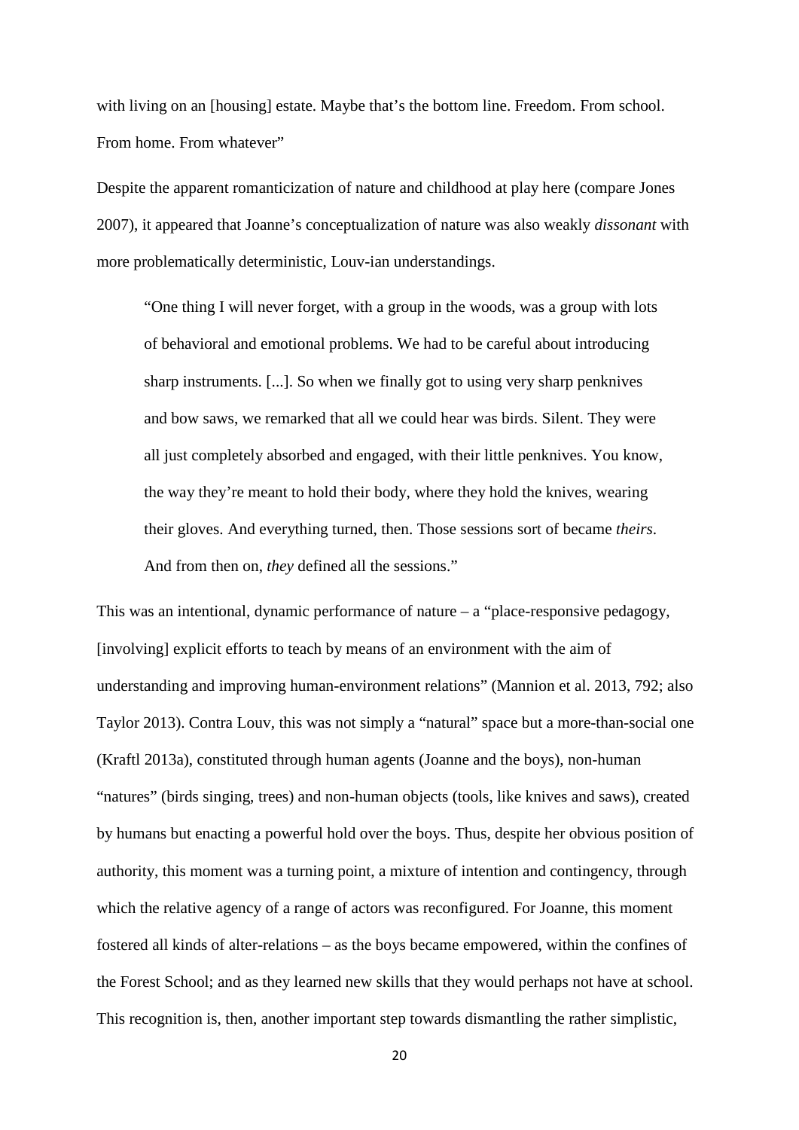with living on an [housing] estate. Maybe that's the bottom line. Freedom. From school. From home. From whatever"

Despite the apparent romanticization of nature and childhood at play here (compare Jones 2007), it appeared that Joanne's conceptualization of nature was also weakly *dissonant* with more problematically deterministic, Louv-ian understandings.

"One thing I will never forget, with a group in the woods, was a group with lots of behavioral and emotional problems. We had to be careful about introducing sharp instruments. [...]. So when we finally got to using very sharp penknives and bow saws, we remarked that all we could hear was birds. Silent. They were all just completely absorbed and engaged, with their little penknives. You know, the way they're meant to hold their body, where they hold the knives, wearing their gloves. And everything turned, then. Those sessions sort of became *theirs*. And from then on, *they* defined all the sessions."

This was an intentional, dynamic performance of nature – a "place-responsive pedagogy, [involving] explicit efforts to teach by means of an environment with the aim of understanding and improving human-environment relations" (Mannion et al. 2013, 792; also Taylor 2013). Contra Louv, this was not simply a "natural" space but a more-than-social one (Kraftl 2013a), constituted through human agents (Joanne and the boys), non-human "natures" (birds singing, trees) and non-human objects (tools, like knives and saws), created by humans but enacting a powerful hold over the boys. Thus, despite her obvious position of authority, this moment was a turning point, a mixture of intention and contingency, through which the relative agency of a range of actors was reconfigured. For Joanne, this moment fostered all kinds of alter-relations – as the boys became empowered, within the confines of the Forest School; and as they learned new skills that they would perhaps not have at school. This recognition is, then, another important step towards dismantling the rather simplistic,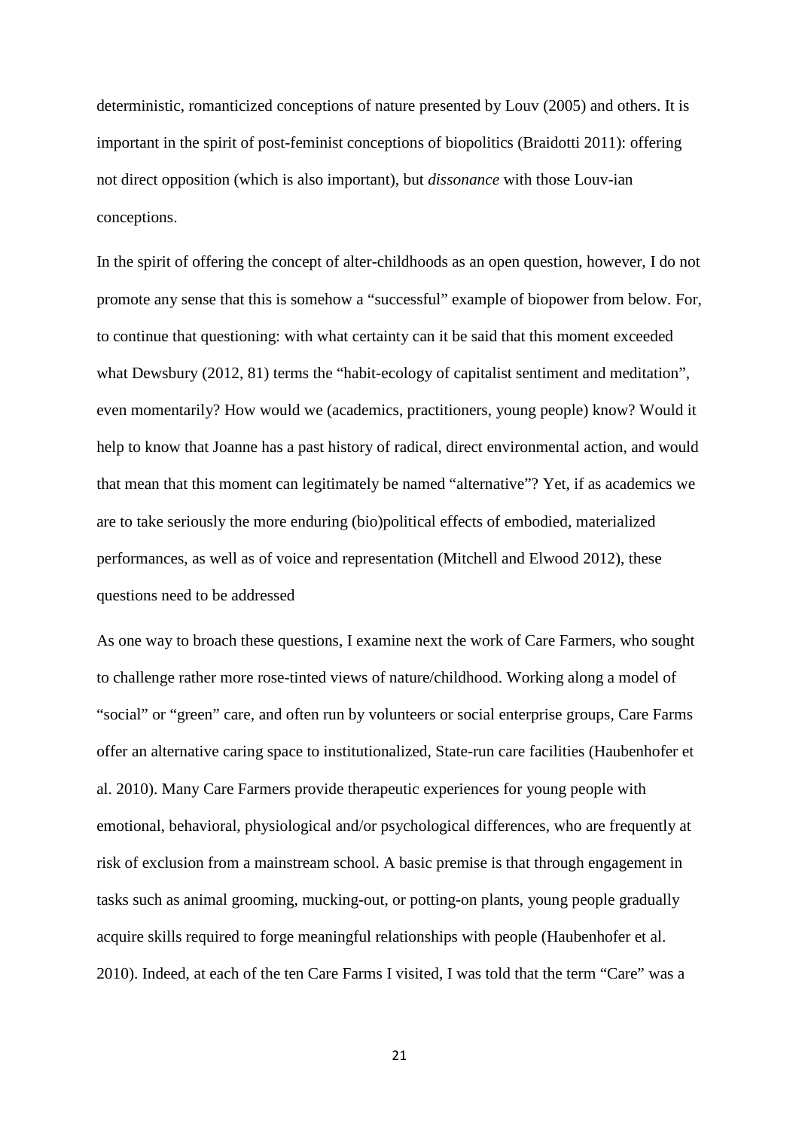deterministic, romanticized conceptions of nature presented by Louv (2005) and others. It is important in the spirit of post-feminist conceptions of biopolitics (Braidotti 2011): offering not direct opposition (which is also important), but *dissonance* with those Louv-ian conceptions.

In the spirit of offering the concept of alter-childhoods as an open question, however, I do not promote any sense that this is somehow a "successful" example of biopower from below. For, to continue that questioning: with what certainty can it be said that this moment exceeded what Dewsbury (2012, 81) terms the "habit-ecology of capitalist sentiment and meditation", even momentarily? How would we (academics, practitioners, young people) know? Would it help to know that Joanne has a past history of radical, direct environmental action, and would that mean that this moment can legitimately be named "alternative"? Yet, if as academics we are to take seriously the more enduring (bio)political effects of embodied, materialized performances, as well as of voice and representation (Mitchell and Elwood 2012), these questions need to be addressed

As one way to broach these questions, I examine next the work of Care Farmers, who sought to challenge rather more rose-tinted views of nature/childhood. Working along a model of "social" or "green" care, and often run by volunteers or social enterprise groups, Care Farms offer an alternative caring space to institutionalized, State-run care facilities (Haubenhofer et al. 2010). Many Care Farmers provide therapeutic experiences for young people with emotional, behavioral, physiological and/or psychological differences, who are frequently at risk of exclusion from a mainstream school. A basic premise is that through engagement in tasks such as animal grooming, mucking-out, or potting-on plants, young people gradually acquire skills required to forge meaningful relationships with people (Haubenhofer et al. 2010). Indeed, at each of the ten Care Farms I visited, I was told that the term "Care" was a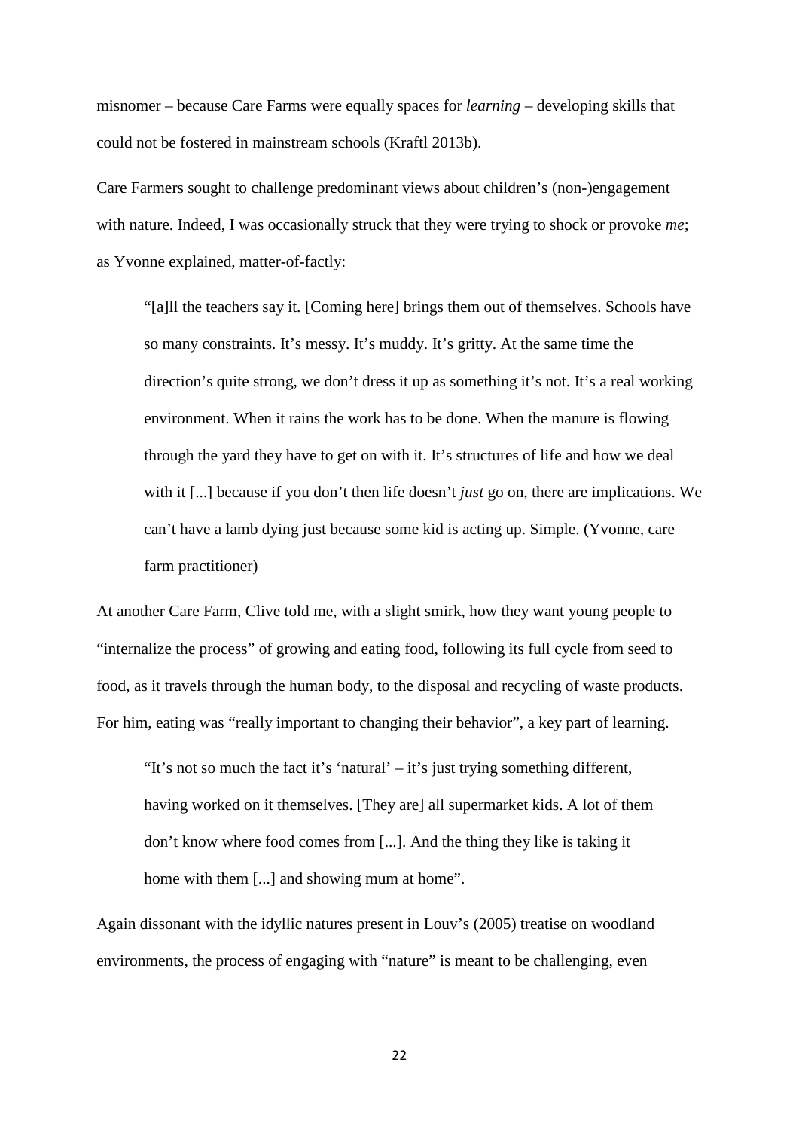misnomer – because Care Farms were equally spaces for *learning* – developing skills that could not be fostered in mainstream schools (Kraftl 2013b).

Care Farmers sought to challenge predominant views about children's (non-)engagement with nature. Indeed, I was occasionally struck that they were trying to shock or provoke *me*; as Yvonne explained, matter-of-factly:

"[a]ll the teachers say it. [Coming here] brings them out of themselves. Schools have so many constraints. It's messy. It's muddy. It's gritty. At the same time the direction's quite strong, we don't dress it up as something it's not. It's a real working environment. When it rains the work has to be done. When the manure is flowing through the yard they have to get on with it. It's structures of life and how we deal with it [...] because if you don't then life doesn't *just* go on, there are implications. We can't have a lamb dying just because some kid is acting up. Simple. (Yvonne, care farm practitioner)

At another Care Farm, Clive told me, with a slight smirk, how they want young people to "internalize the process" of growing and eating food, following its full cycle from seed to food, as it travels through the human body, to the disposal and recycling of waste products. For him, eating was "really important to changing their behavior", a key part of learning.

"It's not so much the fact it's 'natural'  $-$  it's just trying something different, having worked on it themselves. [They are] all supermarket kids. A lot of them don't know where food comes from [...]. And the thing they like is taking it home with them [...] and showing mum at home".

Again dissonant with the idyllic natures present in Louv's (2005) treatise on woodland environments, the process of engaging with "nature" is meant to be challenging, even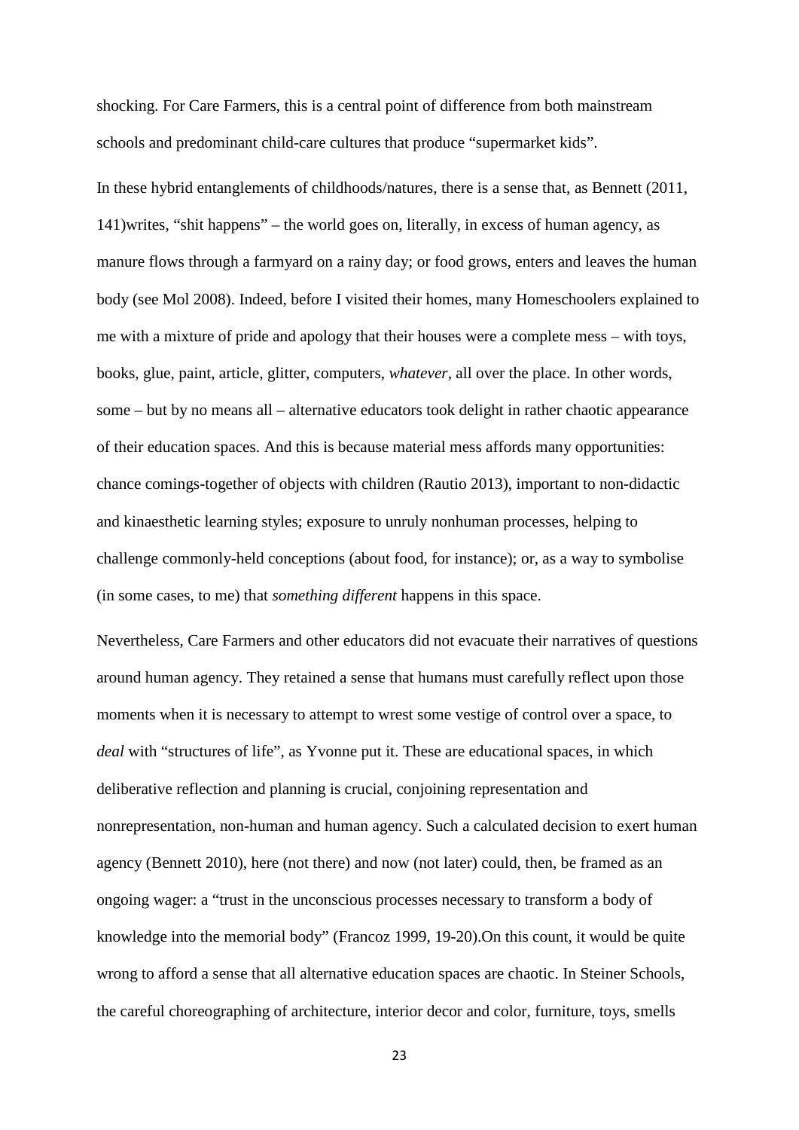shocking. For Care Farmers, this is a central point of difference from both mainstream schools and predominant child-care cultures that produce "supermarket kids".

In these hybrid entanglements of childhoods/natures, there is a sense that, as Bennett (2011, 141)writes, "shit happens" – the world goes on, literally, in excess of human agency, as manure flows through a farmyard on a rainy day; or food grows, enters and leaves the human body (see Mol 2008). Indeed, before I visited their homes, many Homeschoolers explained to me with a mixture of pride and apology that their houses were a complete mess – with toys, books, glue, paint, article, glitter, computers, *whatever*, all over the place. In other words, some – but by no means all – alternative educators took delight in rather chaotic appearance of their education spaces. And this is because material mess affords many opportunities: chance comings-together of objects with children (Rautio 2013), important to non-didactic and kinaesthetic learning styles; exposure to unruly nonhuman processes, helping to challenge commonly-held conceptions (about food, for instance); or, as a way to symbolise (in some cases, to me) that *something different* happens in this space.

Nevertheless, Care Farmers and other educators did not evacuate their narratives of questions around human agency. They retained a sense that humans must carefully reflect upon those moments when it is necessary to attempt to wrest some vestige of control over a space, to *deal* with "structures of life", as Yvonne put it. These are educational spaces, in which deliberative reflection and planning is crucial, conjoining representation and nonrepresentation, non-human and human agency. Such a calculated decision to exert human agency (Bennett 2010), here (not there) and now (not later) could, then, be framed as an ongoing wager: a "trust in the unconscious processes necessary to transform a body of knowledge into the memorial body" (Francoz 1999, 19-20).On this count, it would be quite wrong to afford a sense that all alternative education spaces are chaotic. In Steiner Schools, the careful choreographing of architecture, interior decor and color, furniture, toys, smells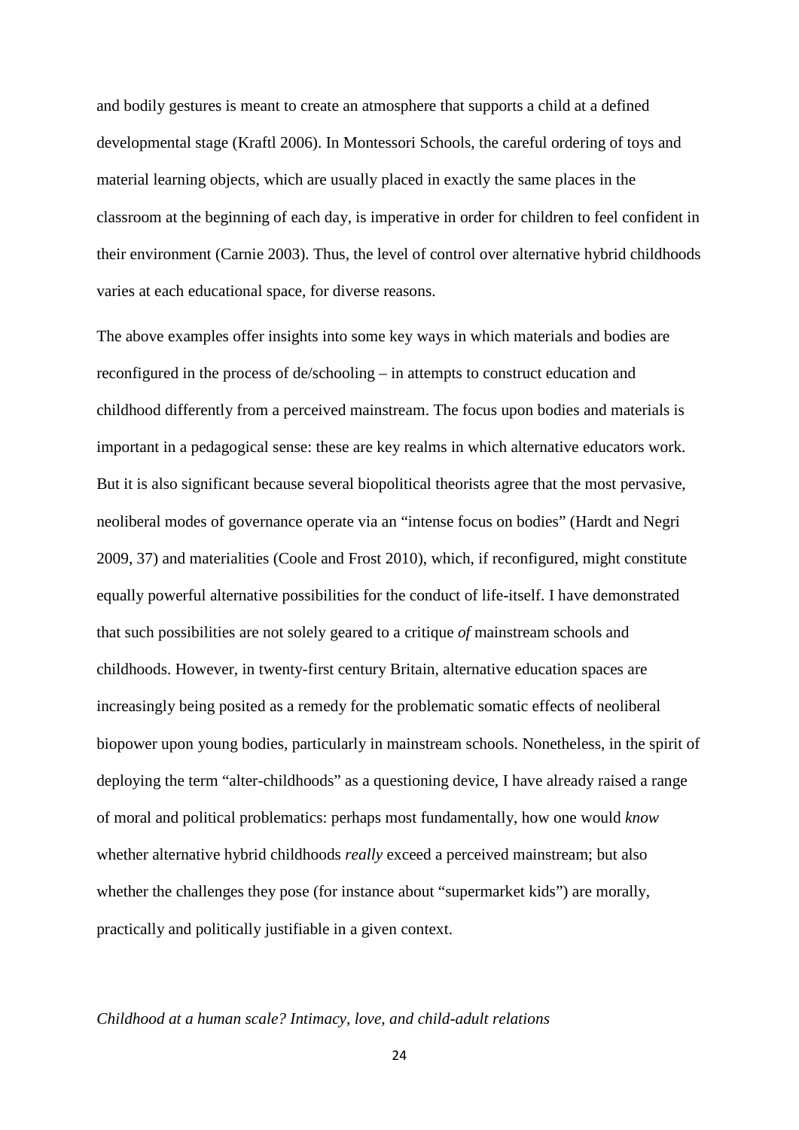and bodily gestures is meant to create an atmosphere that supports a child at a defined developmental stage (Kraftl 2006). In Montessori Schools, the careful ordering of toys and material learning objects, which are usually placed in exactly the same places in the classroom at the beginning of each day, is imperative in order for children to feel confident in their environment (Carnie 2003). Thus, the level of control over alternative hybrid childhoods varies at each educational space, for diverse reasons.

The above examples offer insights into some key ways in which materials and bodies are reconfigured in the process of de/schooling – in attempts to construct education and childhood differently from a perceived mainstream. The focus upon bodies and materials is important in a pedagogical sense: these are key realms in which alternative educators work. But it is also significant because several biopolitical theorists agree that the most pervasive, neoliberal modes of governance operate via an "intense focus on bodies" (Hardt and Negri 2009, 37) and materialities (Coole and Frost 2010), which, if reconfigured, might constitute equally powerful alternative possibilities for the conduct of life-itself. I have demonstrated that such possibilities are not solely geared to a critique *of* mainstream schools and childhoods. However, in twenty-first century Britain, alternative education spaces are increasingly being posited as a remedy for the problematic somatic effects of neoliberal biopower upon young bodies, particularly in mainstream schools. Nonetheless, in the spirit of deploying the term "alter-childhoods" as a questioning device, I have already raised a range of moral and political problematics: perhaps most fundamentally, how one would *know* whether alternative hybrid childhoods *really* exceed a perceived mainstream; but also whether the challenges they pose (for instance about "supermarket kids") are morally, practically and politically justifiable in a given context.

#### *Childhood at a human scale? Intimacy, love, and child-adult relations*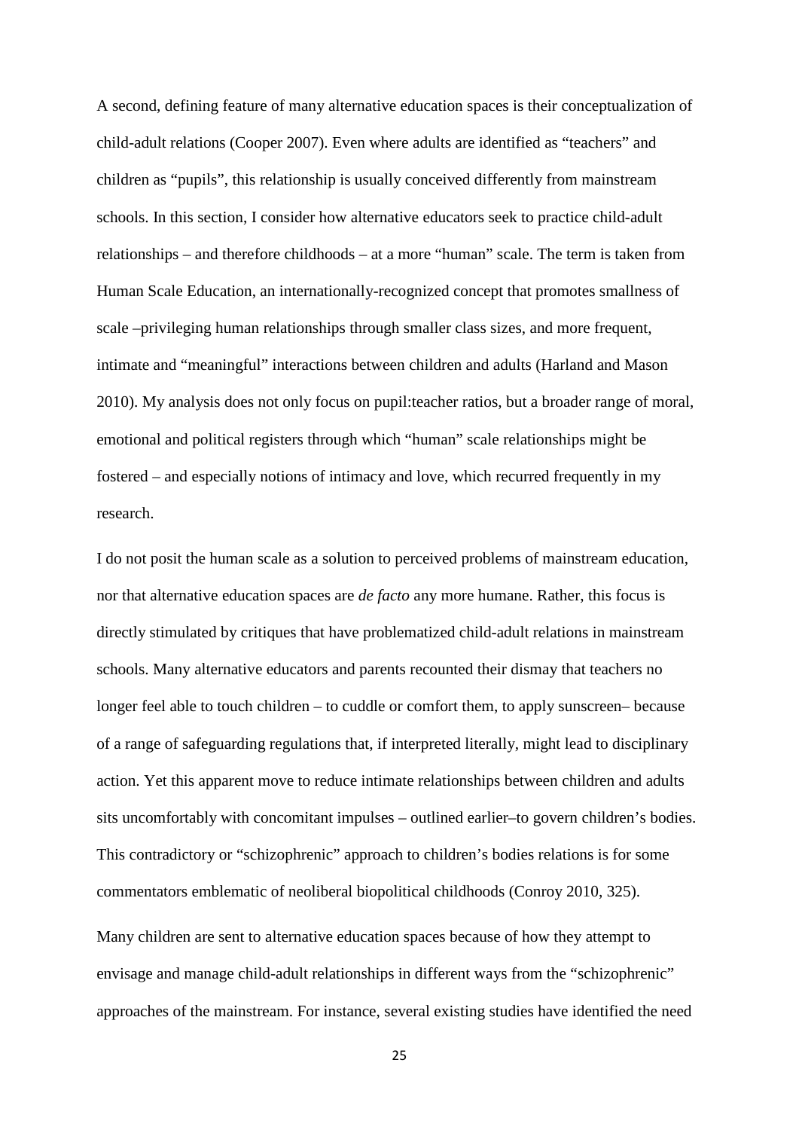A second, defining feature of many alternative education spaces is their conceptualization of child-adult relations (Cooper 2007). Even where adults are identified as "teachers" and children as "pupils", this relationship is usually conceived differently from mainstream schools. In this section, I consider how alternative educators seek to practice child-adult relationships – and therefore childhoods – at a more "human" scale. The term is taken from Human Scale Education, an internationally-recognized concept that promotes smallness of scale –privileging human relationships through smaller class sizes, and more frequent, intimate and "meaningful" interactions between children and adults (Harland and Mason 2010). My analysis does not only focus on pupil:teacher ratios, but a broader range of moral, emotional and political registers through which "human" scale relationships might be fostered – and especially notions of intimacy and love, which recurred frequently in my research.

I do not posit the human scale as a solution to perceived problems of mainstream education, nor that alternative education spaces are *de facto* any more humane. Rather, this focus is directly stimulated by critiques that have problematized child-adult relations in mainstream schools. Many alternative educators and parents recounted their dismay that teachers no longer feel able to touch children – to cuddle or comfort them, to apply sunscreen– because of a range of safeguarding regulations that, if interpreted literally, might lead to disciplinary action. Yet this apparent move to reduce intimate relationships between children and adults sits uncomfortably with concomitant impulses – outlined earlier–to govern children's bodies. This contradictory or "schizophrenic" approach to children's bodies relations is for some commentators emblematic of neoliberal biopolitical childhoods (Conroy 2010, 325).

Many children are sent to alternative education spaces because of how they attempt to envisage and manage child-adult relationships in different ways from the "schizophrenic" approaches of the mainstream. For instance, several existing studies have identified the need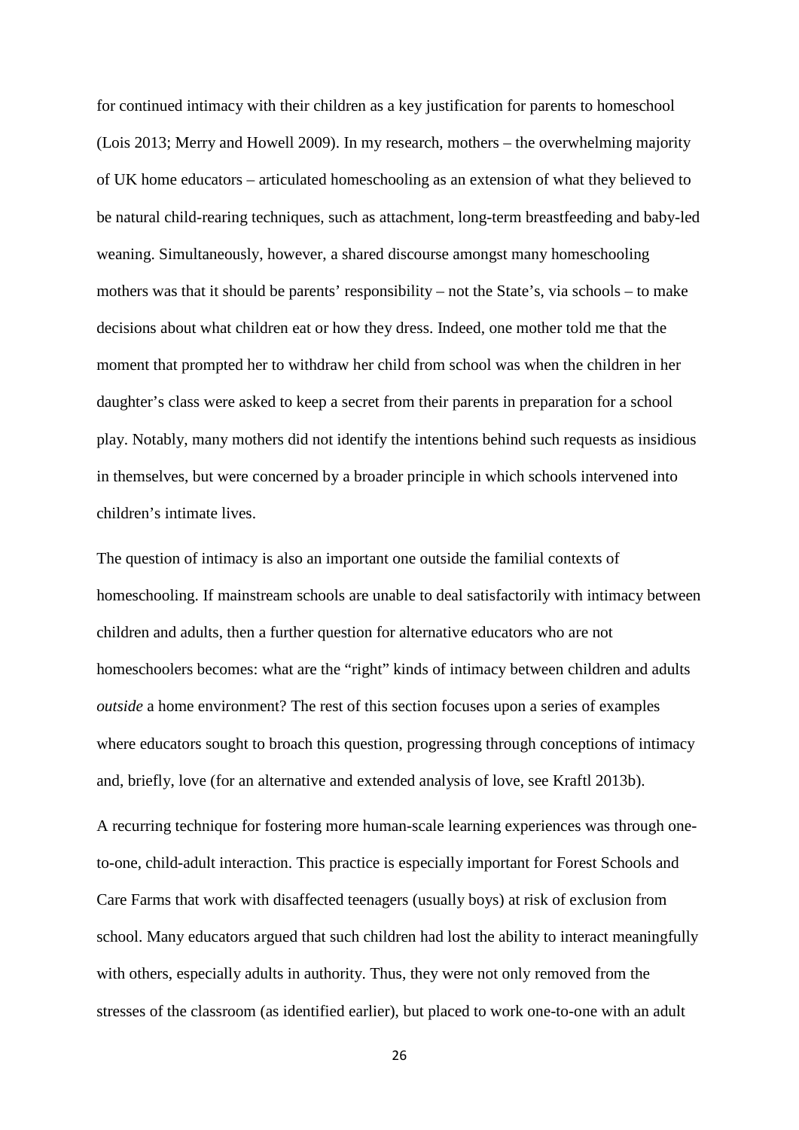for continued intimacy with their children as a key justification for parents to homeschool (Lois 2013; Merry and Howell 2009). In my research, mothers – the overwhelming majority of UK home educators – articulated homeschooling as an extension of what they believed to be natural child-rearing techniques, such as attachment, long-term breastfeeding and baby-led weaning. Simultaneously, however, a shared discourse amongst many homeschooling mothers was that it should be parents' responsibility – not the State's, via schools – to make decisions about what children eat or how they dress. Indeed, one mother told me that the moment that prompted her to withdraw her child from school was when the children in her daughter's class were asked to keep a secret from their parents in preparation for a school play. Notably, many mothers did not identify the intentions behind such requests as insidious in themselves, but were concerned by a broader principle in which schools intervened into children's intimate lives.

The question of intimacy is also an important one outside the familial contexts of homeschooling. If mainstream schools are unable to deal satisfactorily with intimacy between children and adults, then a further question for alternative educators who are not homeschoolers becomes: what are the "right" kinds of intimacy between children and adults *outside* a home environment? The rest of this section focuses upon a series of examples where educators sought to broach this question, progressing through conceptions of intimacy and, briefly, love (for an alternative and extended analysis of love, see Kraftl 2013b).

A recurring technique for fostering more human-scale learning experiences was through oneto-one, child-adult interaction. This practice is especially important for Forest Schools and Care Farms that work with disaffected teenagers (usually boys) at risk of exclusion from school. Many educators argued that such children had lost the ability to interact meaningfully with others, especially adults in authority. Thus, they were not only removed from the stresses of the classroom (as identified earlier), but placed to work one-to-one with an adult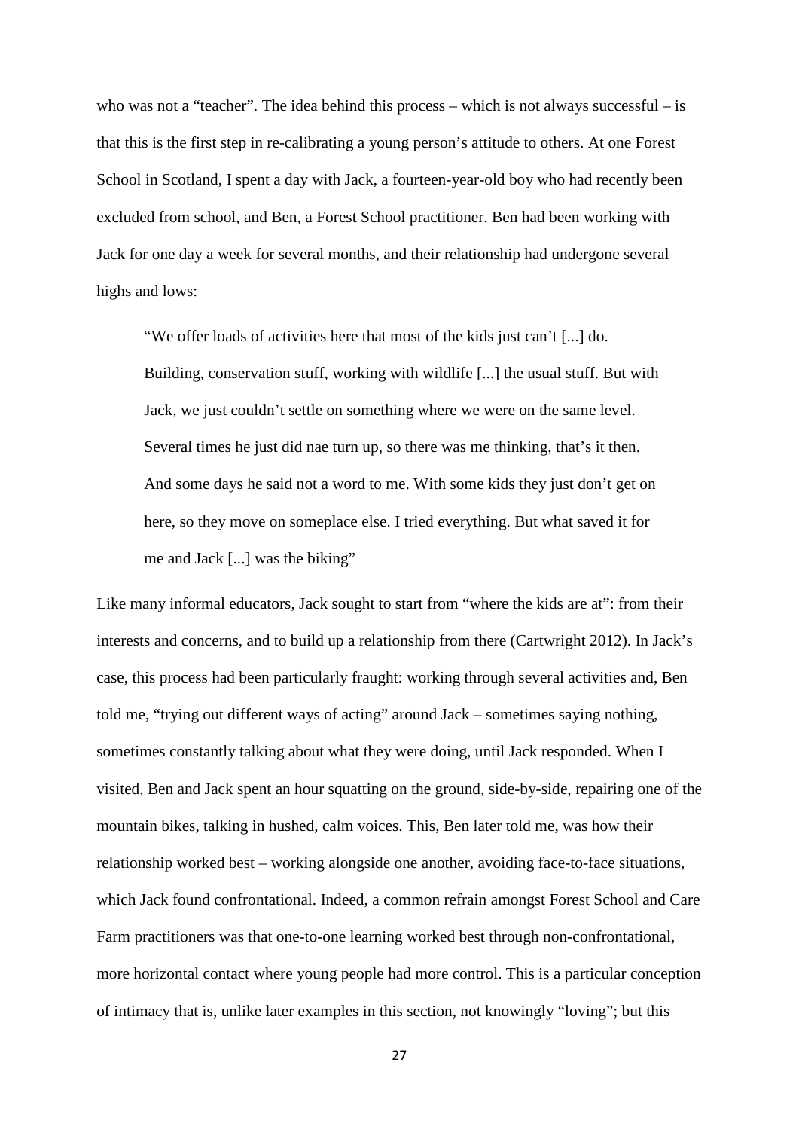who was not a "teacher". The idea behind this process – which is not always successful – is that this is the first step in re-calibrating a young person's attitude to others. At one Forest School in Scotland, I spent a day with Jack, a fourteen-year-old boy who had recently been excluded from school, and Ben, a Forest School practitioner. Ben had been working with Jack for one day a week for several months, and their relationship had undergone several highs and lows:

"We offer loads of activities here that most of the kids just can't [...] do. Building, conservation stuff, working with wildlife [...] the usual stuff. But with Jack, we just couldn't settle on something where we were on the same level. Several times he just did nae turn up, so there was me thinking, that's it then. And some days he said not a word to me. With some kids they just don't get on here, so they move on someplace else. I tried everything. But what saved it for me and Jack [...] was the biking"

Like many informal educators, Jack sought to start from "where the kids are at": from their interests and concerns, and to build up a relationship from there (Cartwright 2012). In Jack's case, this process had been particularly fraught: working through several activities and, Ben told me, "trying out different ways of acting" around Jack – sometimes saying nothing, sometimes constantly talking about what they were doing, until Jack responded. When I visited, Ben and Jack spent an hour squatting on the ground, side-by-side, repairing one of the mountain bikes, talking in hushed, calm voices. This, Ben later told me, was how their relationship worked best – working alongside one another, avoiding face-to-face situations, which Jack found confrontational. Indeed, a common refrain amongst Forest School and Care Farm practitioners was that one-to-one learning worked best through non-confrontational, more horizontal contact where young people had more control. This is a particular conception of intimacy that is, unlike later examples in this section, not knowingly "loving"; but this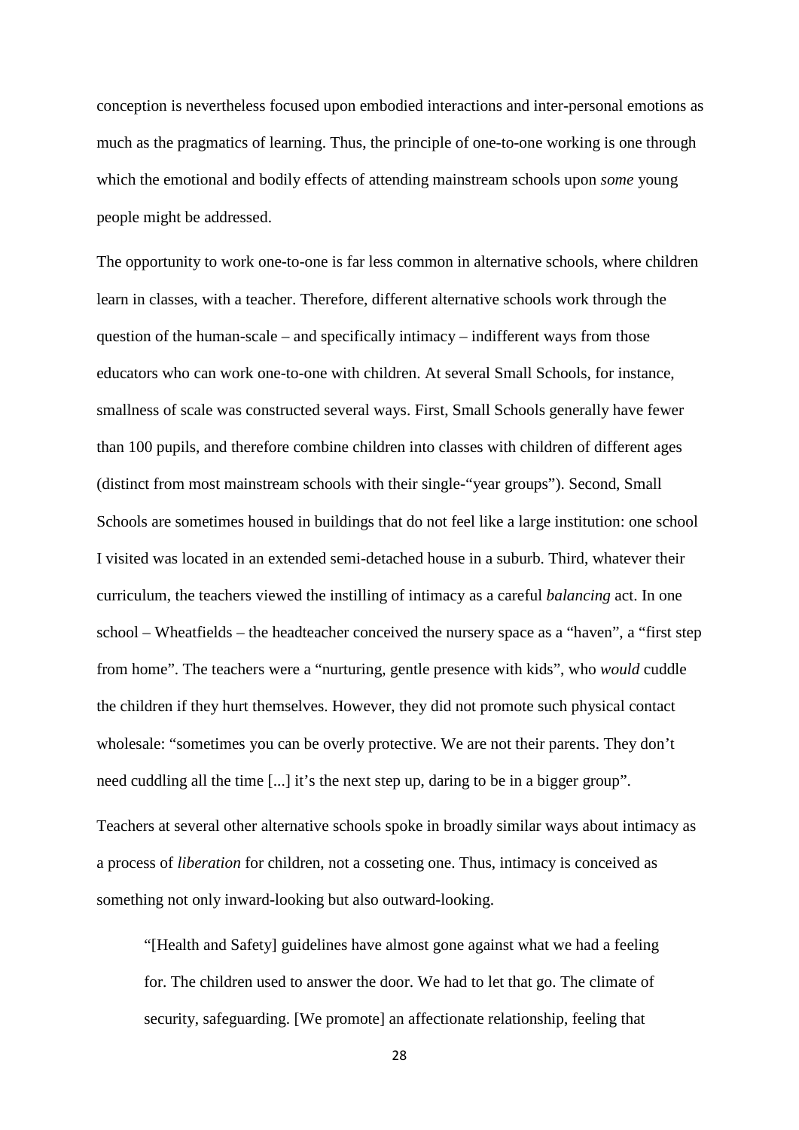conception is nevertheless focused upon embodied interactions and inter-personal emotions as much as the pragmatics of learning. Thus, the principle of one-to-one working is one through which the emotional and bodily effects of attending mainstream schools upon *some* young people might be addressed.

The opportunity to work one-to-one is far less common in alternative schools, where children learn in classes, with a teacher. Therefore, different alternative schools work through the question of the human-scale – and specifically intimacy – indifferent ways from those educators who can work one-to-one with children. At several Small Schools, for instance, smallness of scale was constructed several ways. First, Small Schools generally have fewer than 100 pupils, and therefore combine children into classes with children of different ages (distinct from most mainstream schools with their single-"year groups"). Second, Small Schools are sometimes housed in buildings that do not feel like a large institution: one school I visited was located in an extended semi-detached house in a suburb. Third, whatever their curriculum, the teachers viewed the instilling of intimacy as a careful *balancing* act. In one school – Wheatfields – the headteacher conceived the nursery space as a "haven", a "first step from home". The teachers were a "nurturing, gentle presence with kids", who *would* cuddle the children if they hurt themselves. However, they did not promote such physical contact wholesale: "sometimes you can be overly protective. We are not their parents. They don't need cuddling all the time [...] it's the next step up, daring to be in a bigger group". Teachers at several other alternative schools spoke in broadly similar ways about intimacy as a process of *liberation* for children, not a cosseting one. Thus, intimacy is conceived as something not only inward-looking but also outward-looking.

"[Health and Safety] guidelines have almost gone against what we had a feeling for. The children used to answer the door. We had to let that go. The climate of security, safeguarding. [We promote] an affectionate relationship, feeling that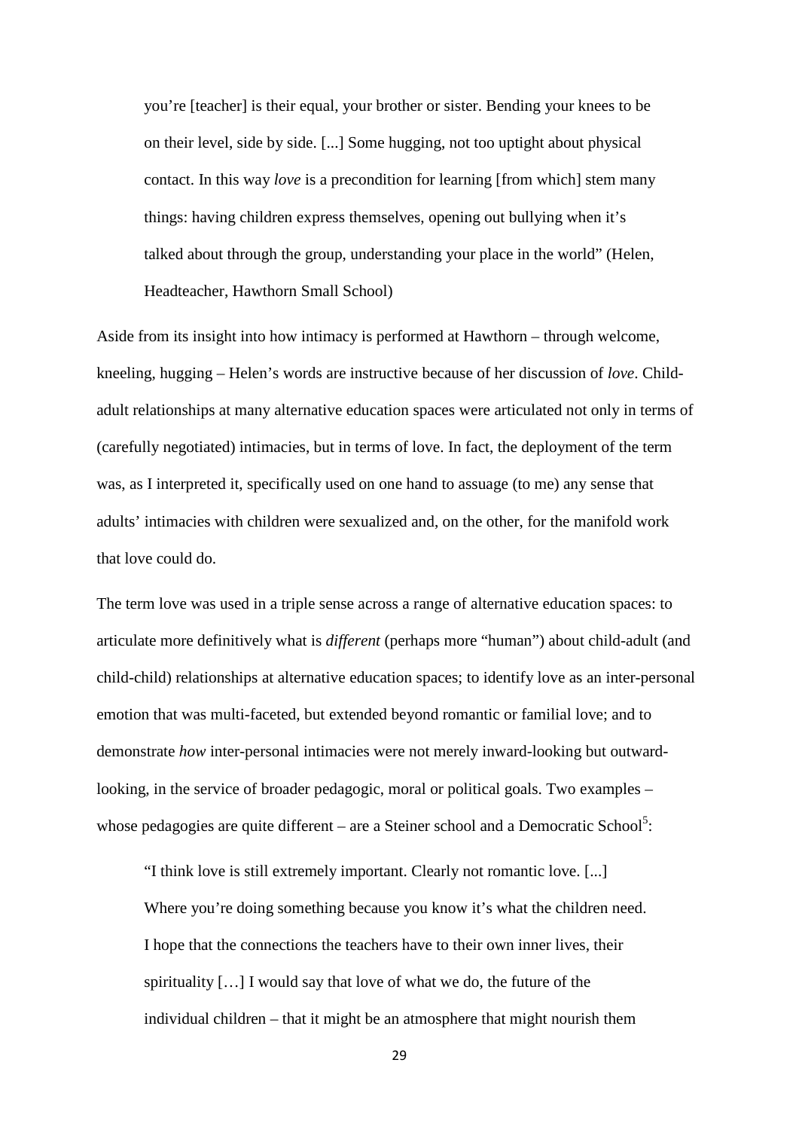you're [teacher] is their equal, your brother or sister. Bending your knees to be on their level, side by side. [...] Some hugging, not too uptight about physical contact. In this way *love* is a precondition for learning [from which] stem many things: having children express themselves, opening out bullying when it's talked about through the group, understanding your place in the world" (Helen, Headteacher, Hawthorn Small School)

Aside from its insight into how intimacy is performed at Hawthorn – through welcome, kneeling, hugging – Helen's words are instructive because of her discussion of *love*. Childadult relationships at many alternative education spaces were articulated not only in terms of (carefully negotiated) intimacies, but in terms of love. In fact, the deployment of the term was, as I interpreted it, specifically used on one hand to assuage (to me) any sense that adults' intimacies with children were sexualized and, on the other, for the manifold work that love could do.

The term love was used in a triple sense across a range of alternative education spaces: to articulate more definitively what is *different* (perhaps more "human") about child-adult (and child-child) relationships at alternative education spaces; to identify love as an inter-personal emotion that was multi-faceted, but extended beyond romantic or familial love; and to demonstrate *how* inter-personal intimacies were not merely inward-looking but outwardlooking, in the service of broader pedagogic, moral or political goals. Two examples – whose pedagogies are quite different – are a Steiner school and a Democratic School<sup>5</sup>:

"I think love is still extremely important. Clearly not romantic love. [...] Where you're doing something because you know it's what the children need. I hope that the connections the teachers have to their own inner lives, their spirituality […] I would say that love of what we do, the future of the individual children – that it might be an atmosphere that might nourish them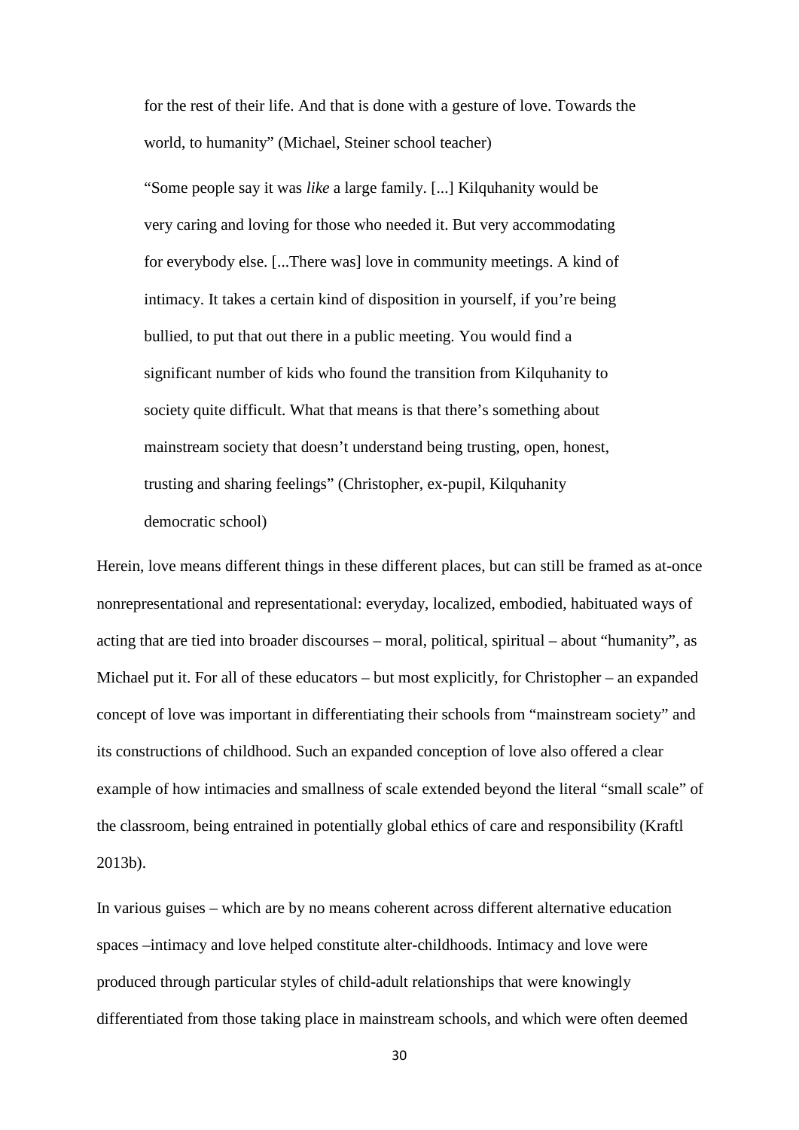for the rest of their life. And that is done with a gesture of love. Towards the world, to humanity" (Michael, Steiner school teacher)

"Some people say it was *like* a large family. [...] Kilquhanity would be very caring and loving for those who needed it. But very accommodating for everybody else. [...There was] love in community meetings. A kind of intimacy. It takes a certain kind of disposition in yourself, if you're being bullied, to put that out there in a public meeting. You would find a significant number of kids who found the transition from Kilquhanity to society quite difficult. What that means is that there's something about mainstream society that doesn't understand being trusting, open, honest, trusting and sharing feelings" (Christopher, ex-pupil, Kilquhanity democratic school)

Herein, love means different things in these different places, but can still be framed as at-once nonrepresentational and representational: everyday, localized, embodied, habituated ways of acting that are tied into broader discourses – moral, political, spiritual – about "humanity", as Michael put it. For all of these educators – but most explicitly, for Christopher – an expanded concept of love was important in differentiating their schools from "mainstream society" and its constructions of childhood. Such an expanded conception of love also offered a clear example of how intimacies and smallness of scale extended beyond the literal "small scale" of the classroom, being entrained in potentially global ethics of care and responsibility (Kraftl 2013b).

In various guises – which are by no means coherent across different alternative education spaces –intimacy and love helped constitute alter-childhoods. Intimacy and love were produced through particular styles of child-adult relationships that were knowingly differentiated from those taking place in mainstream schools, and which were often deemed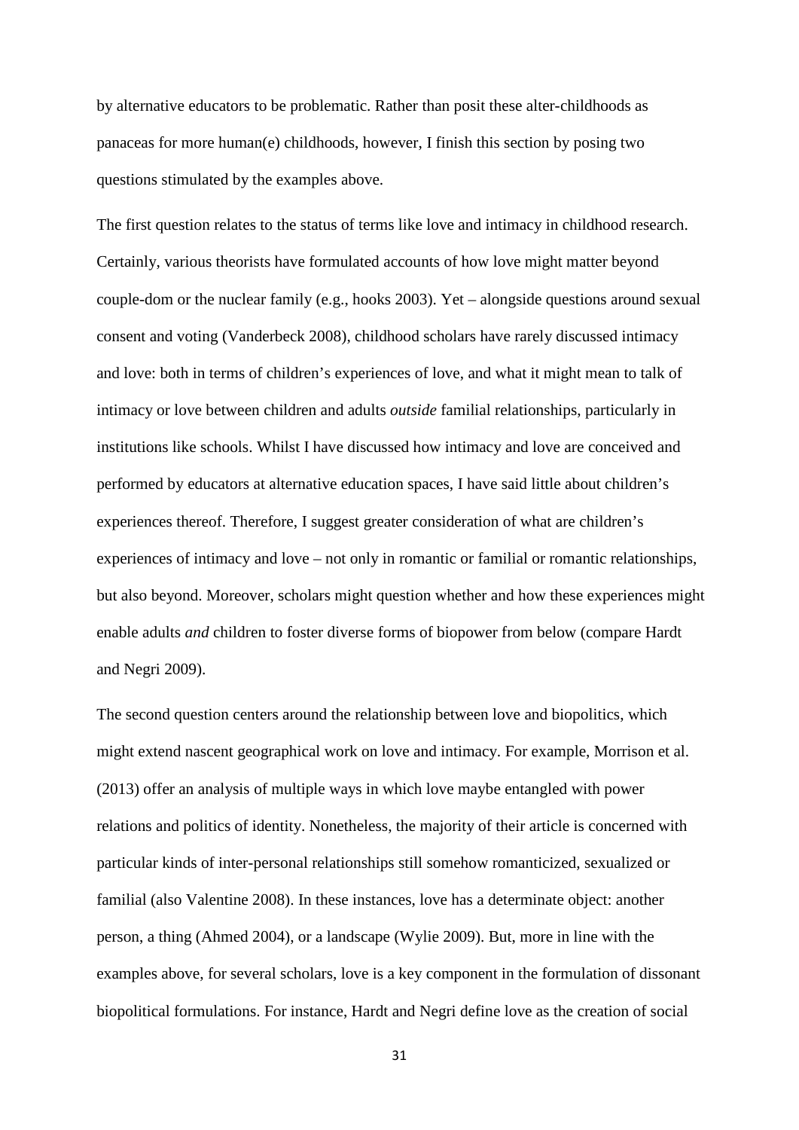by alternative educators to be problematic. Rather than posit these alter-childhoods as panaceas for more human(e) childhoods, however, I finish this section by posing two questions stimulated by the examples above.

The first question relates to the status of terms like love and intimacy in childhood research. Certainly, various theorists have formulated accounts of how love might matter beyond couple-dom or the nuclear family (e.g., hooks 2003). Yet – alongside questions around sexual consent and voting (Vanderbeck 2008), childhood scholars have rarely discussed intimacy and love: both in terms of children's experiences of love, and what it might mean to talk of intimacy or love between children and adults *outside* familial relationships, particularly in institutions like schools. Whilst I have discussed how intimacy and love are conceived and performed by educators at alternative education spaces, I have said little about children's experiences thereof. Therefore, I suggest greater consideration of what are children's experiences of intimacy and love – not only in romantic or familial or romantic relationships, but also beyond. Moreover, scholars might question whether and how these experiences might enable adults *and* children to foster diverse forms of biopower from below (compare Hardt and Negri 2009).

The second question centers around the relationship between love and biopolitics, which might extend nascent geographical work on love and intimacy. For example, Morrison et al. (2013) offer an analysis of multiple ways in which love maybe entangled with power relations and politics of identity. Nonetheless, the majority of their article is concerned with particular kinds of inter-personal relationships still somehow romanticized, sexualized or familial (also Valentine 2008). In these instances, love has a determinate object: another person, a thing (Ahmed 2004), or a landscape (Wylie 2009). But, more in line with the examples above, for several scholars, love is a key component in the formulation of dissonant biopolitical formulations. For instance, Hardt and Negri define love as the creation of social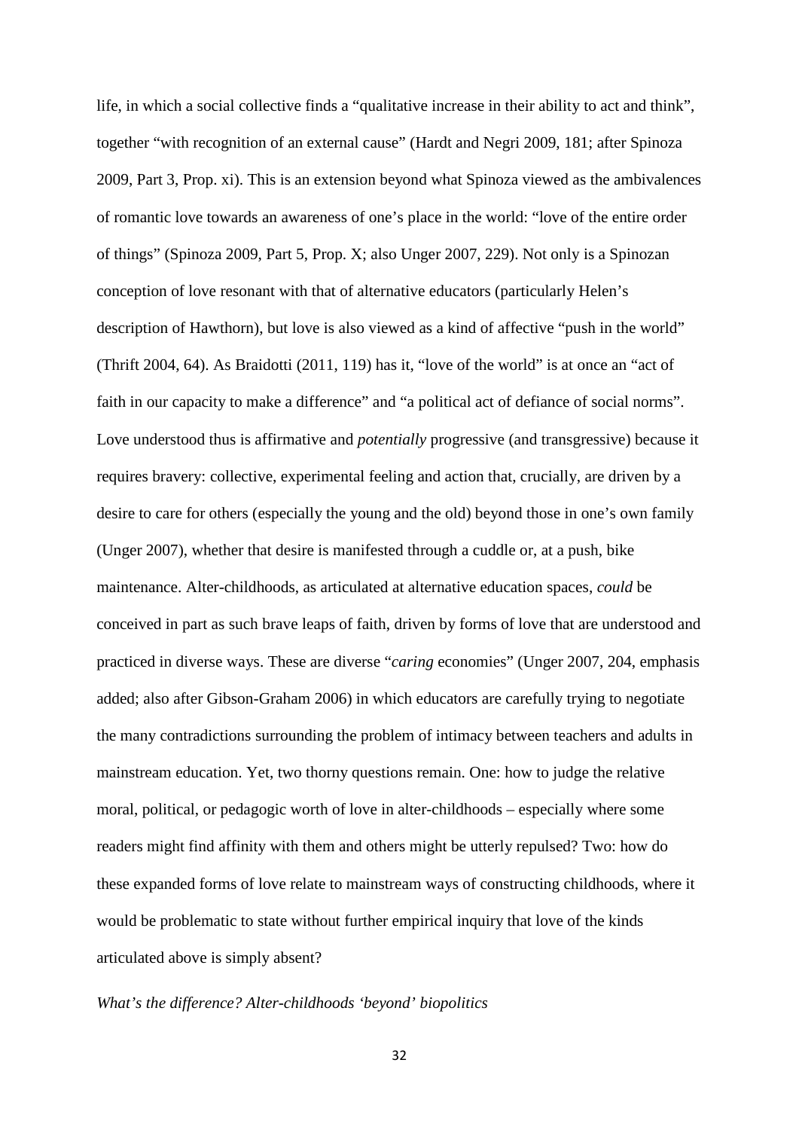life, in which a social collective finds a "qualitative increase in their ability to act and think", together "with recognition of an external cause" (Hardt and Negri 2009, 181; after Spinoza 2009, Part 3, Prop. xi). This is an extension beyond what Spinoza viewed as the ambivalences of romantic love towards an awareness of one's place in the world: "love of the entire order of things" (Spinoza 2009, Part 5, Prop. X; also Unger 2007, 229). Not only is a Spinozan conception of love resonant with that of alternative educators (particularly Helen's description of Hawthorn), but love is also viewed as a kind of affective "push in the world" (Thrift 2004, 64). As Braidotti (2011, 119) has it, "love of the world" is at once an "act of faith in our capacity to make a difference" and "a political act of defiance of social norms". Love understood thus is affirmative and *potentially* progressive (and transgressive) because it requires bravery: collective, experimental feeling and action that, crucially, are driven by a desire to care for others (especially the young and the old) beyond those in one's own family (Unger 2007), whether that desire is manifested through a cuddle or, at a push, bike maintenance. Alter-childhoods, as articulated at alternative education spaces, *could* be conceived in part as such brave leaps of faith, driven by forms of love that are understood and practiced in diverse ways. These are diverse "*caring* economies" (Unger 2007, 204, emphasis added; also after Gibson-Graham 2006) in which educators are carefully trying to negotiate the many contradictions surrounding the problem of intimacy between teachers and adults in mainstream education. Yet, two thorny questions remain. One: how to judge the relative moral, political, or pedagogic worth of love in alter-childhoods – especially where some readers might find affinity with them and others might be utterly repulsed? Two: how do these expanded forms of love relate to mainstream ways of constructing childhoods, where it would be problematic to state without further empirical inquiry that love of the kinds articulated above is simply absent?

#### *What's the difference? Alter-childhoods 'beyond' biopolitics*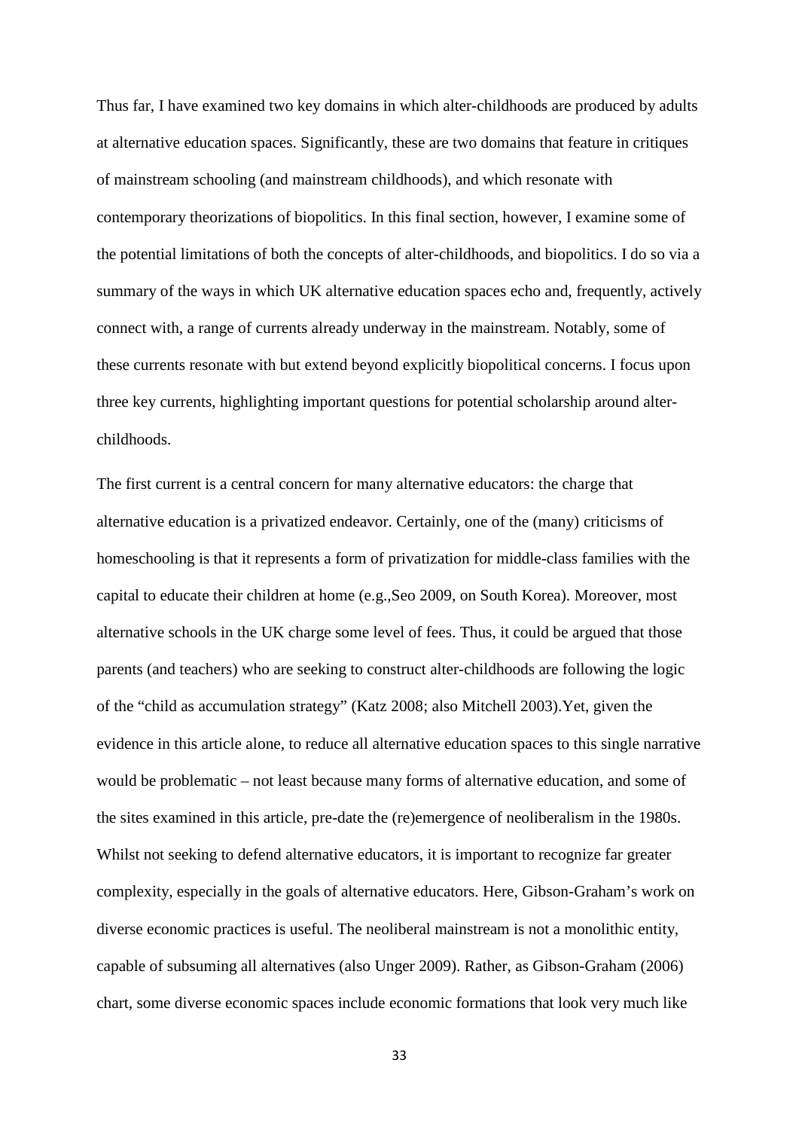Thus far, I have examined two key domains in which alter-childhoods are produced by adults at alternative education spaces. Significantly, these are two domains that feature in critiques of mainstream schooling (and mainstream childhoods), and which resonate with contemporary theorizations of biopolitics. In this final section, however, I examine some of the potential limitations of both the concepts of alter-childhoods, and biopolitics. I do so via a summary of the ways in which UK alternative education spaces echo and, frequently, actively connect with, a range of currents already underway in the mainstream. Notably, some of these currents resonate with but extend beyond explicitly biopolitical concerns. I focus upon three key currents, highlighting important questions for potential scholarship around alterchildhoods.

The first current is a central concern for many alternative educators: the charge that alternative education is a privatized endeavor. Certainly, one of the (many) criticisms of homeschooling is that it represents a form of privatization for middle-class families with the capital to educate their children at home (e.g.,Seo 2009, on South Korea). Moreover, most alternative schools in the UK charge some level of fees. Thus, it could be argued that those parents (and teachers) who are seeking to construct alter-childhoods are following the logic of the "child as accumulation strategy" (Katz 2008; also Mitchell 2003).Yet, given the evidence in this article alone, to reduce all alternative education spaces to this single narrative would be problematic – not least because many forms of alternative education, and some of the sites examined in this article, pre-date the (re)emergence of neoliberalism in the 1980s. Whilst not seeking to defend alternative educators, it is important to recognize far greater complexity, especially in the goals of alternative educators. Here, Gibson-Graham's work on diverse economic practices is useful. The neoliberal mainstream is not a monolithic entity, capable of subsuming all alternatives (also Unger 2009). Rather, as Gibson-Graham (2006) chart, some diverse economic spaces include economic formations that look very much like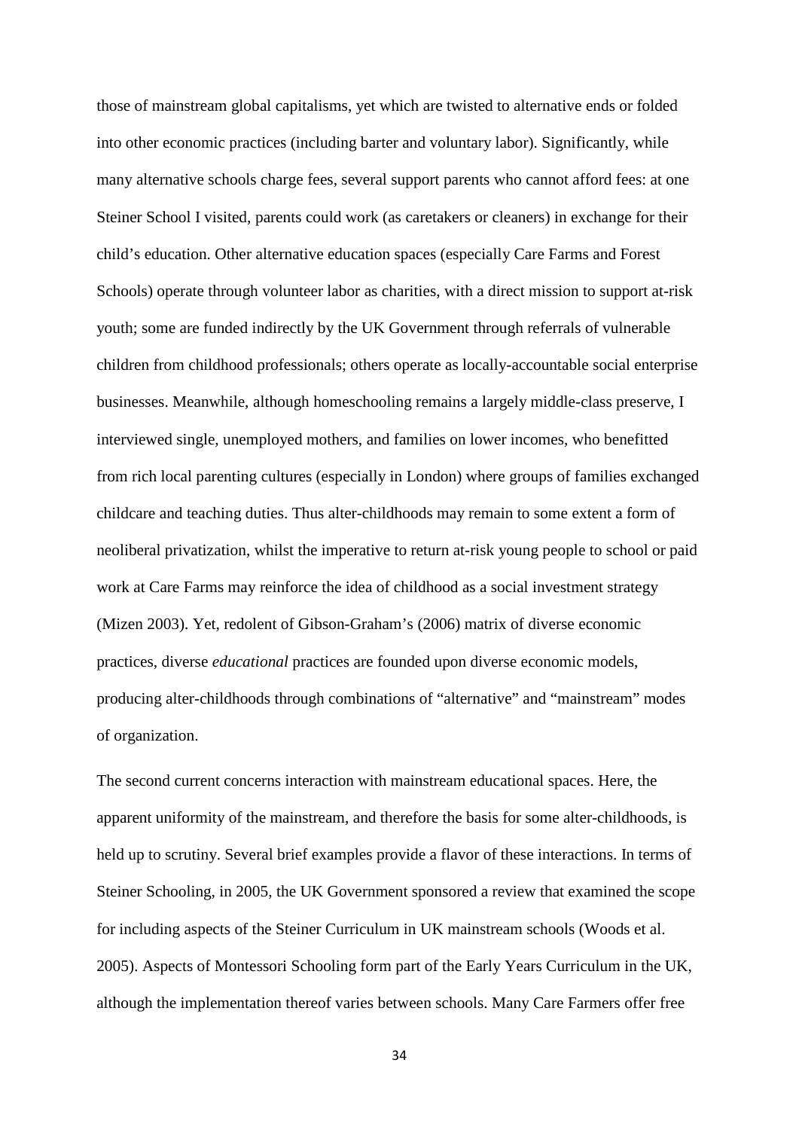those of mainstream global capitalisms, yet which are twisted to alternative ends or folded into other economic practices (including barter and voluntary labor). Significantly, while many alternative schools charge fees, several support parents who cannot afford fees: at one Steiner School I visited, parents could work (as caretakers or cleaners) in exchange for their child's education. Other alternative education spaces (especially Care Farms and Forest Schools) operate through volunteer labor as charities, with a direct mission to support at-risk youth; some are funded indirectly by the UK Government through referrals of vulnerable children from childhood professionals; others operate as locally-accountable social enterprise businesses. Meanwhile, although homeschooling remains a largely middle-class preserve, I interviewed single, unemployed mothers, and families on lower incomes, who benefitted from rich local parenting cultures (especially in London) where groups of families exchanged childcare and teaching duties. Thus alter-childhoods may remain to some extent a form of neoliberal privatization, whilst the imperative to return at-risk young people to school or paid work at Care Farms may reinforce the idea of childhood as a social investment strategy (Mizen 2003). Yet, redolent of Gibson-Graham's (2006) matrix of diverse economic practices, diverse *educational* practices are founded upon diverse economic models, producing alter-childhoods through combinations of "alternative" and "mainstream" modes of organization.

The second current concerns interaction with mainstream educational spaces. Here, the apparent uniformity of the mainstream, and therefore the basis for some alter-childhoods, is held up to scrutiny. Several brief examples provide a flavor of these interactions. In terms of Steiner Schooling, in 2005, the UK Government sponsored a review that examined the scope for including aspects of the Steiner Curriculum in UK mainstream schools (Woods et al. 2005). Aspects of Montessori Schooling form part of the Early Years Curriculum in the UK, although the implementation thereof varies between schools. Many Care Farmers offer free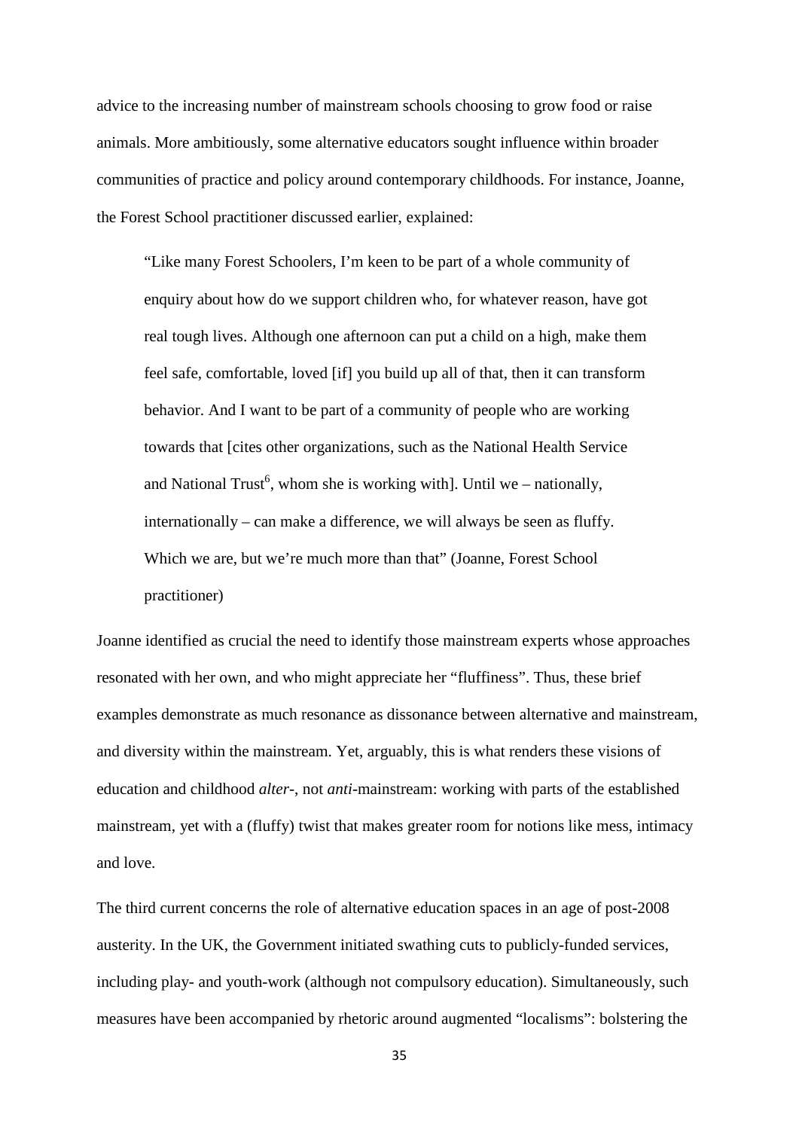advice to the increasing number of mainstream schools choosing to grow food or raise animals. More ambitiously, some alternative educators sought influence within broader communities of practice and policy around contemporary childhoods. For instance, Joanne, the Forest School practitioner discussed earlier, explained:

"Like many Forest Schoolers, I'm keen to be part of a whole community of enquiry about how do we support children who, for whatever reason, have got real tough lives. Although one afternoon can put a child on a high, make them feel safe, comfortable, loved [if] you build up all of that, then it can transform behavior. And I want to be part of a community of people who are working towards that [cites other organizations, such as the National Health Service and National Trust<sup>6</sup>, whom she is working with]. Until we – nationally, internationally – can make a difference, we will always be seen as fluffy. Which we are, but we're much more than that" (Joanne, Forest School practitioner)

Joanne identified as crucial the need to identify those mainstream experts whose approaches resonated with her own, and who might appreciate her "fluffiness". Thus, these brief examples demonstrate as much resonance as dissonance between alternative and mainstream, and diversity within the mainstream. Yet, arguably, this is what renders these visions of education and childhood *alter-*, not *anti-*mainstream: working with parts of the established mainstream, yet with a (fluffy) twist that makes greater room for notions like mess, intimacy and love.

The third current concerns the role of alternative education spaces in an age of post-2008 austerity. In the UK, the Government initiated swathing cuts to publicly-funded services, including play- and youth-work (although not compulsory education). Simultaneously, such measures have been accompanied by rhetoric around augmented "localisms": bolstering the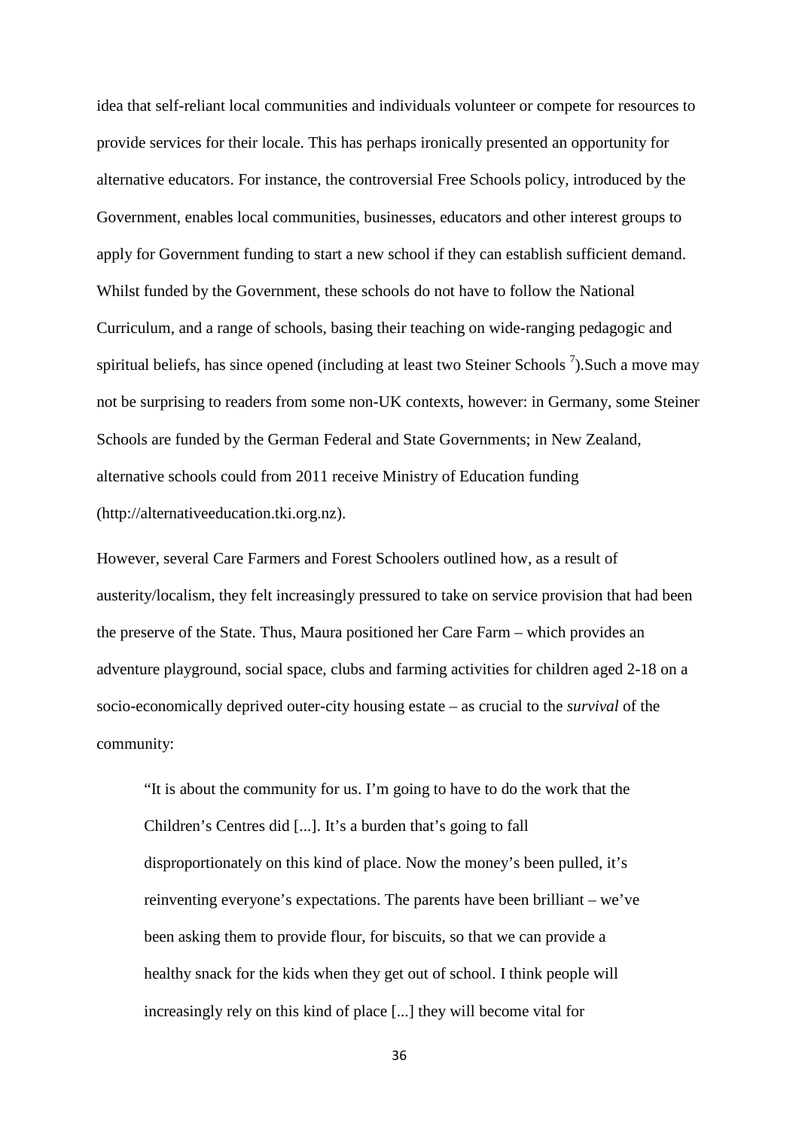idea that self-reliant local communities and individuals volunteer or compete for resources to provide services for their locale. This has perhaps ironically presented an opportunity for alternative educators. For instance, the controversial Free Schools policy, introduced by the Government, enables local communities, businesses, educators and other interest groups to apply for Government funding to start a new school if they can establish sufficient demand. Whilst funded by the Government, these schools do not have to follow the National Curriculum, and a range of schools, basing their teaching on wide-ranging pedagogic and spiritual beliefs, has since opened (including at least two Steiner Schools  $<sup>7</sup>$ ). Such a move may</sup> not be surprising to readers from some non-UK contexts, however: in Germany, some Steiner Schools are funded by the German Federal and State Governments; in New Zealand, alternative schools could from 2011 receive Ministry of Education funding (http://alternativeeducation.tki.org.nz).

However, several Care Farmers and Forest Schoolers outlined how, as a result of austerity/localism, they felt increasingly pressured to take on service provision that had been the preserve of the State. Thus, Maura positioned her Care Farm – which provides an adventure playground, social space, clubs and farming activities for children aged 2-18 on a socio-economically deprived outer-city housing estate – as crucial to the *survival* of the community:

"It is about the community for us. I'm going to have to do the work that the Children's Centres did [...]. It's a burden that's going to fall disproportionately on this kind of place. Now the money's been pulled, it's reinventing everyone's expectations. The parents have been brilliant – we've been asking them to provide flour, for biscuits, so that we can provide a healthy snack for the kids when they get out of school. I think people will increasingly rely on this kind of place [...] they will become vital for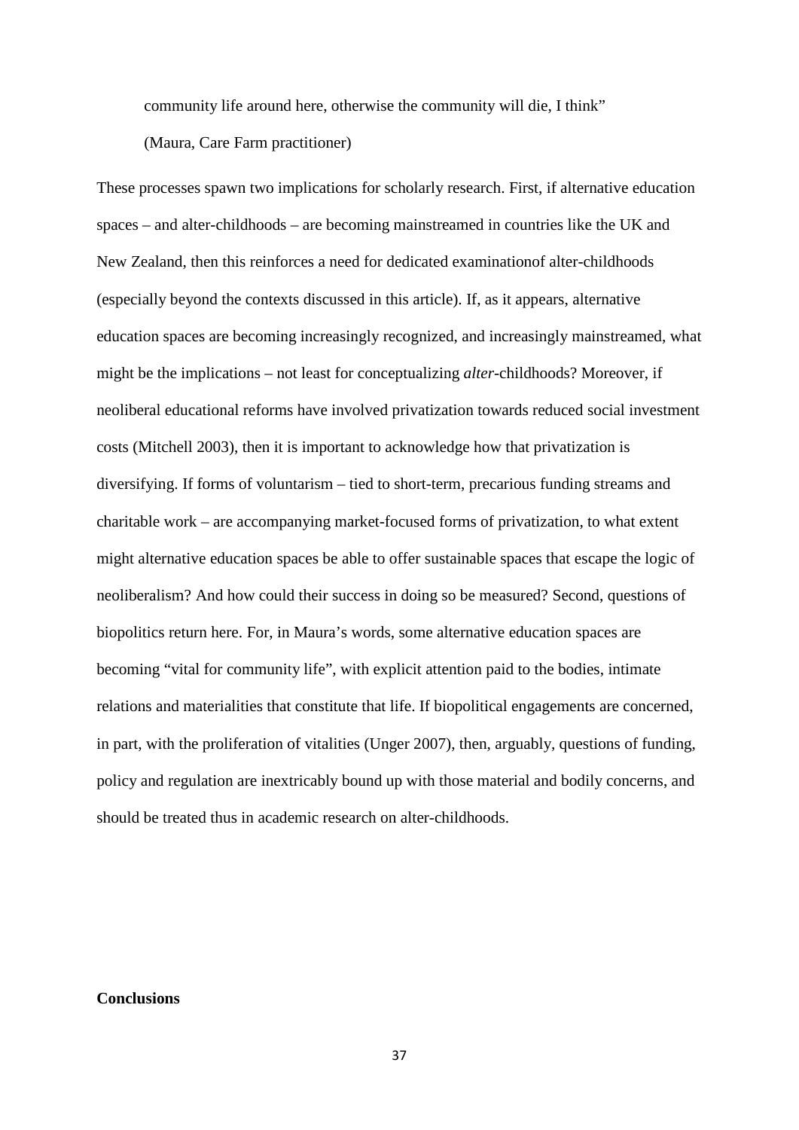community life around here, otherwise the community will die, I think"

(Maura, Care Farm practitioner)

These processes spawn two implications for scholarly research. First, if alternative education spaces – and alter-childhoods – are becoming mainstreamed in countries like the UK and New Zealand, then this reinforces a need for dedicated examinationof alter-childhoods (especially beyond the contexts discussed in this article). If, as it appears, alternative education spaces are becoming increasingly recognized, and increasingly mainstreamed, what might be the implications – not least for conceptualizing *alter*-childhoods? Moreover, if neoliberal educational reforms have involved privatization towards reduced social investment costs (Mitchell 2003), then it is important to acknowledge how that privatization is diversifying. If forms of voluntarism – tied to short-term, precarious funding streams and charitable work – are accompanying market-focused forms of privatization, to what extent might alternative education spaces be able to offer sustainable spaces that escape the logic of neoliberalism? And how could their success in doing so be measured? Second, questions of biopolitics return here. For, in Maura's words, some alternative education spaces are becoming "vital for community life", with explicit attention paid to the bodies, intimate relations and materialities that constitute that life. If biopolitical engagements are concerned, in part, with the proliferation of vitalities (Unger 2007), then, arguably, questions of funding, policy and regulation are inextricably bound up with those material and bodily concerns, and should be treated thus in academic research on alter-childhoods.

### **Conclusions**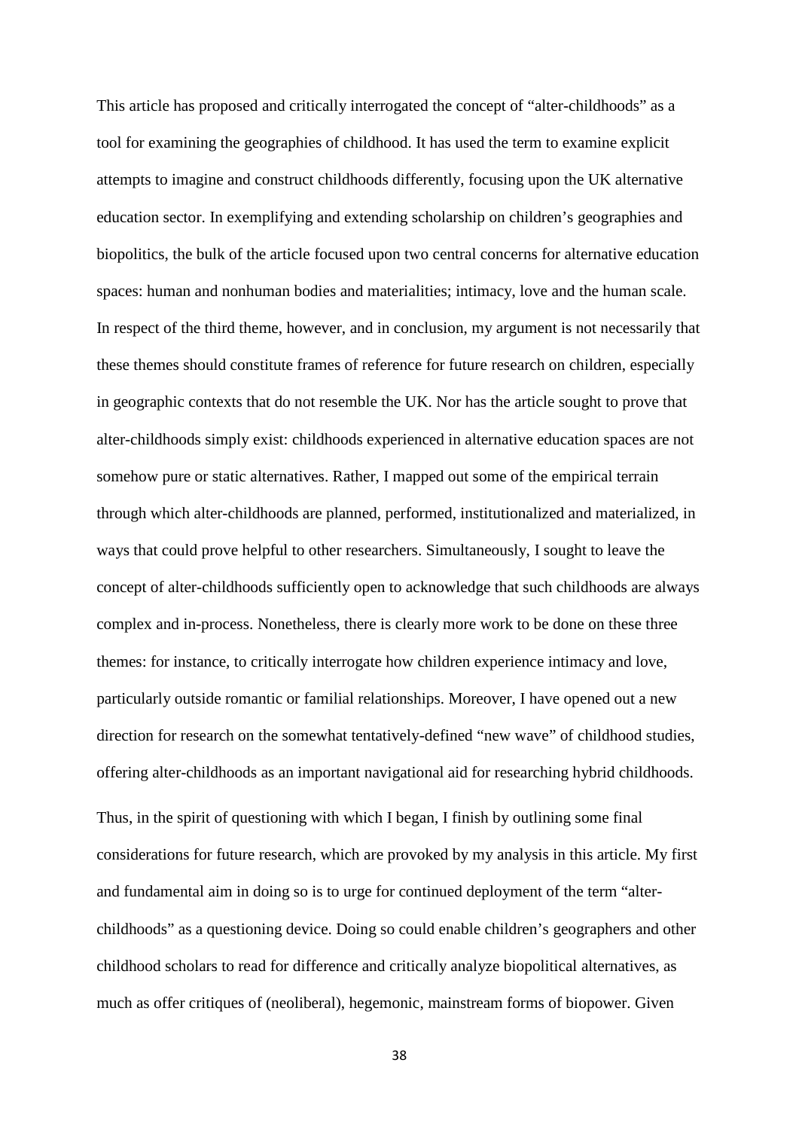This article has proposed and critically interrogated the concept of "alter-childhoods" as a tool for examining the geographies of childhood. It has used the term to examine explicit attempts to imagine and construct childhoods differently, focusing upon the UK alternative education sector. In exemplifying and extending scholarship on children's geographies and biopolitics, the bulk of the article focused upon two central concerns for alternative education spaces: human and nonhuman bodies and materialities; intimacy, love and the human scale. In respect of the third theme, however, and in conclusion, my argument is not necessarily that these themes should constitute frames of reference for future research on children, especially in geographic contexts that do not resemble the UK. Nor has the article sought to prove that alter-childhoods simply exist: childhoods experienced in alternative education spaces are not somehow pure or static alternatives. Rather, I mapped out some of the empirical terrain through which alter-childhoods are planned, performed, institutionalized and materialized, in ways that could prove helpful to other researchers. Simultaneously, I sought to leave the concept of alter-childhoods sufficiently open to acknowledge that such childhoods are always complex and in-process. Nonetheless, there is clearly more work to be done on these three themes: for instance, to critically interrogate how children experience intimacy and love, particularly outside romantic or familial relationships. Moreover, I have opened out a new direction for research on the somewhat tentatively-defined "new wave" of childhood studies, offering alter-childhoods as an important navigational aid for researching hybrid childhoods. Thus, in the spirit of questioning with which I began, I finish by outlining some final considerations for future research, which are provoked by my analysis in this article. My first and fundamental aim in doing so is to urge for continued deployment of the term "alterchildhoods" as a questioning device. Doing so could enable children's geographers and other childhood scholars to read for difference and critically analyze biopolitical alternatives, as much as offer critiques of (neoliberal), hegemonic, mainstream forms of biopower. Given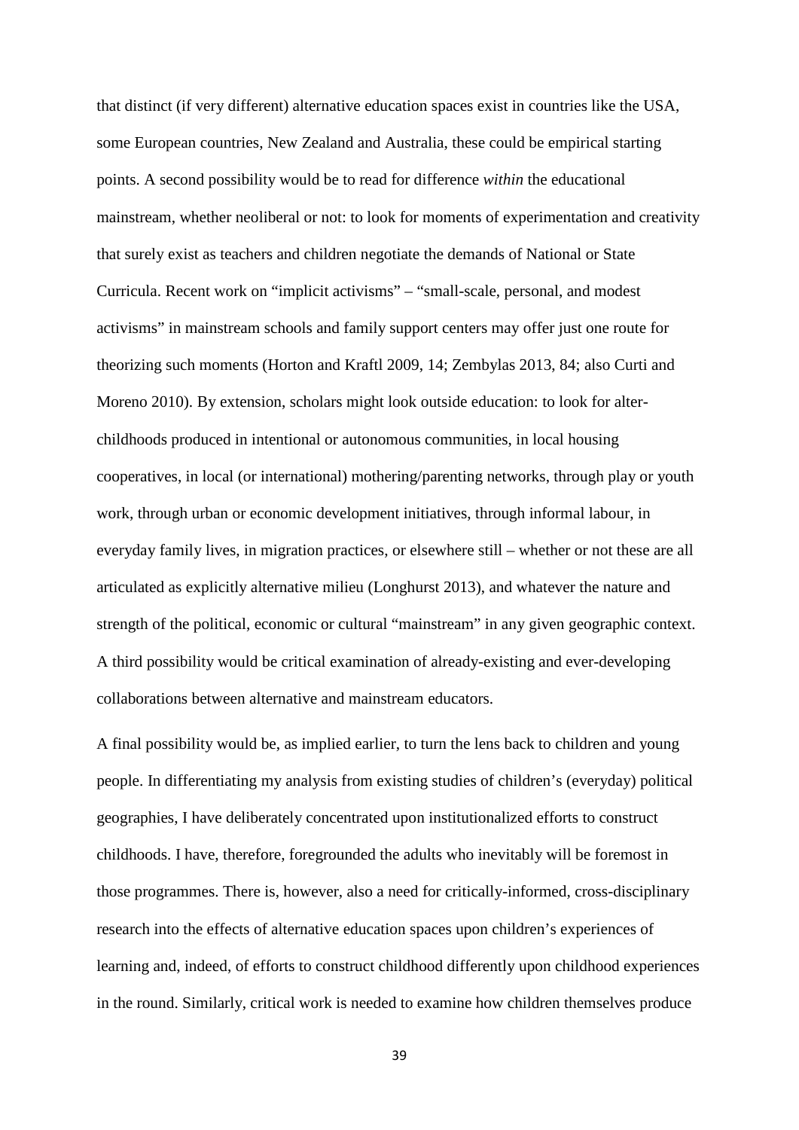that distinct (if very different) alternative education spaces exist in countries like the USA, some European countries, New Zealand and Australia, these could be empirical starting points. A second possibility would be to read for difference *within* the educational mainstream, whether neoliberal or not: to look for moments of experimentation and creativity that surely exist as teachers and children negotiate the demands of National or State Curricula. Recent work on "implicit activisms" – "small-scale, personal, and modest activisms" in mainstream schools and family support centers may offer just one route for theorizing such moments (Horton and Kraftl 2009, 14; Zembylas 2013, 84; also Curti and Moreno 2010). By extension, scholars might look outside education: to look for alterchildhoods produced in intentional or autonomous communities, in local housing cooperatives, in local (or international) mothering/parenting networks, through play or youth work, through urban or economic development initiatives, through informal labour, in everyday family lives, in migration practices, or elsewhere still – whether or not these are all articulated as explicitly alternative milieu (Longhurst 2013), and whatever the nature and strength of the political, economic or cultural "mainstream" in any given geographic context. A third possibility would be critical examination of already-existing and ever-developing collaborations between alternative and mainstream educators.

A final possibility would be, as implied earlier, to turn the lens back to children and young people. In differentiating my analysis from existing studies of children's (everyday) political geographies, I have deliberately concentrated upon institutionalized efforts to construct childhoods. I have, therefore, foregrounded the adults who inevitably will be foremost in those programmes. There is, however, also a need for critically-informed, cross-disciplinary research into the effects of alternative education spaces upon children's experiences of learning and, indeed, of efforts to construct childhood differently upon childhood experiences in the round. Similarly, critical work is needed to examine how children themselves produce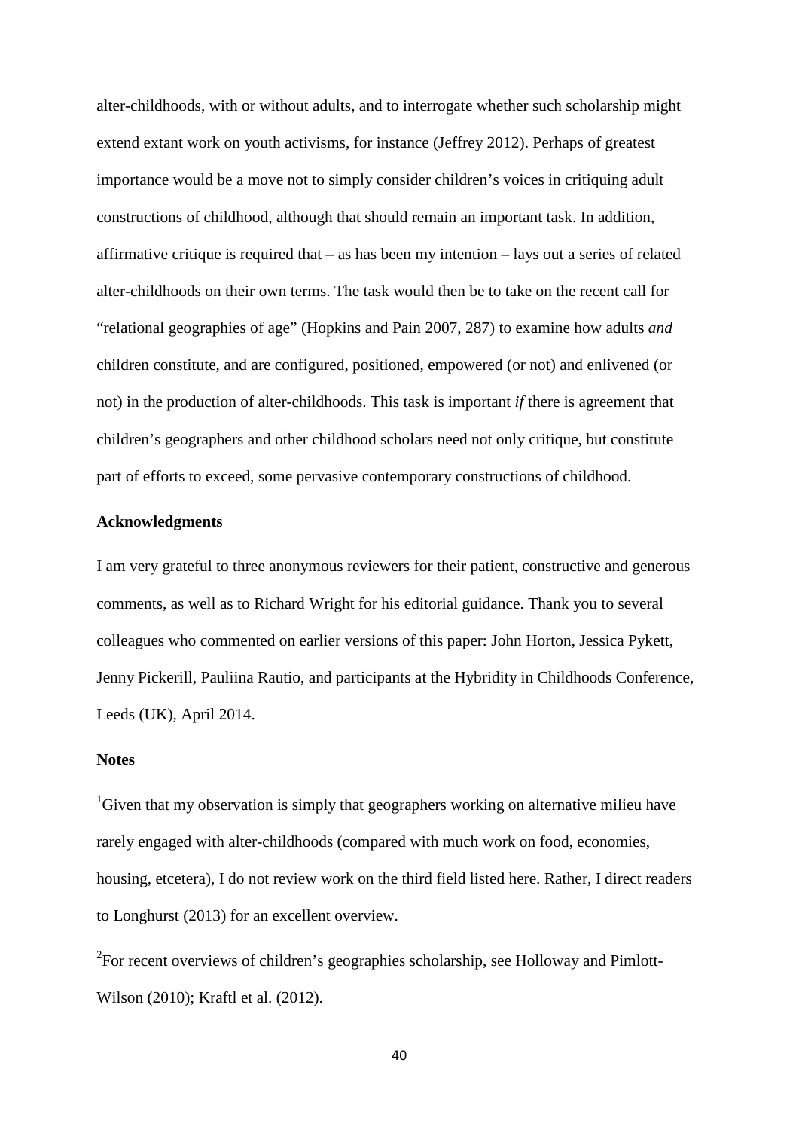alter-childhoods, with or without adults, and to interrogate whether such scholarship might extend extant work on youth activisms, for instance (Jeffrey 2012). Perhaps of greatest importance would be a move not to simply consider children's voices in critiquing adult constructions of childhood, although that should remain an important task. In addition, affirmative critique is required that – as has been my intention – lays out a series of related alter-childhoods on their own terms. The task would then be to take on the recent call for "relational geographies of age" (Hopkins and Pain 2007, 287) to examine how adults *and* children constitute, and are configured, positioned, empowered (or not) and enlivened (or not) in the production of alter-childhoods. This task is important *if* there is agreement that children's geographers and other childhood scholars need not only critique, but constitute part of efforts to exceed, some pervasive contemporary constructions of childhood.

# **Acknowledgments**

I am very grateful to three anonymous reviewers for their patient, constructive and generous comments, as well as to Richard Wright for his editorial guidance. Thank you to several colleagues who commented on earlier versions of this paper: John Horton, Jessica Pykett, Jenny Pickerill, Pauliina Rautio, and participants at the Hybridity in Childhoods Conference, Leeds (UK), April 2014.

#### **Notes**

<sup>1</sup>Given that my observation is simply that geographers working on alternative milieu have rarely engaged with alter-childhoods (compared with much work on food, economies, housing, etcetera), I do not review work on the third field listed here. Rather, I direct readers to Longhurst (2013) for an excellent overview.

 $2$ For recent overviews of children's geographies scholarship, see Holloway and Pimlott-Wilson (2010); Kraftl et al. (2012).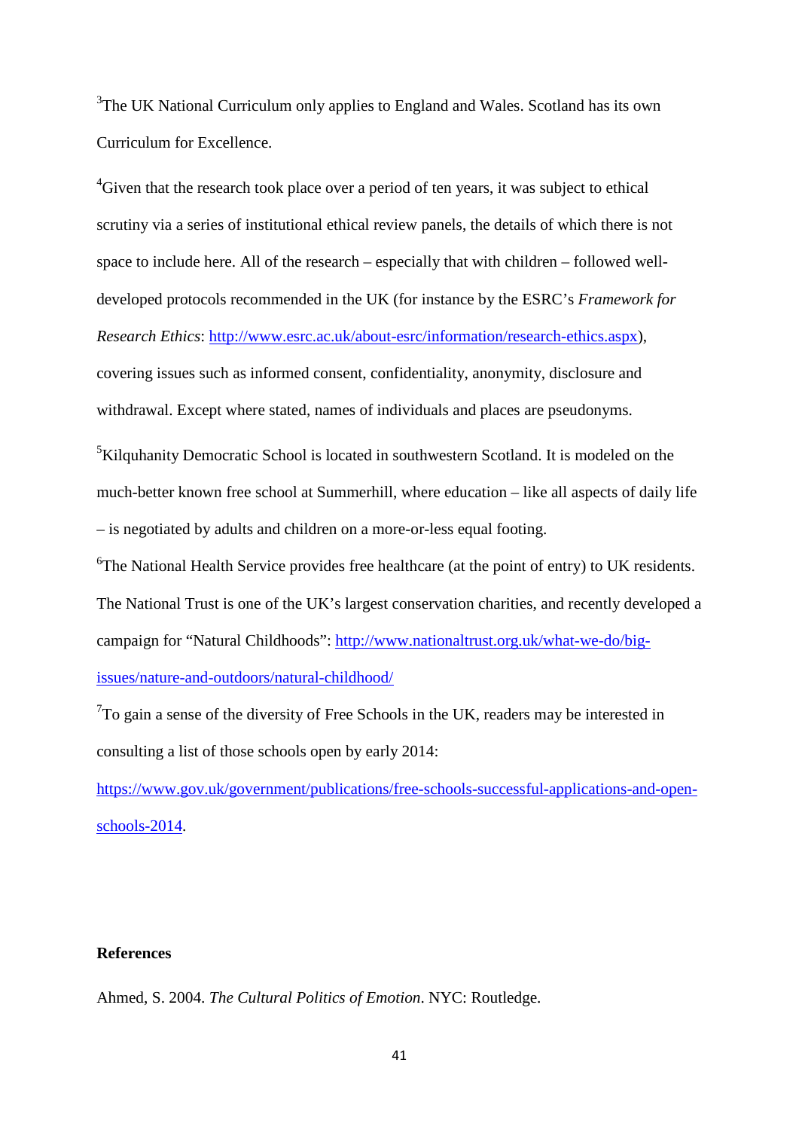<sup>3</sup>The UK National Curriculum only applies to England and Wales. Scotland has its own Curriculum for Excellence.

<sup>4</sup>Given that the research took place over a period of ten years, it was subject to ethical scrutiny via a series of institutional ethical review panels, the details of which there is not space to include here. All of the research – especially that with children – followed welldeveloped protocols recommended in the UK (for instance by the ESRC's *Framework for Research Ethics*: [http://www.esrc.ac.uk/about-esrc/information/research-ethics.aspx\)](http://www.esrc.ac.uk/about-esrc/information/research-ethics.aspx), covering issues such as informed consent, confidentiality, anonymity, disclosure and withdrawal. Except where stated, names of individuals and places are pseudonyms.

<sup>5</sup>Kilquhanity Democratic School is located in southwestern Scotland. It is modeled on the much-better known free school at Summerhill, where education – like all aspects of daily life – is negotiated by adults and children on a more-or-less equal footing.

<sup>6</sup>The National Health Service provides free healthcare (at the point of entry) to UK residents. The National Trust is one of the UK's largest conservation charities, and recently developed a campaign for "Natural Childhoods": [http://www.nationaltrust.org.uk/what-we-do/big-](http://www.nationaltrust.org.uk/what-we-do/big-issues/nature-and-outdoors/natural-childhood/)

[issues/nature-and-outdoors/natural-childhood/](http://www.nationaltrust.org.uk/what-we-do/big-issues/nature-and-outdoors/natural-childhood/)

 $7$ To gain a sense of the diversity of Free Schools in the UK, readers may be interested in consulting a list of those schools open by early 2014:

[https://www.gov.uk/government/publications/free-schools-successful-applications-and-open](https://www.gov.uk/government/publications/free-schools-successful-applications-and-open-schools-2014)[schools-2014.](https://www.gov.uk/government/publications/free-schools-successful-applications-and-open-schools-2014)

# **References**

Ahmed, S. 2004. *The Cultural Politics of Emotion*. NYC: Routledge.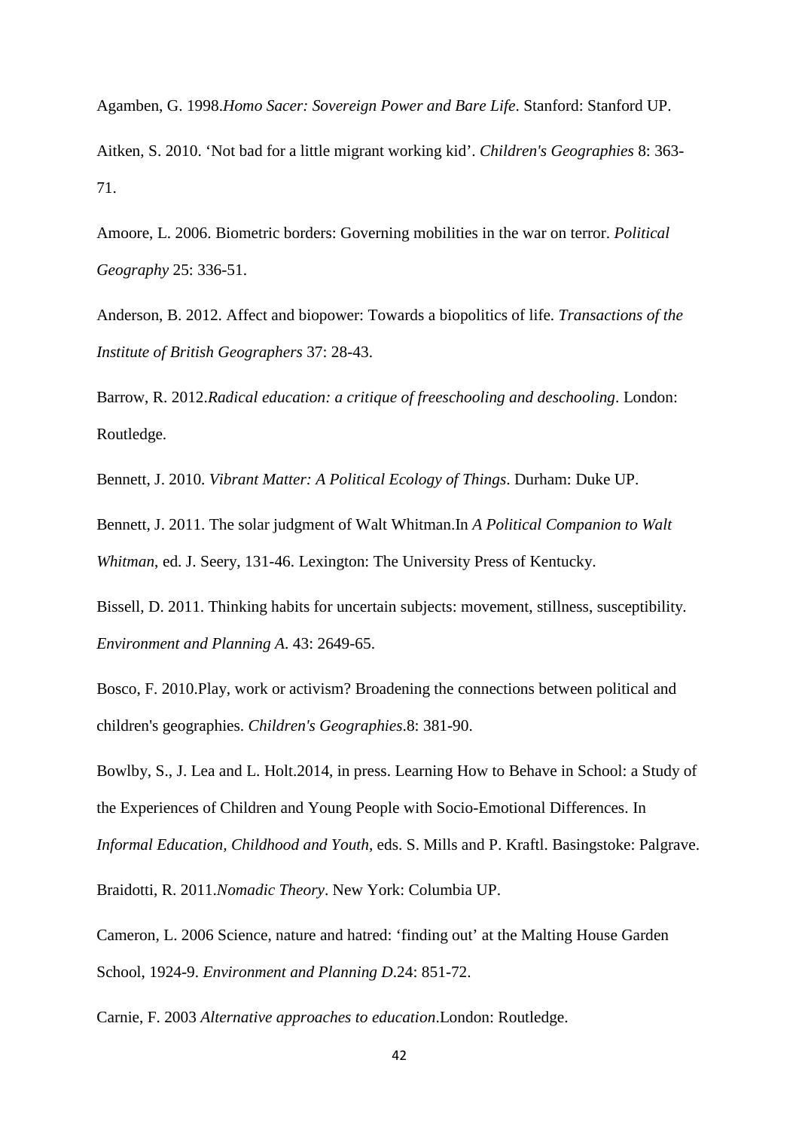Agamben, G. 1998.*Homo Sacer: Sovereign Power and Bare Life*. Stanford: Stanford UP.

Aitken, S. 2010. 'Not bad for a little migrant working kid'. *Children's Geographies* 8: 363- 71.

Amoore, L. 2006. [Biometric borders: Governing mobilities in the war on terror.](http://www.dur.ac.uk/geography/staff/geogstaffhidden/?mode=pdetail&id=2710&sid=2710&pdetail=44621) *Political Geography* 25: 336-51.

Anderson, B. 2012. Affect and biopower: Towards a biopolitics of life. *Transactions of the Institute of British Geographers* 37: 28-43.

Barrow, R. 2012.*Radical education: a critique of freeschooling and deschooling*. London: Routledge.

Bennett, J. 2010. *Vibrant Matter: A Political Ecology of Things*. Durham: Duke UP.

Bennett, J. 2011. The solar judgment of Walt Whitman.In *A Political Companion to Walt Whitman*, ed. J. Seery, 131-46. Lexington: The University Press of Kentucky.

Bissell, D. 2011. Thinking habits for uncertain subjects: movement, stillness, susceptibility. *Environment and Planning A*. 43: 2649-65.

Bosco, F. 2010.Play, work or activism? Broadening the connections between political and children's geographies. *Children's Geographies*.8: 381-90.

Bowlby, S., J. Lea and L. Holt.2014, in press. Learning How to Behave in School: a Study of the Experiences of Children and Young People with Socio-Emotional Differences. In *Informal Education, Childhood and Youth*, eds. S. Mills and P. Kraftl. Basingstoke: Palgrave.

Braidotti, R. 2011.*Nomadic Theory*. New York: Columbia UP.

Cameron, L. 2006 Science, nature and hatred: 'finding out' at the Malting House Garden School, 1924-9. *Environment and Planning D*.24: 851-72.

Carnie, F. 2003 *Alternative approaches to education*.London: Routledge.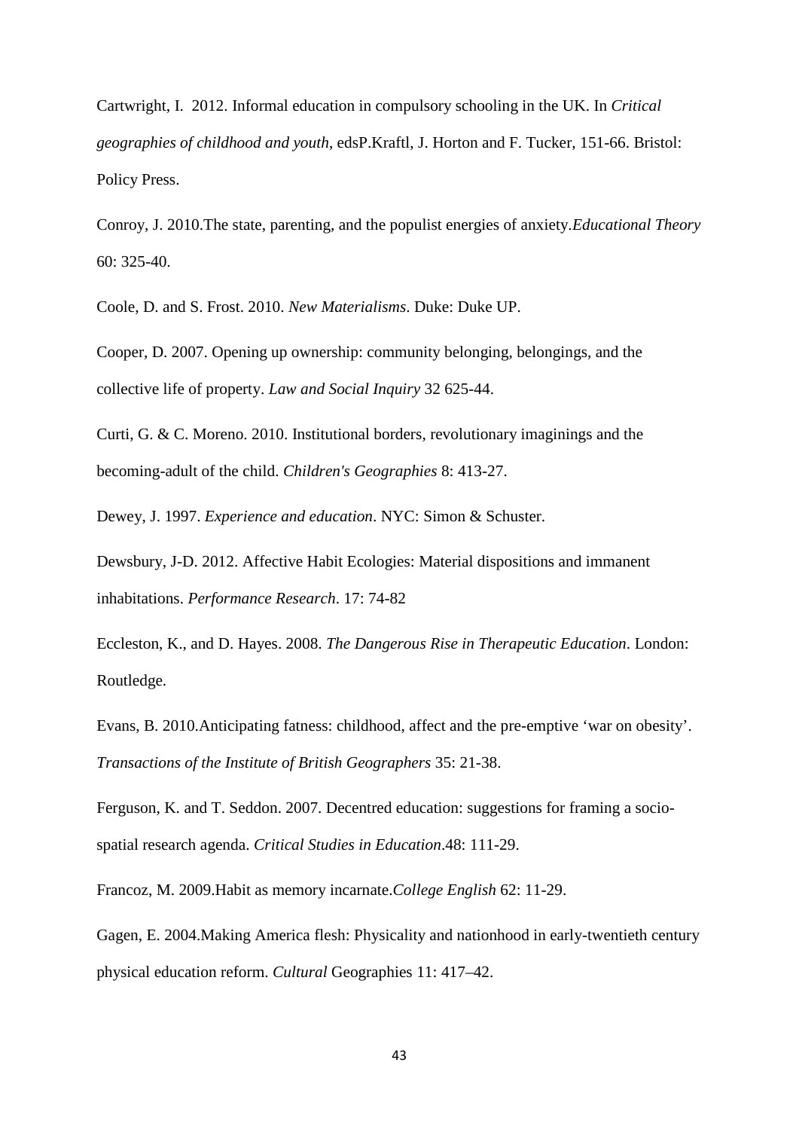Cartwright, I. 2012. Informal education in compulsory schooling in the UK. In *Critical geographies of childhood and youth*, edsP.Kraftl, J. Horton and F. Tucker, 151-66. Bristol: Policy Press.

Conroy, J. 2010.The state, parenting, and the populist energies of anxiety.*Educational Theory* 60: 325-40.

Coole, D. and S. Frost. 2010. *New Materialisms*. Duke: Duke UP.

Cooper, D. 2007. Opening up ownership: community belonging, belongings, and the collective life of property. *Law and Social Inquiry* 32 625-44.

Curti, G. & C. Moreno. 2010. Institutional borders, revolutionary imaginings and the becoming-adult of the child. *Children's Geographies* 8: 413-27.

Dewey, J. 1997. *Experience and education*. NYC: Simon & Schuster.

Dewsbury, J-D. 2012. Affective Habit Ecologies: Material dispositions and immanent inhabitations. *Performance Research*. 17: 74-82

Eccleston, K., and D. Hayes. 2008. *The Dangerous Rise in Therapeutic Education*. London: Routledge.

Evans, B. 2010.Anticipating fatness: childhood, affect and the pre-emptive 'war on obesity'. *Transactions of the Institute of British Geographers* 35: 21-38.

Ferguson, K. and T. Seddon. 2007. Decentred education: suggestions for framing a sociospatial research agenda. *Critical Studies in Education*.48: 111-29.

Francoz, M. 2009.Habit as memory incarnate.*College English* 62: 11-29.

Gagen, E. 2004.Making America flesh: Physicality and nationhood in early-twentieth century physical education reform. *Cultural* Geographies 11: 417–42.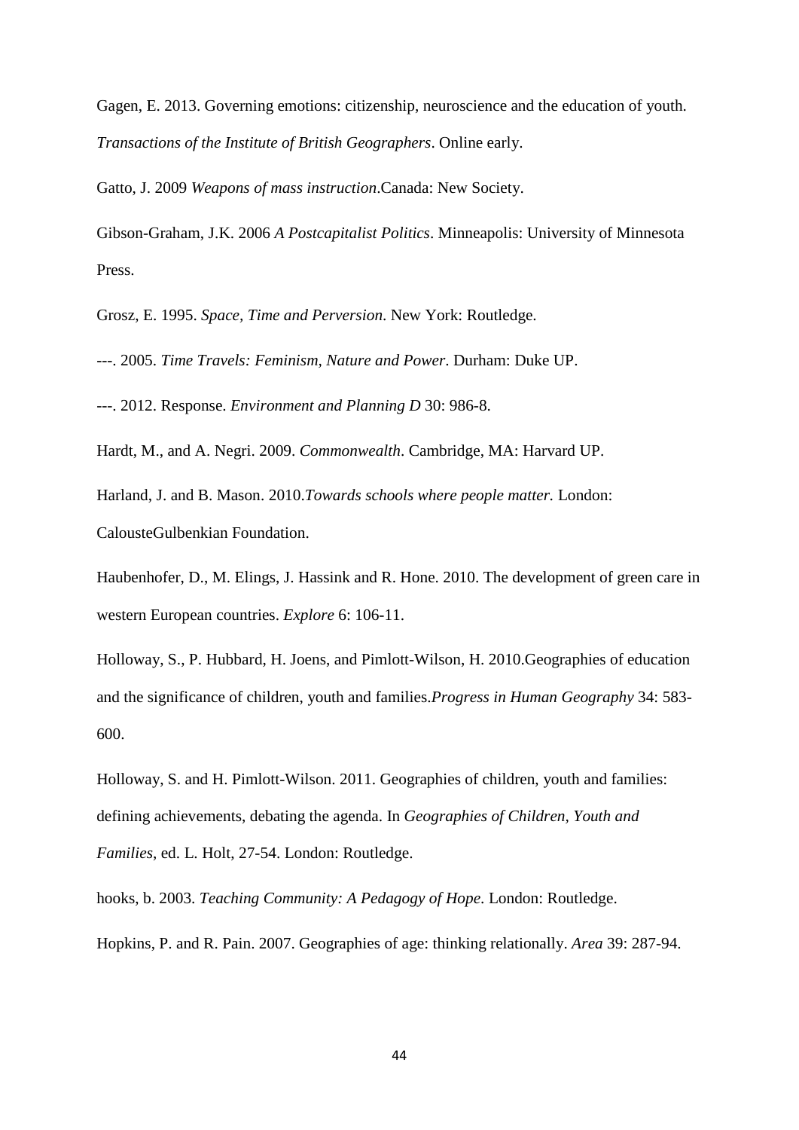Gagen, E. 2013. Governing emotions: citizenship, neuroscience and the education of youth. *Transactions of the Institute of British Geographers*. Online early.

Gatto, J. 2009 *Weapons of mass instruction*.Canada: New Society.

Gibson-Graham, J.K. 2006 *A Postcapitalist Politics*. Minneapolis: University of Minnesota Press.

Grosz, E. 1995. *Space, Time and Perversion*. New York: Routledge.

---. 2005. *Time Travels: Feminism, Nature and Power*. Durham: Duke UP.

---. 2012. Response. *Environment and Planning D* 30: 986-8.

Hardt, M., and A. Negri. 2009. *Commonwealth*. Cambridge, MA: Harvard UP.

Harland, J. and B. Mason. 2010.*Towards schools where people matter.* London: CalousteGulbenkian Foundation.

Haubenhofer, D., M. Elings, J. Hassink and R. Hone. 2010. The development of green care in western European countries. *Explore* 6: 106-11.

Holloway, S., P. Hubbard, H. Joens, and Pimlott-Wilson, H. 2010.Geographies of education and the significance of children, youth and families.*Progress in Human Geography* 34: 583- 600.

Holloway, S. and H. Pimlott-Wilson. 2011. Geographies of children, youth and families: defining achievements, debating the agenda. In *Geographies of Children, Youth and Families*, ed. L. Holt, 27-54. London: Routledge.

hooks, b. 2003. *Teaching Community: A Pedagogy of Hope*. London: Routledge.

Hopkins, P. and R. Pain. 2007. Geographies of age: thinking relationally. *Area* 39: 287-94.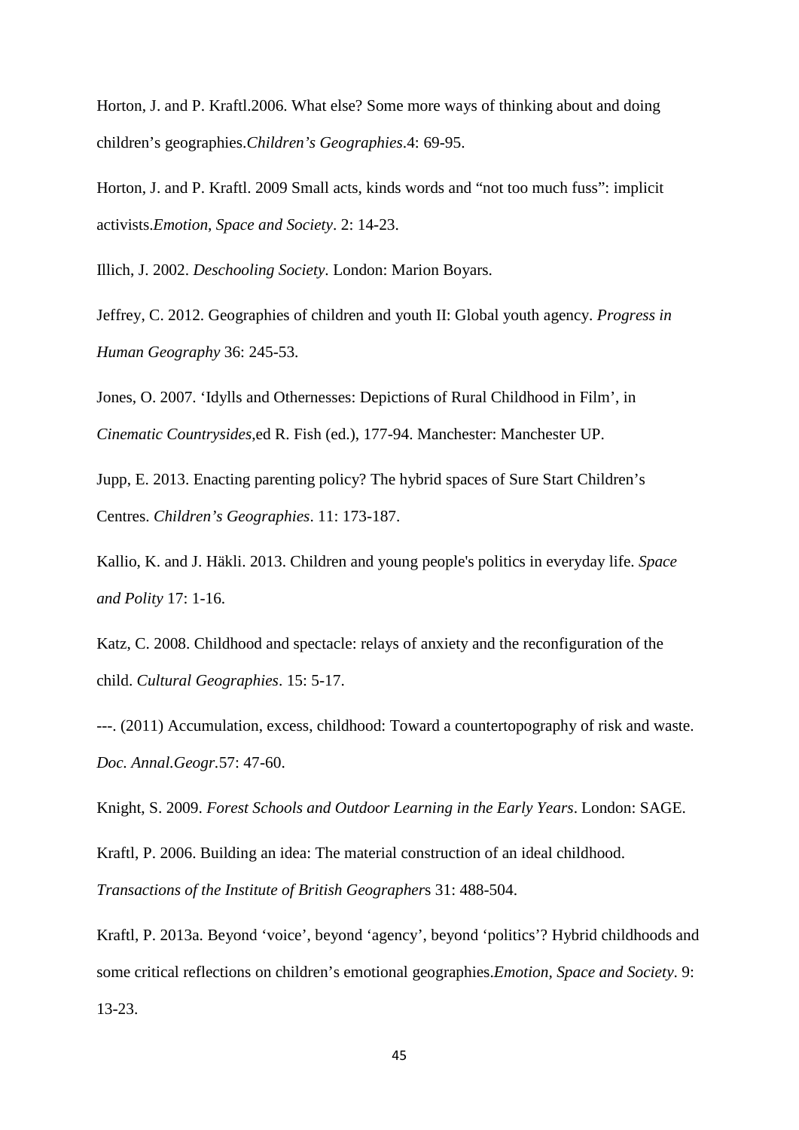Horton, J. and P. Kraftl.2006. What else? Some more ways of thinking about and doing children's geographies.*Children's Geographies*.4: 69-95.

Horton, J. and P. Kraftl. 2009 Small acts, kinds words and "not too much fuss": implicit activists.*Emotion, Space and Society*. 2: 14-23.

Illich, J. 2002. *Deschooling Society*. London: Marion Boyars.

Jeffrey, C. 2012. Geographies of children and youth II: Global youth agency. *Progress in Human Geography* 36: 245-53.

Jones, O. 2007. 'Idylls and Othernesses: Depictions of Rural Childhood in Film', in *Cinematic Countrysides*,ed R. Fish (ed.), 177-94. Manchester: Manchester UP.

Jupp, E. 2013. Enacting parenting policy? The hybrid spaces of Sure Start Children's Centres. *Children's Geographies*. 11: 173-187.

Kallio, K. and J. Häkli. 2013. Children and young people's politics in everyday life. *Space and Polity* 17: 1-16.

Katz, C. 2008. Childhood and spectacle: relays of anxiety and the reconfiguration of the child. *Cultural Geographies*. 15: 5-17.

---. (2011) Accumulation, excess, childhood: Toward a countertopography of risk and waste. *Doc. Annal.Geogr.*57: 47-60.

Knight, S. 2009. *Forest Schools and Outdoor Learning in the Early Years*. London: SAGE.

Kraftl, P. 2006. Building an idea: The material construction of an ideal childhood. *Transactions of the Institute of British Geographer*s 31: 488-504.

Kraftl, P. 2013a. Beyond 'voice', beyond 'agency', beyond 'politics'? Hybrid childhoods and some critical reflections on children's emotional geographies.*Emotion, Space and Society*. 9: 13-23.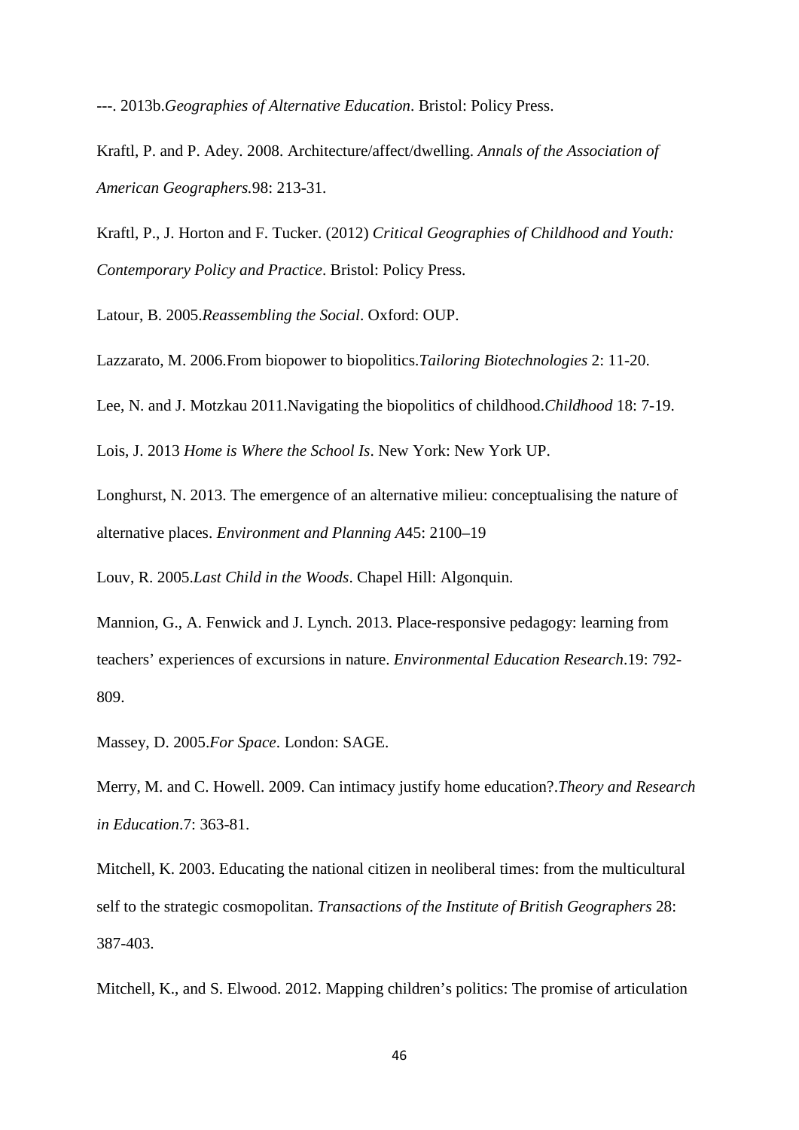---. 2013b.*Geographies of Alternative Education*. Bristol: Policy Press.

Kraftl, P. and P. Adey. 2008. Architecture/affect/dwelling. *Annals of the Association of American Geographers.*98: 213-31.

Kraftl, P., J. Horton and F. Tucker. (2012) *Critical Geographies of Childhood and Youth: Contemporary Policy and Practice*. Bristol: Policy Press.

Latour, B. 2005.*Reassembling the Social*. Oxford: OUP.

Lazzarato, M. 2006.From biopower to biopolitics.*Tailoring Biotechnologies* 2: 11-20.

Lee, N. and J. Motzkau 2011.Navigating the biopolitics of childhood.*Childhood* 18: 7-19.

Lois, J. 2013 *Home is Where the School Is*. New York: New York UP.

Longhurst, N. 2013. The emergence of an alternative milieu: conceptualising the nature of alternative places. *Environment and Planning A*45: 2100–19

Louv, R. 2005.*Last Child in the Woods*. Chapel Hill: Algonquin.

Mannion, G., A. Fenwick and J. Lynch. 2013. Place-responsive pedagogy: learning from teachers' experiences of excursions in nature. *Environmental Education Research*.19: 792- 809.

Massey, D. 2005.*For Space*. London: SAGE.

Merry, M. and C. Howell. 2009. Can intimacy justify home education?.*Theory and Research in Education*.7: 363-81.

Mitchell, K. 2003. Educating the national citizen in neoliberal times: from the multicultural self to the strategic cosmopolitan. *Transactions of the Institute of British Geographers* 28: 387-403.

Mitchell, K., and S. Elwood. 2012. Mapping children's politics: The promise of articulation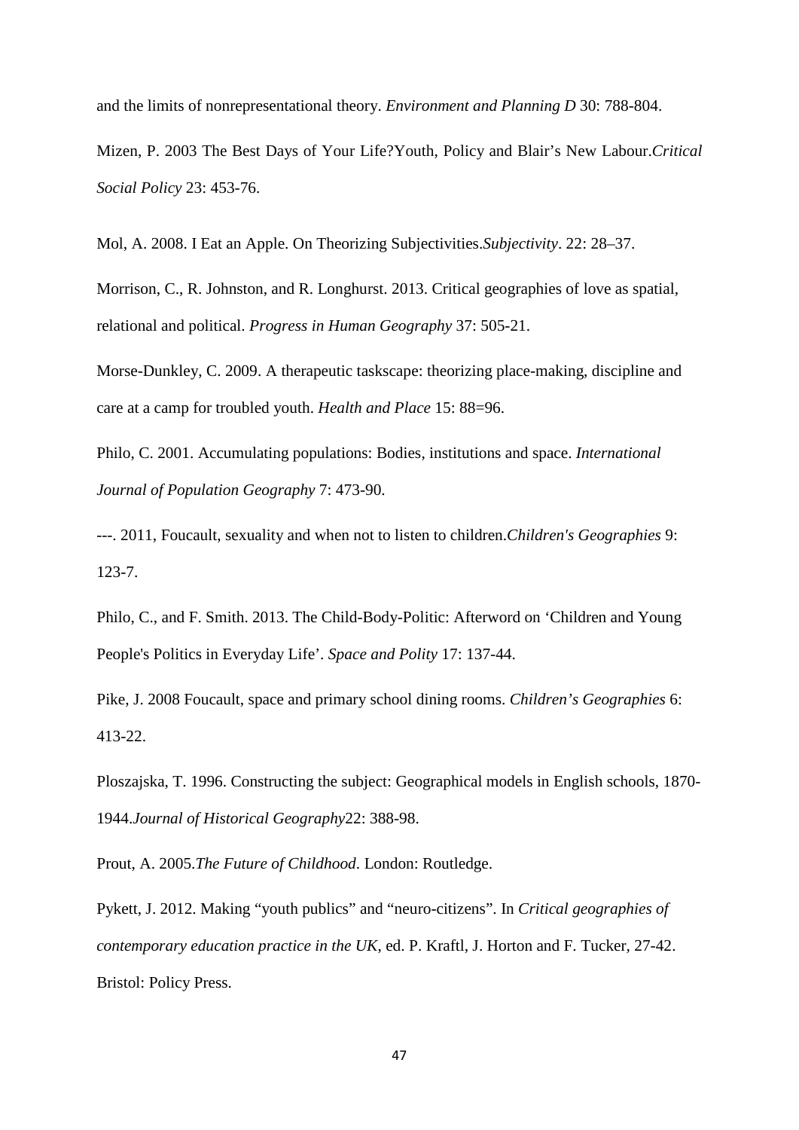and the limits of nonrepresentational theory. *Environment and Planning D* 30: 788-804.

Mizen, P. 2003 The Best Days of Your Life?Youth, Policy and Blair's New Labour.*Critical Social Policy* 23: 453-76.

Mol, A. 2008. I Eat an Apple. On Theorizing Subjectivities.*Subjectivity*. 22: 28–37.

Morrison, C., R. Johnston, and R. Longhurst. 2013. Critical geographies of love as spatial, relational and political. *Progress in Human Geography* 37: 505-21.

Morse-Dunkley, C. 2009. A therapeutic taskscape: theorizing place-making, discipline and care at a camp for troubled youth. *Health and Place* 15: 88=96.

Philo, C. 2001. Accumulating populations: Bodies, institutions and space. *International Journal of Population Geography* 7: 473-90.

---. 2011, Foucault, sexuality and when not to listen to children.*Children's Geographies* 9: 123-7.

Philo, C., and F. Smith. 2013. The Child-Body-Politic: Afterword on 'Children and Young People's Politics in Everyday Life'. *Space and Polity* 17: 137-44.

Pike, J. 2008 Foucault, space and primary school dining rooms. *Children's Geographies* 6: 413-22.

Ploszajska, T. 1996. Constructing the subject: Geographical models in English schools, 1870- 1944.*Journal of Historical Geography*22: 388-98.

Prout, A. 2005.*The Future of Childhood*. London: Routledge.

Pykett, J. 2012. Making "youth publics" and "neuro-citizens". In *Critical geographies of contemporary education practice in the UK*, ed. P. Kraftl, J. Horton and F. Tucker, 27-42. Bristol: Policy Press.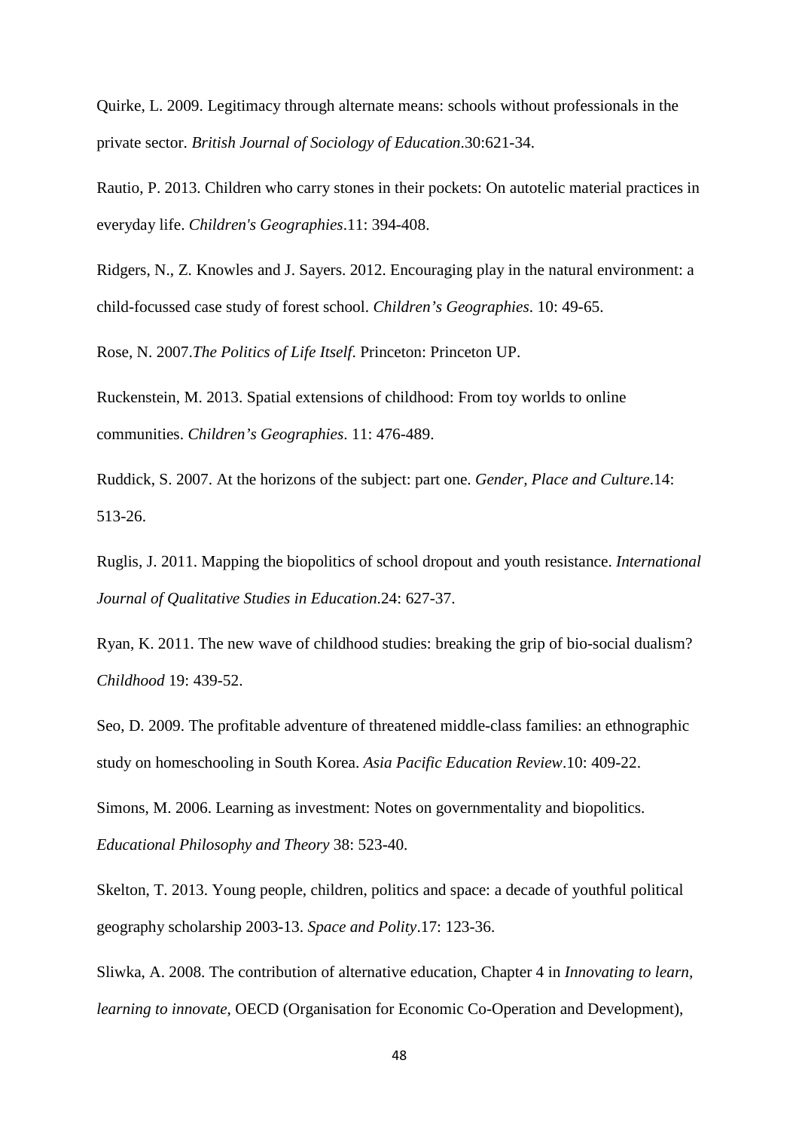Quirke, L. 2009. Legitimacy through alternate means: schools without professionals in the private sector. *British Journal of Sociology of Education*.30:621-34.

Rautio, P. 2013. Children who carry stones in their pockets: On autotelic material practices in everyday life. *Children's Geographies*.11: 394-408.

Ridgers, N., Z. Knowles and J. Sayers. 2012. Encouraging play in the natural environment: a child-focussed case study of forest school. *Children's Geographies*. 10: 49-65.

Rose, N. 2007.*The Politics of Life Itself*. Princeton: Princeton UP.

Ruckenstein, M. 2013. Spatial extensions of childhood: From toy worlds to online communities. *Children's Geographies*. 11: 476-489.

Ruddick, S. 2007. At the horizons of the subject: part one. *Gender, Place and Culture*.14: 513-26.

Ruglis, J. 2011. Mapping the biopolitics of school dropout and youth resistance. *International Journal of Qualitative Studies in Education*.24: 627-37.

Ryan, K. 2011. The new wave of childhood studies: breaking the grip of bio-social dualism? *Childhood* 19: 439-52.

Seo, D. 2009. The profitable adventure of threatened middle-class families: an ethnographic study on homeschooling in South Korea. *Asia Pacific Education Review*.10: 409-22.

Simons, M. 2006. Learning as investment: Notes on governmentality and biopolitics. *Educational Philosophy and Theory* 38: 523-40.

Skelton, T. 2013. Young people, children, politics and space: a decade of youthful political geography scholarship 2003-13. *Space and Polity*.17: 123-36.

Sliwka, A. 2008. The contribution of alternative education, Chapter 4 in *Innovating to learn, learning to innovate*, OECD (Organisation for Economic Co-Operation and Development),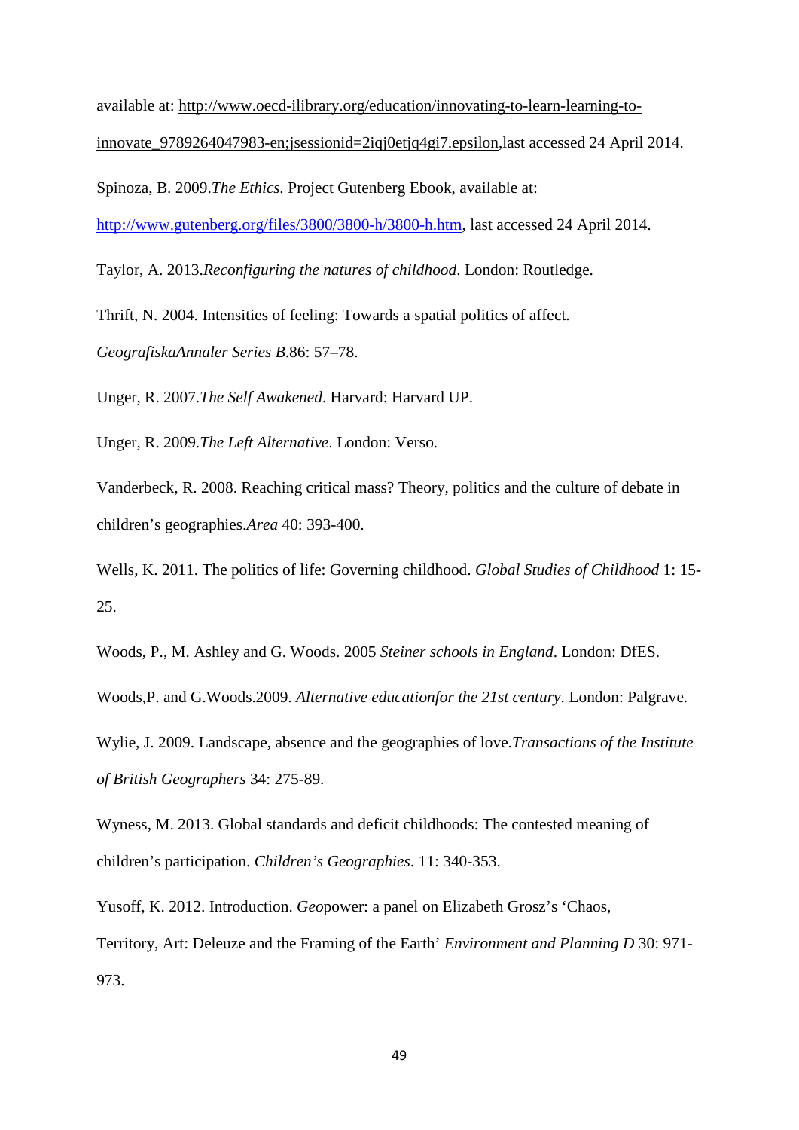available at: [http://www.oecd-ilibrary.org/education/innovating-to-learn-learning-to](http://www.oecd-ilibrary.org/education/innovating-to-learn-learning-to-innovate_9789264047983-en;jsessionid=2iqj0etjq4gi7.epsilon)[innovate\\_9789264047983-en;jsessionid=2iqj0etjq4gi7.epsilon,](http://www.oecd-ilibrary.org/education/innovating-to-learn-learning-to-innovate_9789264047983-en;jsessionid=2iqj0etjq4gi7.epsilon)last accessed 24 April 2014.

Spinoza, B. 2009.*The Ethics.* Project Gutenberg Ebook, available at:

[http://www.gutenberg.org/files/3800/3800-h/3800-h.htm,](http://www.gutenberg.org/files/3800/3800-h/3800-h.htm) last accessed 24 April 2014.

Taylor, A. 2013.*Reconfiguring the natures of childhood*. London: Routledge.

Thrift, N. 2004. Intensities of feeling: Towards a spatial politics of affect. *GeografiskaAnnaler Series B*.86: 57–78.

Unger, R. 2007.*The Self Awakened*. Harvard: Harvard UP.

Unger, R. 2009.*The Left Alternative*. London: Verso.

Vanderbeck, R. 2008. Reaching critical mass? Theory, politics and the culture of debate in children's geographies.*Area* 40: 393-400.

Wells, K. 2011. The politics of life: Governing childhood. *Global Studies of Childhood* 1: 15- 25.

Woods, P., M. Ashley and G. Woods. 2005 *Steiner schools in England*. London: DfES.

Woods,P. and G.Woods.2009. *Alternative educationfor the 21st century*. London: Palgrave.

Wylie, J. 2009. Landscape, absence and the geographies of love.*Transactions of the Institute of British Geographers* 34: 275-89.

Wyness, M. 2013. Global standards and deficit childhoods: The contested meaning of children's participation. *Children's Geographies*. 11: 340-353.

Yusoff, K. 2012. Introduction. *Geo*power: a panel on Elizabeth Grosz's 'Chaos, Territory, Art: Deleuze and the Framing of the Earth' *Environment and Planning D* 30: 971- 973.